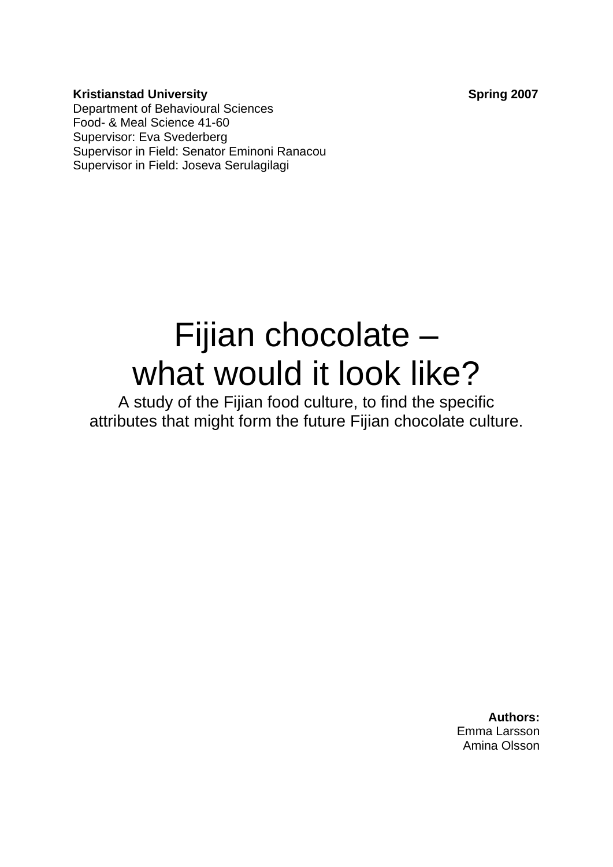**Kristianstad University Contract Spring 2007** Department of Behavioural Sciences Food- & Meal Science 41-60 Supervisor: Eva Svederberg Supervisor in Field: Senator Eminoni Ranacou Supervisor in Field: Joseva Serulagilagi

# Fijian chocolate – what would it look like?

A study of the Fijian food culture, to find the specific attributes that might form the future Fijian chocolate culture.

> **Authors:** Emma Larsson Amina Olsson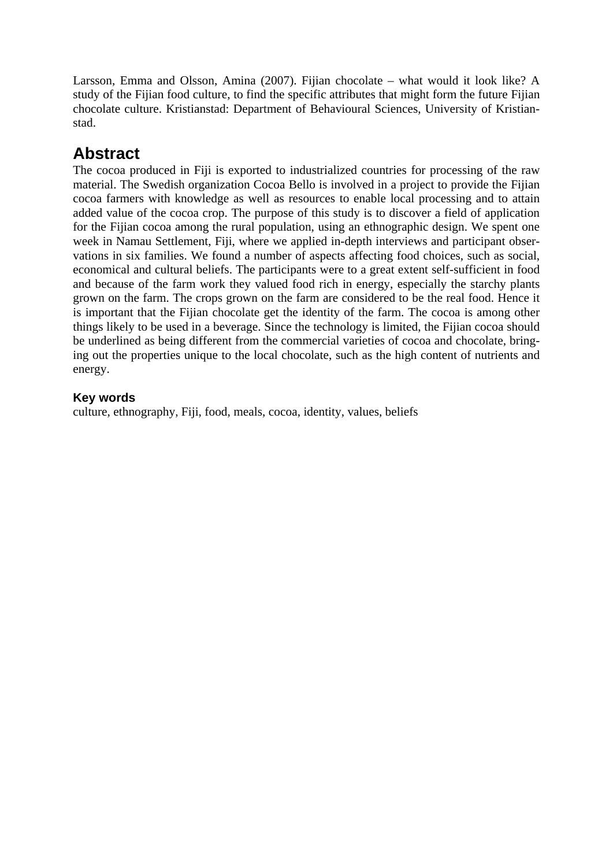Larsson, Emma and Olsson, Amina (2007). Fijian chocolate – what would it look like? A study of the Fijian food culture, to find the specific attributes that might form the future Fijian chocolate culture. Kristianstad: Department of Behavioural Sciences, University of Kristianstad.

# **Abstract**

The cocoa produced in Fiji is exported to industrialized countries for processing of the raw material. The Swedish organization Cocoa Bello is involved in a project to provide the Fijian cocoa farmers with knowledge as well as resources to enable local processing and to attain added value of the cocoa crop. The purpose of this study is to discover a field of application for the Fijian cocoa among the rural population, using an ethnographic design. We spent one week in Namau Settlement, Fiji, where we applied in-depth interviews and participant observations in six families. We found a number of aspects affecting food choices, such as social, economical and cultural beliefs. The participants were to a great extent self-sufficient in food and because of the farm work they valued food rich in energy, especially the starchy plants grown on the farm. The crops grown on the farm are considered to be the real food. Hence it is important that the Fijian chocolate get the identity of the farm. The cocoa is among other things likely to be used in a beverage. Since the technology is limited, the Fijian cocoa should be underlined as being different from the commercial varieties of cocoa and chocolate, bringing out the properties unique to the local chocolate, such as the high content of nutrients and energy.

#### **Key words**

culture, ethnography, Fiji, food, meals, cocoa, identity, values, beliefs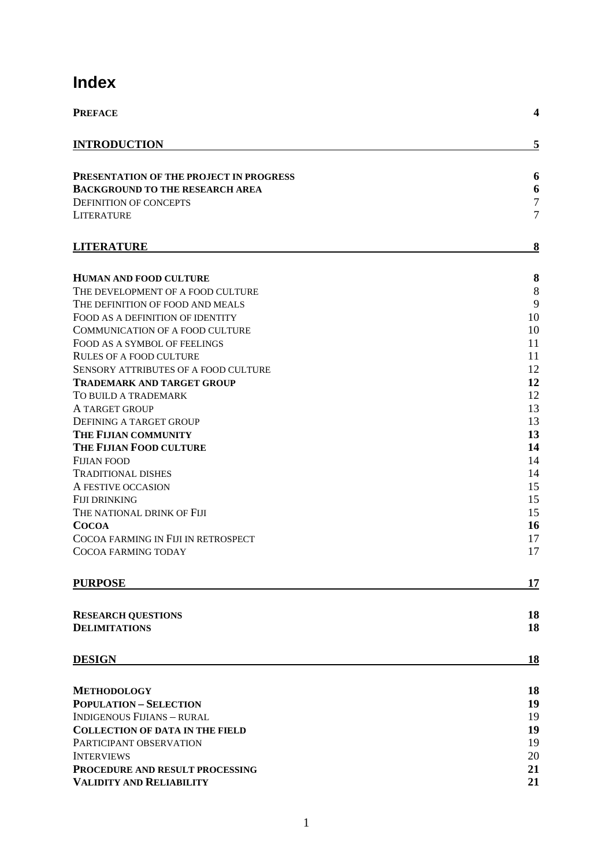# **Index**

| <b>PREFACE</b>                              | $\overline{\mathbf{4}}$ |
|---------------------------------------------|-------------------------|
| <b>INTRODUCTION</b>                         | 5                       |
|                                             |                         |
| PRESENTATION OF THE PROJECT IN PROGRESS     | 6                       |
| BACKGROUND TO THE RESEARCH AREA             | 6<br>$\overline{7}$     |
| <b>DEFINITION OF CONCEPTS</b>               | $\overline{7}$          |
| LITERATURE                                  |                         |
| <b>LITERATURE</b>                           | 8                       |
| <b>HUMAN AND FOOD CULTURE</b>               | 8                       |
| THE DEVELOPMENT OF A FOOD CULTURE           | 8                       |
| THE DEFINITION OF FOOD AND MEALS            | 9                       |
| FOOD AS A DEFINITION OF IDENTITY            | 10                      |
| COMMUNICATION OF A FOOD CULTURE             | 10                      |
| FOOD AS A SYMBOL OF FEELINGS                | 11                      |
| <b>RULES OF A FOOD CULTURE</b>              | 11                      |
| <b>SENSORY ATTRIBUTES OF A FOOD CULTURE</b> | 12                      |
| TRADEMARK AND TARGET GROUP                  | 12                      |
| TO BUILD A TRADEMARK                        | 12                      |
| A TARGET GROUP                              | 13                      |
| <b>DEFINING A TARGET GROUP</b>              | 13                      |
| THE FIJIAN COMMUNITY                        | 13                      |
| THE FIJIAN FOOD CULTURE                     | 14                      |
| FIJIAN FOOD                                 | 14                      |
| <b>TRADITIONAL DISHES</b>                   | 14                      |
| A FESTIVE OCCASION                          | 15                      |
| FIJI DRINKING                               | 15                      |
| THE NATIONAL DRINK OF FIJI                  | 15                      |
| <b>COCOA</b>                                | 16                      |
| COCOA FARMING IN FIJI IN RETROSPECT         | 17                      |
| COCOA FARMING TODAY                         | 17                      |
| <b>PURPOSE</b>                              | 17                      |
| <b>RESEARCH QUESTIONS</b>                   | 18                      |
| <b>DELIMITATIONS</b>                        | 18                      |
| <b>DESIGN</b>                               | 18                      |
|                                             |                         |
| <b>METHODOLOGY</b>                          | 18                      |
| <b>POPULATION - SELECTION</b>               | 19                      |
| <b>INDIGENOUS FIJIANS - RURAL</b>           | 19                      |
| <b>COLLECTION OF DATA IN THE FIELD</b>      | 19                      |
| PARTICIPANT OBSERVATION                     | 19                      |
| <b>INTERVIEWS</b>                           | 20                      |
| PROCEDURE AND RESULT PROCESSING             | 21                      |
| VALIDITY AND RELIABILITY                    | 21                      |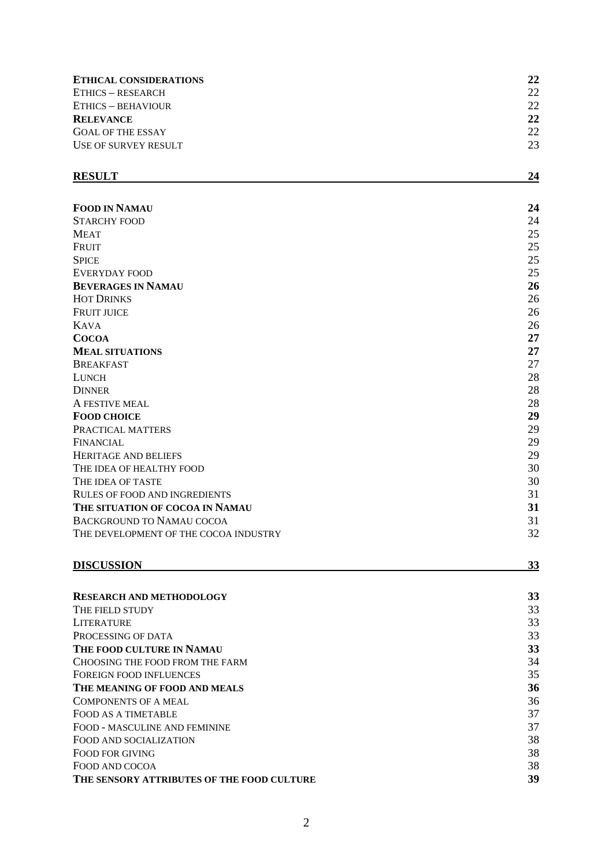| <b>ETHICAL CONSIDERATIONS</b><br><b>ETHICS - RESEARCH</b><br>ETHICS - BEHAVIOUR<br><b>RELEVANCE</b> | 22<br>22<br>22<br>22 |                          |    |
|-----------------------------------------------------------------------------------------------------|----------------------|--------------------------|----|
|                                                                                                     |                      | <b>GOAL OF THE ESSAY</b> | 22 |
|                                                                                                     |                      | USE OF SURVEY RESULT     | 23 |
|                                                                                                     |                      | <b>RESULT</b>            | 24 |
| <b>FOOD IN NAMAU</b>                                                                                | 24                   |                          |    |
| <b>STARCHY FOOD</b>                                                                                 | 24                   |                          |    |
| <b>MEAT</b>                                                                                         | 25                   |                          |    |
| <b>FRUIT</b>                                                                                        | 25                   |                          |    |
| <b>SPICE</b>                                                                                        | 25                   |                          |    |
| EVERYDAY FOOD                                                                                       | 25                   |                          |    |
| <b>BEVERAGES IN NAMAU</b>                                                                           | 26                   |                          |    |
| <b>HOT DRINKS</b>                                                                                   | 26                   |                          |    |
| <b>FRUIT JUICE</b>                                                                                  | 26                   |                          |    |
| <b>KAVA</b>                                                                                         | 26                   |                          |    |
| <b>COCOA</b>                                                                                        | 27                   |                          |    |
| <b>MEAL SITUATIONS</b>                                                                              | 27                   |                          |    |
| <b>BREAKFAST</b>                                                                                    | 27                   |                          |    |
| <b>LUNCH</b>                                                                                        | 28                   |                          |    |
| <b>DINNER</b>                                                                                       | 28                   |                          |    |
| A FESTIVE MEAL                                                                                      | 28                   |                          |    |
| <b>FOOD CHOICE</b>                                                                                  | 29                   |                          |    |
| PRACTICAL MATTERS                                                                                   | 29                   |                          |    |
| FINANCIAL                                                                                           | 29                   |                          |    |
| <b>HERITAGE AND BELIEFS</b>                                                                         | 29                   |                          |    |
| THE IDEA OF HEALTHY FOOD                                                                            | 30                   |                          |    |
| THE IDEA OF TASTE                                                                                   | 30                   |                          |    |
| RULES OF FOOD AND INGREDIENTS                                                                       | 31                   |                          |    |
| THE SITUATION OF COCOA IN NAMAU                                                                     | 31                   |                          |    |
| BACKGROUND TO NAMAU COCOA                                                                           | 31                   |                          |    |
| THE DEVELOPMENT OF THE COCOA INDUSTRY                                                               | 32                   |                          |    |
| <b>DISCUSSION</b>                                                                                   | 33                   |                          |    |
|                                                                                                     |                      |                          |    |
| <b>RESEARCH AND METHODOLOGY</b>                                                                     | 33<br>33             |                          |    |
| THE FIELD STUDY                                                                                     | 33                   |                          |    |
| LITERATURE                                                                                          | 33                   |                          |    |
| PROCESSING OF DATA<br>THE FOOD CULTURE IN NAMAU                                                     | 33                   |                          |    |
| CHOOSING THE FOOD FROM THE FARM                                                                     | 34                   |                          |    |
| FOREIGN FOOD INFLUENCES                                                                             | 35                   |                          |    |
| THE MEANING OF FOOD AND MEALS                                                                       | 36                   |                          |    |
| <b>COMPONENTS OF A MEAL</b>                                                                         | 36                   |                          |    |
| FOOD AS A TIMETABLE                                                                                 | 37                   |                          |    |
| FOOD - MASCULINE AND FEMININE                                                                       | 37                   |                          |    |
| FOOD AND SOCIALIZATION                                                                              | 38                   |                          |    |
| FOOD FOR GIVING                                                                                     | 38                   |                          |    |
| FOOD AND COCOA                                                                                      | 38                   |                          |    |
| THE SENSORY ATTRIBUTES OF THE FOOD CULTURE                                                          | 39                   |                          |    |
|                                                                                                     |                      |                          |    |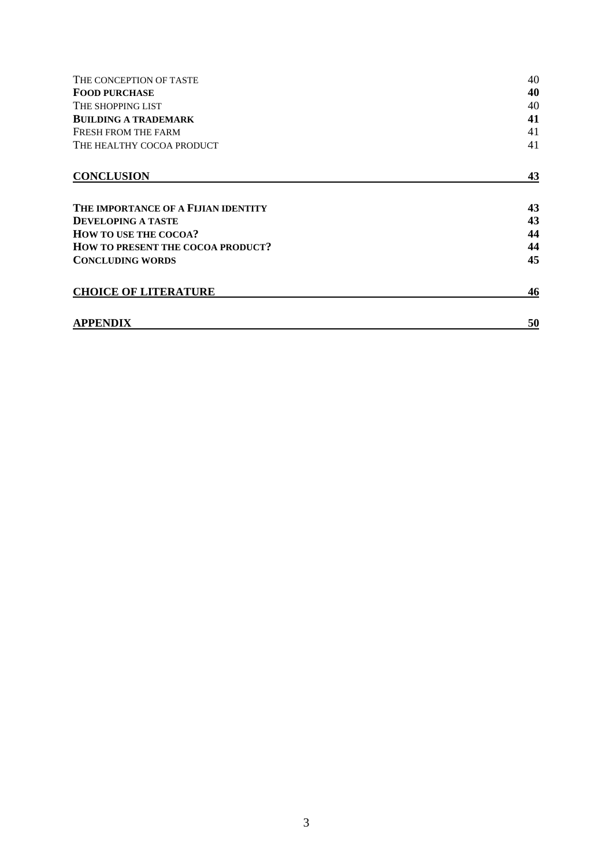| THE CONCEPTION OF TASTE                  | 40 |
|------------------------------------------|----|
| <b>FOOD PURCHASE</b>                     | 40 |
| THE SHOPPING LIST                        | 40 |
| <b>BUILDING A TRADEMARK</b>              | 41 |
| FRESH FROM THE FARM                      | 41 |
| THE HEALTHY COCOA PRODUCT                | 41 |
| <b>CONCLUSION</b>                        | 43 |
| THE IMPORTANCE OF A FIJIAN IDENTITY      | 43 |
| <b>DEVELOPING A TASTE</b>                | 43 |
| <b>HOW TO USE THE COCOA?</b>             | 44 |
| <b>HOW TO PRESENT THE COCOA PRODUCT?</b> | 44 |
| <b>CONCLUDING WORDS</b>                  | 45 |
| <b>CHOICE OF LITERATURE</b>              | 46 |
| <b>APPENDIX</b>                          | 50 |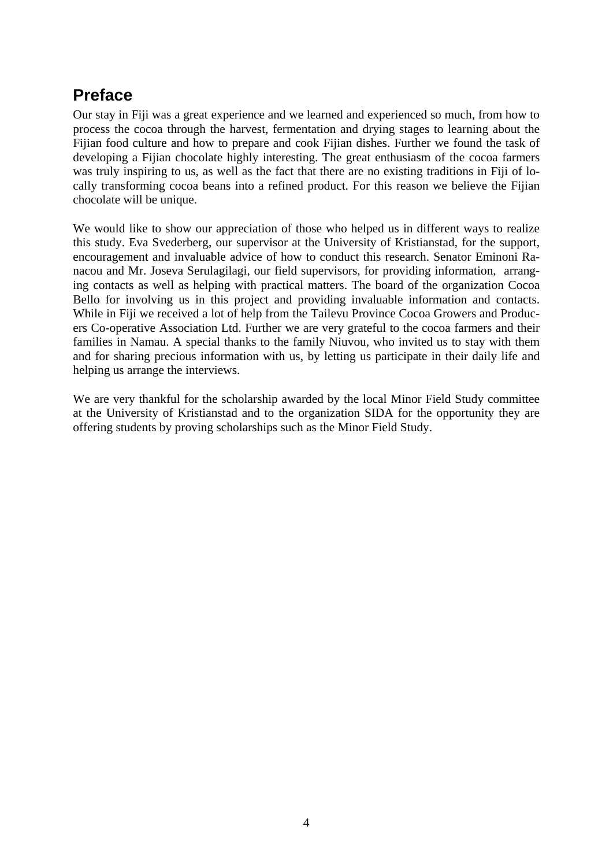# <span id="page-5-0"></span>**Preface**

Our stay in Fiji was a great experience and we learned and experienced so much, from how to process the cocoa through the harvest, fermentation and drying stages to learning about the Fijian food culture and how to prepare and cook Fijian dishes. Further we found the task of developing a Fijian chocolate highly interesting. The great enthusiasm of the cocoa farmers was truly inspiring to us, as well as the fact that there are no existing traditions in Fiji of locally transforming cocoa beans into a refined product. For this reason we believe the Fijian chocolate will be unique.

We would like to show our appreciation of those who helped us in different ways to realize this study. Eva Svederberg, our supervisor at the University of Kristianstad, for the support, encouragement and invaluable advice of how to conduct this research. Senator Eminoni Ranacou and Mr. Joseva Serulagilagi, our field supervisors, for providing information, arranging contacts as well as helping with practical matters. The board of the organization Cocoa Bello for involving us in this project and providing invaluable information and contacts. While in Fiji we received a lot of help from the Tailevu Province Cocoa Growers and Producers Co-operative Association Ltd. Further we are very grateful to the cocoa farmers and their families in Namau. A special thanks to the family Niuvou, who invited us to stay with them and for sharing precious information with us, by letting us participate in their daily life and helping us arrange the interviews.

We are very thankful for the scholarship awarded by the local Minor Field Study committee at the University of Kristianstad and to the organization SIDA for the opportunity they are offering students by proving scholarships such as the Minor Field Study.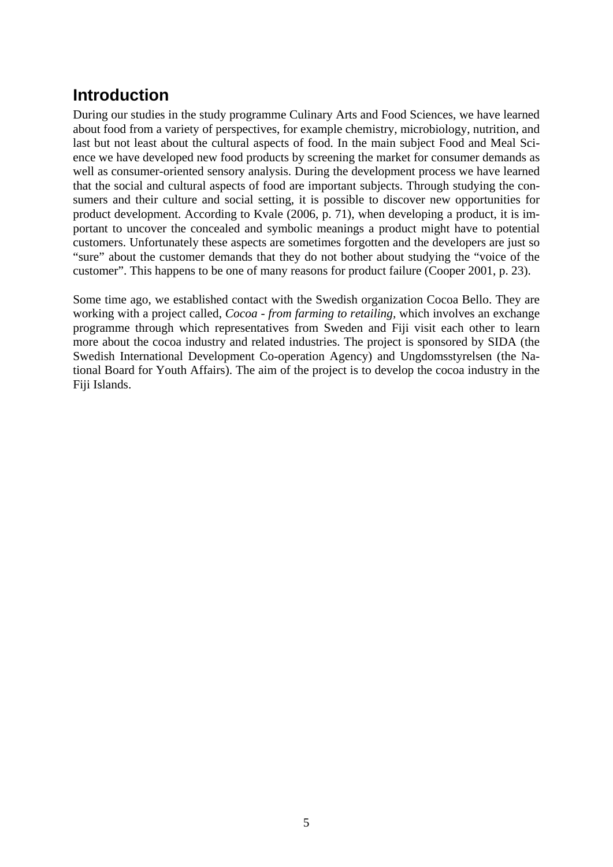# <span id="page-6-0"></span>**Introduction**

During our studies in the study programme Culinary Arts and Food Sciences, we have learned about food from a variety of perspectives, for example chemistry, microbiology, nutrition, and last but not least about the cultural aspects of food. In the main subject Food and Meal Science we have developed new food products by screening the market for consumer demands as well as consumer-oriented sensory analysis. During the development process we have learned that the social and cultural aspects of food are important subjects. Through studying the consumers and their culture and social setting, it is possible to discover new opportunities for product development. According to Kvale (2006, p. 71), when developing a product, it is important to uncover the concealed and symbolic meanings a product might have to potential customers. Unfortunately these aspects are sometimes forgotten and the developers are just so "sure" about the customer demands that they do not bother about studying the "voice of the customer". This happens to be one of many reasons for product failure (Cooper 2001, p. 23).

Some time ago, we established contact with the Swedish organization Cocoa Bello. They are working with a project called, *Cocoa - from farming to retailing,* which involves an exchange programme through which representatives from Sweden and Fiji visit each other to learn more about the cocoa industry and related industries. The project is sponsored by SIDA (the Swedish International Development Co-operation Agency) and Ungdomsstyrelsen (the National Board for Youth Affairs). The aim of the project is to develop the cocoa industry in the Fiji Islands.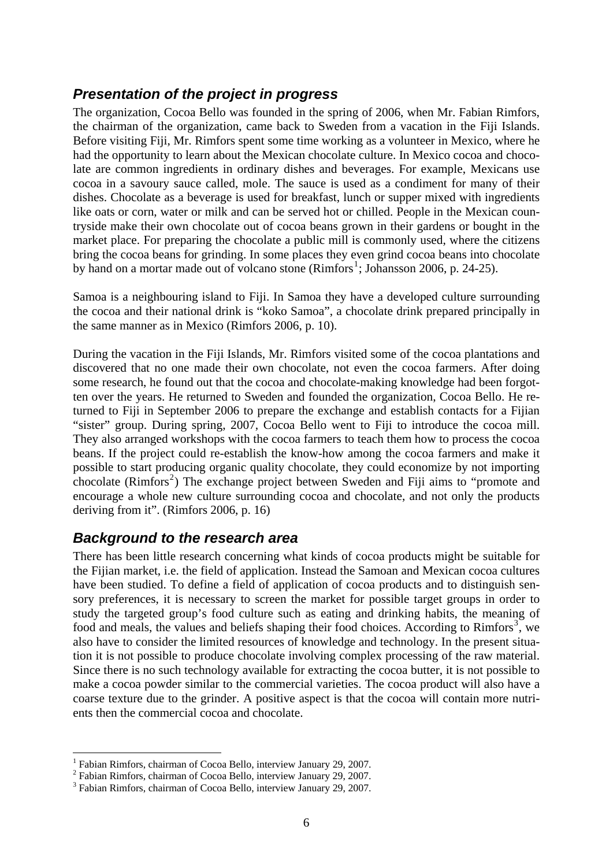#### <span id="page-7-0"></span>*Presentation of the project in progress*

The organization, Cocoa Bello was founded in the spring of 2006, when Mr. Fabian Rimfors, the chairman of the organization, came back to Sweden from a vacation in the Fiji Islands. Before visiting Fiji, Mr. Rimfors spent some time working as a volunteer in Mexico, where he had the opportunity to learn about the Mexican chocolate culture. In Mexico cocoa and chocolate are common ingredients in ordinary dishes and beverages. For example, Mexicans use cocoa in a savoury sauce called, mole. The sauce is used as a condiment for many of their dishes. Chocolate as a beverage is used for breakfast, lunch or supper mixed with ingredients like oats or corn, water or milk and can be served hot or chilled. People in the Mexican countryside make their own chocolate out of cocoa beans grown in their gardens or bought in the market place. For preparing the chocolate a public mill is commonly used, where the citizens bring the cocoa beans for grinding. In some places they even grind cocoa beans into chocolate by hand on a mortar made out of volcano stone  $(Rimfors<sup>1</sup>; Johansson 2006, p. 24-25)$  $(Rimfors<sup>1</sup>; Johansson 2006, p. 24-25)$  $(Rimfors<sup>1</sup>; Johansson 2006, p. 24-25)$ .

Samoa is a neighbouring island to Fiji. In Samoa they have a developed culture surrounding the cocoa and their national drink is "koko Samoa", a chocolate drink prepared principally in the same manner as in Mexico (Rimfors 2006, p. 10).

During the vacation in the Fiji Islands, Mr. Rimfors visited some of the cocoa plantations and discovered that no one made their own chocolate, not even the cocoa farmers. After doing some research, he found out that the cocoa and chocolate-making knowledge had been forgotten over the years. He returned to Sweden and founded the organization, Cocoa Bello. He returned to Fiji in September 2006 to prepare the exchange and establish contacts for a Fijian "sister" group. During spring, 2007, Cocoa Bello went to Fiji to introduce the cocoa mill. They also arranged workshops with the cocoa farmers to teach them how to process the cocoa beans. If the project could re-establish the know-how among the cocoa farmers and make it possible to start producing organic quality chocolate, they could economize by not importing chocolate (Rimfors<sup>[2](#page-7-2)</sup>) The exchange project between Sweden and Fiji aims to "promote and encourage a whole new culture surrounding cocoa and chocolate, and not only the products deriving from it". (Rimfors 2006, p. 16)

#### *Background to the research area*

There has been little research concerning what kinds of cocoa products might be suitable for the Fijian market, i.e. the field of application. Instead the Samoan and Mexican cocoa cultures have been studied. To define a field of application of cocoa products and to distinguish sensory preferences, it is necessary to screen the market for possible target groups in order to study the targeted group's food culture such as eating and drinking habits, the meaning of food and meals, the values and beliefs shaping their food choices. According to  $R$ imfors<sup>[3](#page-7-3)</sup>, we also have to consider the limited resources of knowledge and technology. In the present situation it is not possible to produce chocolate involving complex processing of the raw material. Since there is no such technology available for extracting the cocoa butter, it is not possible to make a cocoa powder similar to the commercial varieties. The cocoa product will also have a coarse texture due to the grinder. A positive aspect is that the cocoa will contain more nutrients then the commercial cocoa and chocolate.

 1 Fabian Rimfors, chairman of Cocoa Bello, interview January 29, 2007.

<span id="page-7-2"></span><span id="page-7-1"></span><sup>&</sup>lt;sup>2</sup> Fabian Rimfors, chairman of Cocoa Bello, interview January 29, 2007.

<span id="page-7-3"></span><sup>&</sup>lt;sup>3</sup> Fabian Rimfors, chairman of Cocoa Bello, interview January 29, 2007.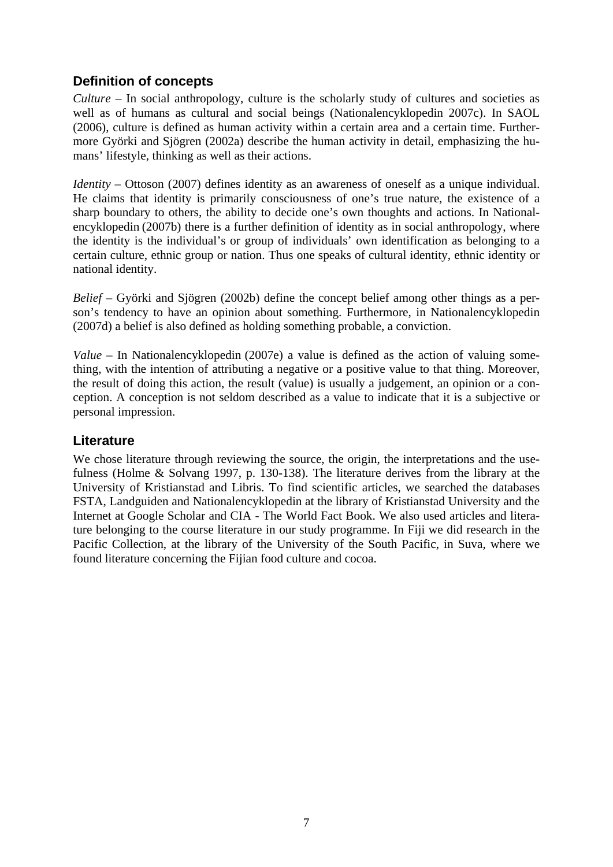#### <span id="page-8-0"></span>**Definition of concepts**

*Culture* – In social anthropology, culture is the scholarly study of cultures and societies as well as of humans as cultural and social beings (Nationalencyklopedin 2007c). In SAOL (2006), culture is defined as human activity within a certain area and a certain time. Furthermore Györki and Sjögren (2002a) describe the human activity in detail, emphasizing the humans' lifestyle, thinking as well as their actions.

*Identity –* Ottoson (2007) defines identity as an awareness of oneself as a unique individual. He claims that identity is primarily consciousness of one's true nature, the existence of a sharp boundary to others, the ability to decide one's own thoughts and actions. In Nationalencyklopedin (2007b) there is a further definition of identity as in social anthropology, where the identity is the individual's or group of individuals' own identification as belonging to a certain culture, ethnic group or nation. Thus one speaks of cultural identity, ethnic identity or national identity.

*Belief* – Györki and Sjögren (2002b) define the concept belief among other things as a person's tendency to have an opinion about something. Furthermore, in Nationalencyklopedin (2007d) a belief is also defined as holding something probable, a conviction.

*Value* – In Nationalencyklopedin (2007e) a value is defined as the action of valuing something, with the intention of attributing a negative or a positive value to that thing. Moreover, the result of doing this action, the result (value) is usually a judgement, an opinion or a conception. A conception is not seldom described as a value to indicate that it is a subjective or personal impression.

#### **Literature**

We chose literature through reviewing the source, the origin, the interpretations and the usefulness (Holme & Solvang 1997, p. 130-138). The literature derives from the library at the University of Kristianstad and Libris. To find scientific articles, we searched the databases FSTA, Landguiden and Nationalencyklopedin at the library of Kristianstad University and the Internet at Google Scholar and CIA - The World Fact Book. We also used articles and literature belonging to the course literature in our study programme. In Fiji we did research in the Pacific Collection, at the library of the University of the South Pacific, in Suva, where we found literature concerning the Fijian food culture and cocoa.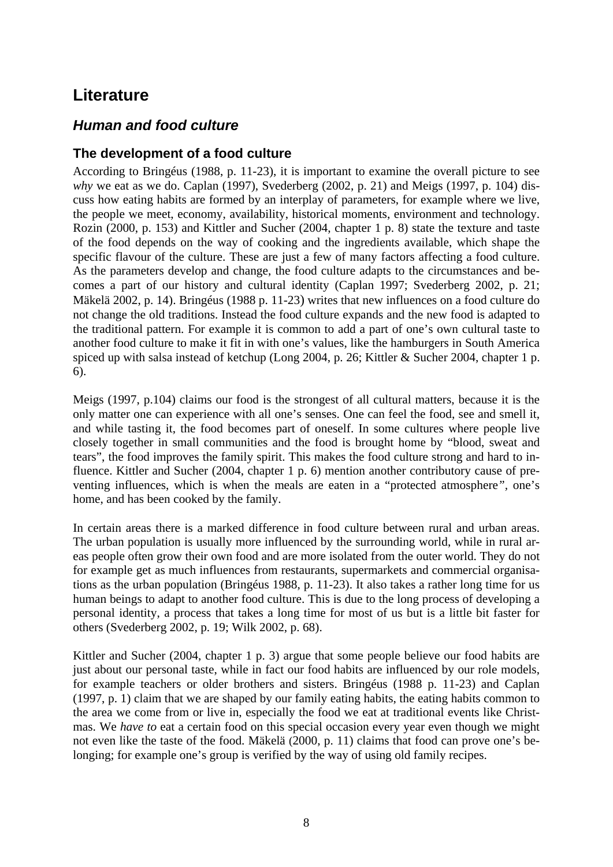# <span id="page-9-0"></span>**Literature**

## *Human and food culture*

#### **The development of a food culture**

According to Bringéus (1988, p. 11-23), it is important to examine the overall picture to see *why* we eat as we do. Caplan (1997), Svederberg (2002, p. 21) and Meigs (1997, p. 104) discuss how eating habits are formed by an interplay of parameters, for example where we live, the people we meet, economy, availability, historical moments, environment and technology. Rozin (2000, p. 153) and Kittler and Sucher (2004, chapter 1 p. 8) state the texture and taste of the food depends on the way of cooking and the ingredients available, which shape the specific flavour of the culture. These are just a few of many factors affecting a food culture. As the parameters develop and change, the food culture adapts to the circumstances and becomes a part of our history and cultural identity (Caplan 1997; Svederberg 2002, p. 21; Mäkelä 2002, p. 14). Bringéus (1988 p. 11-23) writes that new influences on a food culture do not change the old traditions. Instead the food culture expands and the new food is adapted to the traditional pattern. For example it is common to add a part of one's own cultural taste to another food culture to make it fit in with one's values, like the hamburgers in South America spiced up with salsa instead of ketchup (Long 2004, p. 26; Kittler & Sucher 2004, chapter 1 p. 6).

Meigs (1997, p.104) claims our food is the strongest of all cultural matters, because it is the only matter one can experience with all one's senses. One can feel the food, see and smell it, and while tasting it, the food becomes part of oneself. In some cultures where people live closely together in small communities and the food is brought home by "blood, sweat and tears", the food improves the family spirit. This makes the food culture strong and hard to influence. Kittler and Sucher (2004, chapter 1 p. 6) mention another contributory cause of preventing influences, which is when the meals are eaten in a "protected atmosphere*",* one's home, and has been cooked by the family.

In certain areas there is a marked difference in food culture between rural and urban areas. The urban population is usually more influenced by the surrounding world, while in rural areas people often grow their own food and are more isolated from the outer world. They do not for example get as much influences from restaurants, supermarkets and commercial organisations as the urban population (Bringéus 1988, p. 11-23). It also takes a rather long time for us human beings to adapt to another food culture. This is due to the long process of developing a personal identity, a process that takes a long time for most of us but is a little bit faster for others (Svederberg 2002, p. 19; Wilk 2002, p. 68).

Kittler and Sucher (2004, chapter 1 p. 3) argue that some people believe our food habits are just about our personal taste, while in fact our food habits are influenced by our role models, for example teachers or older brothers and sisters. Bringéus (1988 p. 11-23) and Caplan (1997, p. 1) claim that we are shaped by our family eating habits, the eating habits common to the area we come from or live in, especially the food we eat at traditional events like Christmas. We *have to* eat a certain food on this special occasion every year even though we might not even like the taste of the food. Mäkelä (2000, p. 11) claims that food can prove one's belonging; for example one's group is verified by the way of using old family recipes.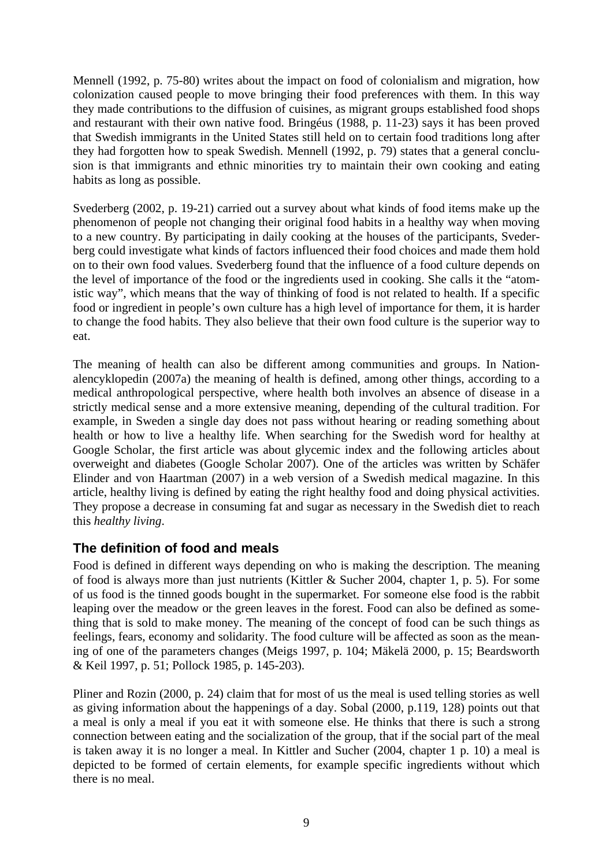<span id="page-10-0"></span>Mennell (1992, p. 75-80) writes about the impact on food of colonialism and migration, how colonization caused people to move bringing their food preferences with them. In this way they made contributions to the diffusion of cuisines, as migrant groups established food shops and restaurant with their own native food. Bringéus (1988, p. 11-23) says it has been proved that Swedish immigrants in the United States still held on to certain food traditions long after they had forgotten how to speak Swedish. Mennell (1992, p. 79) states that a general conclusion is that immigrants and ethnic minorities try to maintain their own cooking and eating habits as long as possible.

Svederberg (2002, p. 19-21) carried out a survey about what kinds of food items make up the phenomenon of people not changing their original food habits in a healthy way when moving to a new country. By participating in daily cooking at the houses of the participants, Svederberg could investigate what kinds of factors influenced their food choices and made them hold on to their own food values. Svederberg found that the influence of a food culture depends on the level of importance of the food or the ingredients used in cooking. She calls it the "atomistic way", which means that the way of thinking of food is not related to health. If a specific food or ingredient in people's own culture has a high level of importance for them, it is harder to change the food habits. They also believe that their own food culture is the superior way to eat.

The meaning of health can also be different among communities and groups. In Nationalencyklopedin (2007a) the meaning of health is defined, among other things, according to a medical anthropological perspective, where health both involves an absence of disease in a strictly medical sense and a more extensive meaning, depending of the cultural tradition. For example, in Sweden a single day does not pass without hearing or reading something about health or how to live a healthy life. When searching for the Swedish word for healthy at Google Scholar, the first article was about glycemic index and the following articles about overweight and diabetes (Google Scholar 2007). One of the articles was written by Schäfer Elinder and von Haartman (2007) in a web version of a Swedish medical magazine. In this article, healthy living is defined by eating the right healthy food and doing physical activities. They propose a decrease in consuming fat and sugar as necessary in the Swedish diet to reach this *healthy living*.

#### **The definition of food and meals**

Food is defined in different ways depending on who is making the description. The meaning of food is always more than just nutrients (Kittler & Sucher 2004, chapter 1, p. 5). For some of us food is the tinned goods bought in the supermarket. For someone else food is the rabbit leaping over the meadow or the green leaves in the forest. Food can also be defined as something that is sold to make money. The meaning of the concept of food can be such things as feelings, fears, economy and solidarity. The food culture will be affected as soon as the meaning of one of the parameters changes (Meigs 1997, p. 104; Mäkelä 2000, p. 15; Beardsworth & Keil 1997, p. 51; Pollock 1985, p. 145-203).

Pliner and Rozin (2000, p. 24) claim that for most of us the meal is used telling stories as well as giving information about the happenings of a day. Sobal (2000, p.119, 128) points out that a meal is only a meal if you eat it with someone else. He thinks that there is such a strong connection between eating and the socialization of the group, that if the social part of the meal is taken away it is no longer a meal. In Kittler and Sucher (2004, chapter 1 p. 10) a meal is depicted to be formed of certain elements, for example specific ingredients without which there is no meal.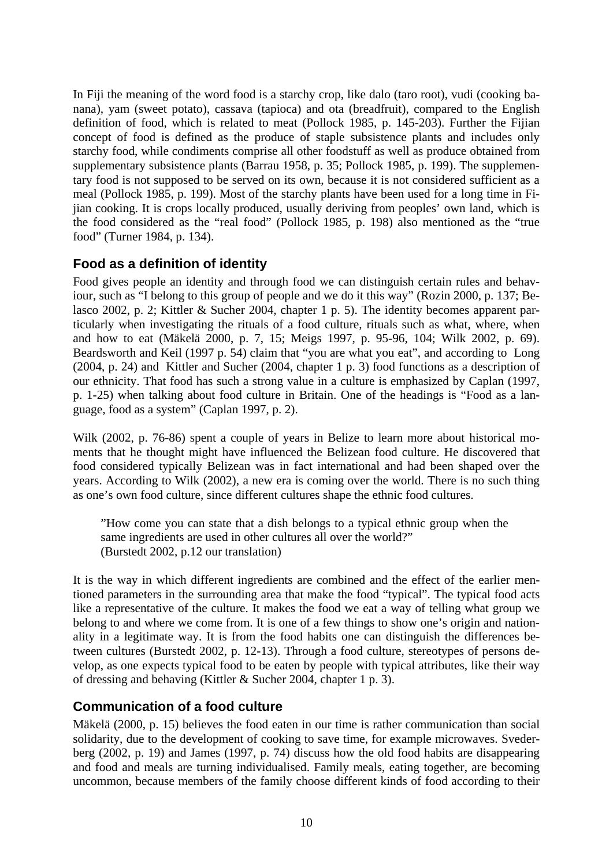<span id="page-11-0"></span>In Fiji the meaning of the word food is a starchy crop, like dalo (taro root), vudi (cooking banana), yam (sweet potato), cassava (tapioca) and ota (breadfruit), compared to the English definition of food, which is related to meat (Pollock 1985, p. 145-203). Further the Fijian concept of food is defined as the produce of staple subsistence plants and includes only starchy food, while condiments comprise all other foodstuff as well as produce obtained from supplementary subsistence plants (Barrau 1958, p. 35; Pollock 1985, p. 199). The supplementary food is not supposed to be served on its own, because it is not considered sufficient as a meal (Pollock 1985, p. 199). Most of the starchy plants have been used for a long time in Fijian cooking. It is crops locally produced, usually deriving from peoples' own land, which is the food considered as the "real food" (Pollock 1985, p. 198) also mentioned as the "true food" (Turner 1984, p. 134).

#### **Food as a definition of identity**

Food gives people an identity and through food we can distinguish certain rules and behaviour, such as "I belong to this group of people and we do it this way" (Rozin 2000, p. 137; Belasco 2002, p. 2; Kittler & Sucher 2004, chapter 1 p. 5). The identity becomes apparent particularly when investigating the rituals of a food culture, rituals such as what, where, when and how to eat (Mäkelä 2000, p. 7, 15; Meigs 1997, p. 95-96, 104; Wilk 2002, p. 69). Beardsworth and Keil (1997 p. 54) claim that "you are what you eat", and according to Long (2004, p. 24) and Kittler and Sucher (2004, chapter 1 p. 3) food functions as a description of our ethnicity. That food has such a strong value in a culture is emphasized by Caplan (1997, p. 1-25) when talking about food culture in Britain. One of the headings is "Food as a language, food as a system" (Caplan 1997, p. 2).

Wilk (2002, p. 76-86) spent a couple of years in Belize to learn more about historical moments that he thought might have influenced the Belizean food culture. He discovered that food considered typically Belizean was in fact international and had been shaped over the years. According to Wilk (2002), a new era is coming over the world. There is no such thing as one's own food culture, since different cultures shape the ethnic food cultures.

"How come you can state that a dish belongs to a typical ethnic group when the same ingredients are used in other cultures all over the world?" (Burstedt 2002, p.12 our translation)

It is the way in which different ingredients are combined and the effect of the earlier mentioned parameters in the surrounding area that make the food "typical". The typical food acts like a representative of the culture. It makes the food we eat a way of telling what group we belong to and where we come from. It is one of a few things to show one's origin and nationality in a legitimate way. It is from the food habits one can distinguish the differences between cultures (Burstedt 2002, p. 12-13). Through a food culture, stereotypes of persons develop, as one expects typical food to be eaten by people with typical attributes, like their way of dressing and behaving (Kittler & Sucher 2004, chapter 1 p. 3).

#### **Communication of a food culture**

Mäkelä (2000, p. 15) believes the food eaten in our time is rather communication than social solidarity, due to the development of cooking to save time, for example microwaves. Svederberg (2002, p. 19) and James (1997, p. 74) discuss how the old food habits are disappearing and food and meals are turning individualised. Family meals, eating together, are becoming uncommon, because members of the family choose different kinds of food according to their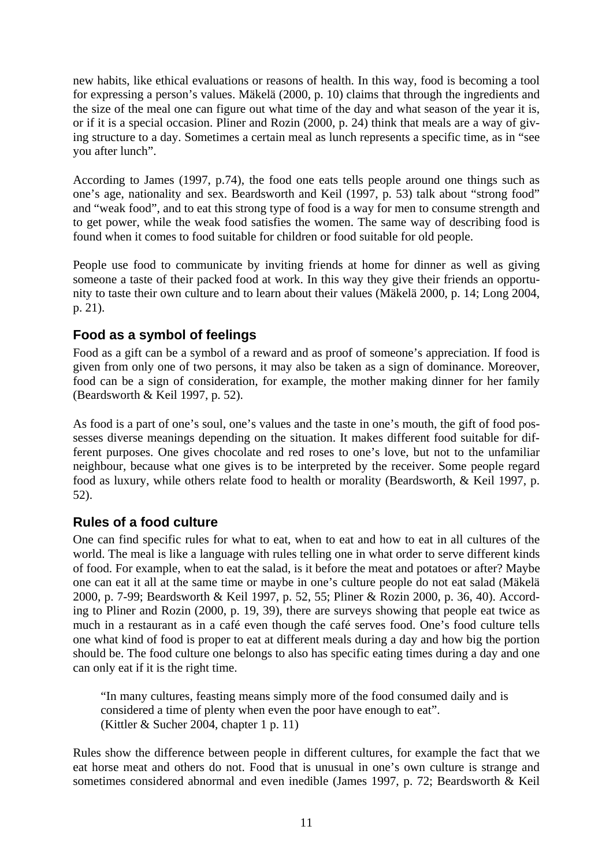<span id="page-12-0"></span>new habits, like ethical evaluations or reasons of health. In this way, food is becoming a tool for expressing a person's values. Mäkelä (2000, p. 10) claims that through the ingredients and the size of the meal one can figure out what time of the day and what season of the year it is, or if it is a special occasion. Pliner and Rozin (2000, p. 24) think that meals are a way of giving structure to a day. Sometimes a certain meal as lunch represents a specific time, as in "see you after lunch".

According to James (1997, p.74), the food one eats tells people around one things such as one's age, nationality and sex. Beardsworth and Keil (1997, p. 53) talk about "strong food" and "weak food", and to eat this strong type of food is a way for men to consume strength and to get power, while the weak food satisfies the women. The same way of describing food is found when it comes to food suitable for children or food suitable for old people.

People use food to communicate by inviting friends at home for dinner as well as giving someone a taste of their packed food at work. In this way they give their friends an opportunity to taste their own culture and to learn about their values (Mäkelä 2000, p. 14; Long 2004, p. 21).

#### **Food as a symbol of feelings**

Food as a gift can be a symbol of a reward and as proof of someone's appreciation. If food is given from only one of two persons, it may also be taken as a sign of dominance. Moreover, food can be a sign of consideration, for example, the mother making dinner for her family (Beardsworth & Keil 1997, p. 52).

As food is a part of one's soul, one's values and the taste in one's mouth, the gift of food possesses diverse meanings depending on the situation. It makes different food suitable for different purposes. One gives chocolate and red roses to one's love, but not to the unfamiliar neighbour, because what one gives is to be interpreted by the receiver. Some people regard food as luxury, while others relate food to health or morality (Beardsworth, & Keil 1997, p. 52).

#### **Rules of a food culture**

One can find specific rules for what to eat, when to eat and how to eat in all cultures of the world. The meal is like a language with rules telling one in what order to serve different kinds of food. For example, when to eat the salad, is it before the meat and potatoes or after? Maybe one can eat it all at the same time or maybe in one's culture people do not eat salad (Mäkelä 2000, p. 7-99; Beardsworth & Keil 1997, p. 52, 55; Pliner & Rozin 2000, p. 36, 40). According to Pliner and Rozin (2000, p. 19, 39), there are surveys showing that people eat twice as much in a restaurant as in a café even though the café serves food. One's food culture tells one what kind of food is proper to eat at different meals during a day and how big the portion should be. The food culture one belongs to also has specific eating times during a day and one can only eat if it is the right time.

"In many cultures, feasting means simply more of the food consumed daily and is considered a time of plenty when even the poor have enough to eat". (Kittler & Sucher 2004, chapter 1 p. 11)

Rules show the difference between people in different cultures, for example the fact that we eat horse meat and others do not. Food that is unusual in one's own culture is strange and sometimes considered abnormal and even inedible (James 1997, p. 72; Beardsworth & Keil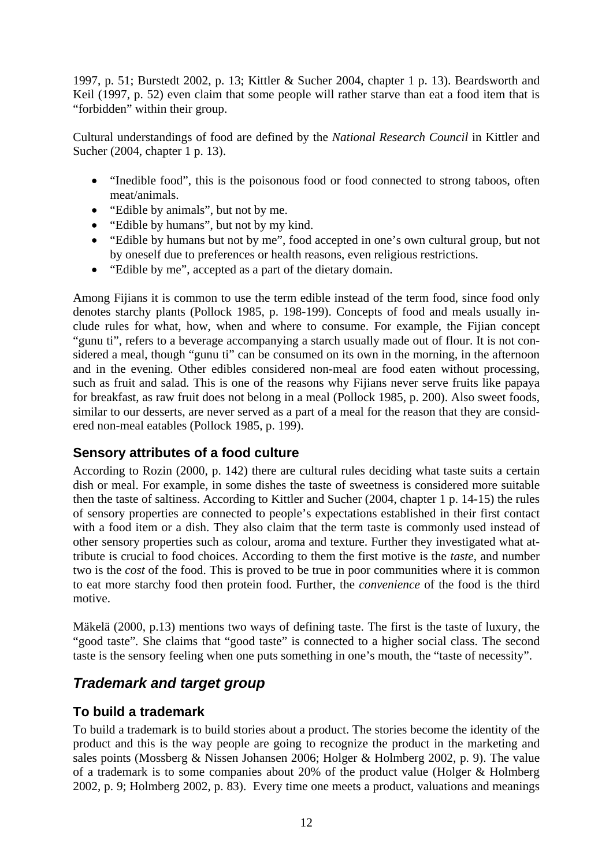<span id="page-13-0"></span>1997, p. 51; Burstedt 2002, p. 13; Kittler & Sucher 2004, chapter 1 p. 13). Beardsworth and Keil (1997, p. 52) even claim that some people will rather starve than eat a food item that is "forbidden" within their group.

Cultural understandings of food are defined by the *National Research Council* in Kittler and Sucher (2004, chapter 1 p. 13).

- "Inedible food", this is the poisonous food or food connected to strong taboos, often meat/animals.
- "Edible by animals", but not by me.
- "Edible by humans", but not by my kind.
- "Edible by humans but not by me", food accepted in one's own cultural group, but not by oneself due to preferences or health reasons, even religious restrictions.
- "Edible by me", accepted as a part of the dietary domain.

Among Fijians it is common to use the term edible instead of the term food, since food only denotes starchy plants (Pollock 1985, p. 198-199). Concepts of food and meals usually include rules for what, how, when and where to consume. For example, the Fijian concept "gunu ti", refers to a beverage accompanying a starch usually made out of flour. It is not considered a meal, though "gunu ti" can be consumed on its own in the morning, in the afternoon and in the evening. Other edibles considered non-meal are food eaten without processing, such as fruit and salad*.* This is one of the reasons why Fijians never serve fruits like papaya for breakfast, as raw fruit does not belong in a meal (Pollock 1985, p. 200). Also sweet foods, similar to our desserts, are never served as a part of a meal for the reason that they are considered non-meal eatables (Pollock 1985, p. 199).

#### **Sensory attributes of a food culture**

According to Rozin (2000, p. 142) there are cultural rules deciding what taste suits a certain dish or meal. For example, in some dishes the taste of sweetness is considered more suitable then the taste of saltiness. According to Kittler and Sucher (2004, chapter 1 p. 14-15) the rules of sensory properties are connected to people's expectations established in their first contact with a food item or a dish. They also claim that the term taste is commonly used instead of other sensory properties such as colour, aroma and texture. Further they investigated what attribute is crucial to food choices. According to them the first motive is the *taste*, and number two is the *cost* of the food. This is proved to be true in poor communities where it is common to eat more starchy food then protein food. Further, the *convenience* of the food is the third motive.

Mäkelä (2000, p.13) mentions two ways of defining taste. The first is the taste of luxury, the "good taste"*.* She claims that "good taste" is connected to a higher social class. The second taste is the sensory feeling when one puts something in one's mouth, the "taste of necessity".

# *Trademark and target group*

#### **To build a trademark**

To build a trademark is to build stories about a product. The stories become the identity of the product and this is the way people are going to recognize the product in the marketing and sales points (Mossberg & Nissen Johansen 2006; Holger & Holmberg 2002, p. 9). The value of a trademark is to some companies about 20% of the product value (Holger & Holmberg 2002, p. 9; Holmberg 2002, p. 83). Every time one meets a product, valuations and meanings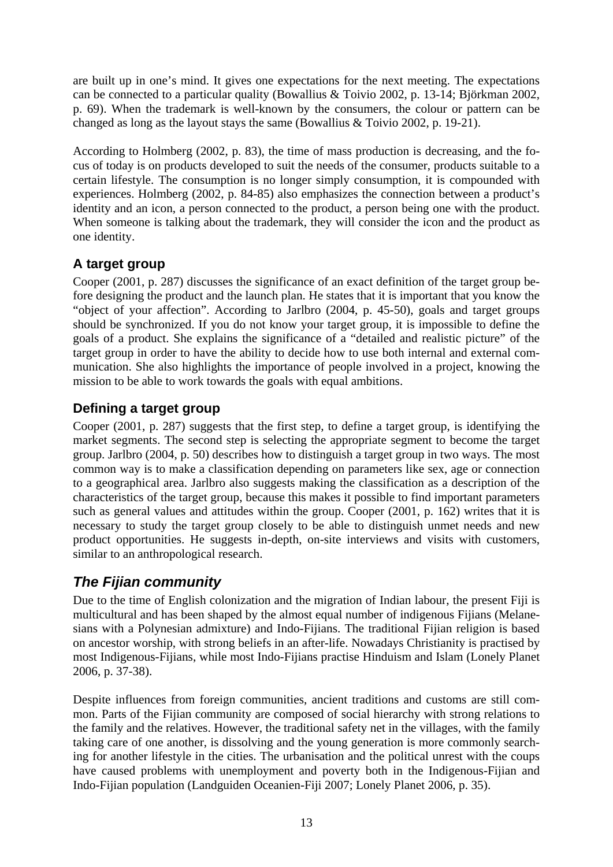<span id="page-14-0"></span>are built up in one's mind. It gives one expectations for the next meeting. The expectations can be connected to a particular quality (Bowallius & Toivio 2002, p. 13-14; Björkman 2002, p. 69). When the trademark is well-known by the consumers, the colour or pattern can be changed as long as the layout stays the same (Bowallius & Toivio 2002, p. 19-21).

According to Holmberg (2002, p. 83), the time of mass production is decreasing, and the focus of today is on products developed to suit the needs of the consumer, products suitable to a certain lifestyle. The consumption is no longer simply consumption, it is compounded with experiences. Holmberg (2002, p. 84-85) also emphasizes the connection between a product's identity and an icon, a person connected to the product, a person being one with the product. When someone is talking about the trademark, they will consider the icon and the product as one identity.

## **A target group**

Cooper (2001, p. 287) discusses the significance of an exact definition of the target group before designing the product and the launch plan. He states that it is important that you know the "object of your affection". According to Jarlbro (2004, p. 45-50), goals and target groups should be synchronized. If you do not know your target group, it is impossible to define the goals of a product. She explains the significance of a "detailed and realistic picture" of the target group in order to have the ability to decide how to use both internal and external communication. She also highlights the importance of people involved in a project, knowing the mission to be able to work towards the goals with equal ambitions.

# **Defining a target group**

Cooper (2001, p. 287) suggests that the first step, to define a target group, is identifying the market segments. The second step is selecting the appropriate segment to become the target group. Jarlbro (2004, p. 50) describes how to distinguish a target group in two ways. The most common way is to make a classification depending on parameters like sex, age or connection to a geographical area. Jarlbro also suggests making the classification as a description of the characteristics of the target group, because this makes it possible to find important parameters such as general values and attitudes within the group. Cooper (2001, p. 162) writes that it is necessary to study the target group closely to be able to distinguish unmet needs and new product opportunities. He suggests in-depth, on-site interviews and visits with customers, similar to an anthropological research.

# *The Fijian community*

Due to the time of English colonization and the migration of Indian labour, the present Fiji is multicultural and has been shaped by the almost equal number of indigenous Fijians (Melanesians with a Polynesian admixture) and Indo-Fijians. The traditional Fijian religion is based on ancestor worship, with strong beliefs in an after-life. Nowadays Christianity is practised by most Indigenous-Fijians, while most Indo-Fijians practise Hinduism and Islam (Lonely Planet 2006, p. 37-38).

Despite influences from foreign communities, ancient traditions and customs are still common. Parts of the Fijian community are composed of social hierarchy with strong relations to the family and the relatives. However, the traditional safety net in the villages, with the family taking care of one another, is dissolving and the young generation is more commonly searching for another lifestyle in the cities. The urbanisation and the political unrest with the coups have caused problems with unemployment and poverty both in the Indigenous-Fijian and Indo-Fijian population (Landguiden Oceanien-Fiji 2007; Lonely Planet 2006, p. 35).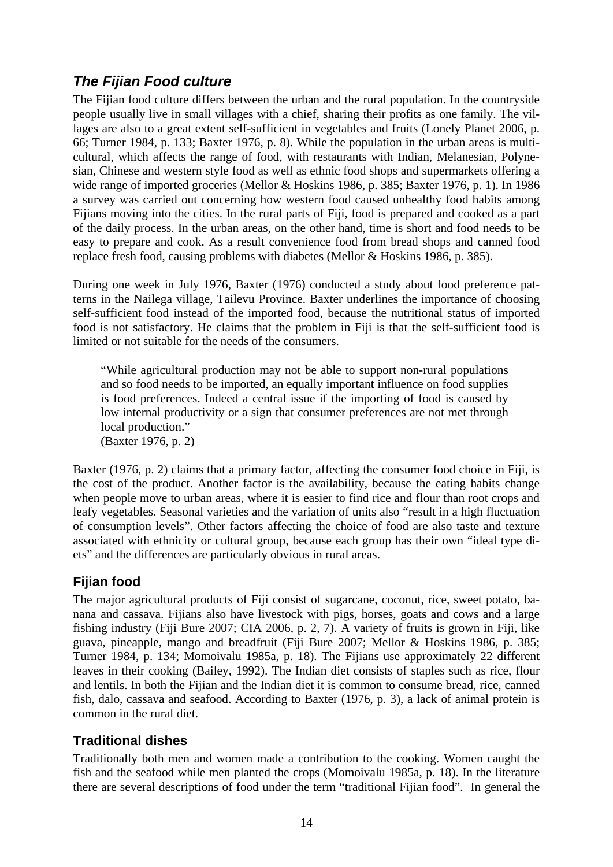# <span id="page-15-0"></span>*The Fijian Food culture*

The Fijian food culture differs between the urban and the rural population. In the countryside people usually live in small villages with a chief, sharing their profits as one family. The villages are also to a great extent self-sufficient in vegetables and fruits (Lonely Planet 2006, p. 66; Turner 1984, p. 133; Baxter 1976, p. 8). While the population in the urban areas is multicultural, which affects the range of food, with restaurants with Indian, Melanesian, Polynesian, Chinese and western style food as well as ethnic food shops and supermarkets offering a wide range of imported groceries (Mellor & Hoskins 1986, p. 385; Baxter 1976, p. 1). In 1986 a survey was carried out concerning how western food caused unhealthy food habits among Fijians moving into the cities. In the rural parts of Fiji, food is prepared and cooked as a part of the daily process. In the urban areas, on the other hand, time is short and food needs to be easy to prepare and cook. As a result convenience food from bread shops and canned food replace fresh food, causing problems with diabetes (Mellor & Hoskins 1986, p. 385).

During one week in July 1976, Baxter (1976) conducted a study about food preference patterns in the Nailega village, Tailevu Province. Baxter underlines the importance of choosing self-sufficient food instead of the imported food, because the nutritional status of imported food is not satisfactory. He claims that the problem in Fiji is that the self-sufficient food is limited or not suitable for the needs of the consumers.

"While agricultural production may not be able to support non-rural populations and so food needs to be imported, an equally important influence on food supplies is food preferences. Indeed a central issue if the importing of food is caused by low internal productivity or a sign that consumer preferences are not met through local production." (Baxter 1976, p. 2)

Baxter (1976, p. 2) claims that a primary factor, affecting the consumer food choice in Fiji, is the cost of the product. Another factor is the availability, because the eating habits change when people move to urban areas, where it is easier to find rice and flour than root crops and leafy vegetables. Seasonal varieties and the variation of units also "result in a high fluctuation of consumption levels". Other factors affecting the choice of food are also taste and texture associated with ethnicity or cultural group, because each group has their own "ideal type diets" and the differences are particularly obvious in rural areas.

# **Fijian food**

The major agricultural products of Fiji consist of sugarcane, coconut, rice, sweet potato, banana and cassava. Fijians also have livestock with pigs, horses, goats and cows and a large fishing industry (Fiji Bure 2007; CIA 2006, p. 2, 7). A variety of fruits is grown in Fiji, like guava, pineapple, mango and breadfruit (Fiji Bure 2007; Mellor & Hoskins 1986, p. 385; Turner 1984, p. 134; Momoivalu 1985a, p. 18). The Fijians use approximately 22 different leaves in their cooking (Bailey, 1992). The Indian diet consists of staples such as rice, flour and lentils. In both the Fijian and the Indian diet it is common to consume bread, rice, canned fish, dalo, cassava and seafood. According to Baxter (1976, p. 3), a lack of animal protein is common in the rural diet.

#### **Traditional dishes**

Traditionally both men and women made a contribution to the cooking. Women caught the fish and the seafood while men planted the crops (Momoivalu 1985a, p. 18). In the literature there are several descriptions of food under the term "traditional Fijian food". In general the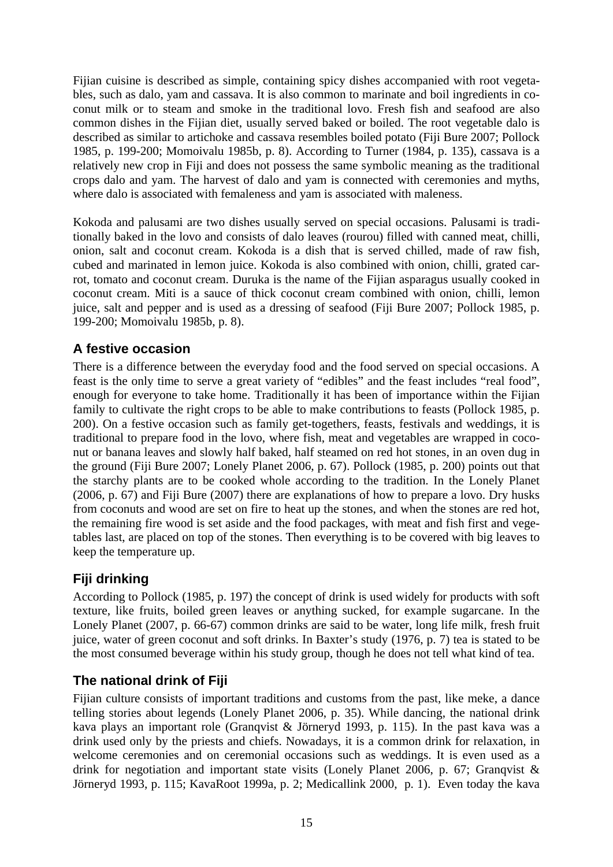<span id="page-16-0"></span>Fijian cuisine is described as simple, containing spicy dishes accompanied with root vegetables, such as dalo, yam and cassava. It is also common to marinate and boil ingredients in coconut milk or to steam and smoke in the traditional lovo. Fresh fish and seafood are also common dishes in the Fijian diet, usually served baked or boiled. The root vegetable dalo is described as similar to artichoke and cassava resembles boiled potato (Fiji Bure 2007; Pollock 1985, p. 199-200; Momoivalu 1985b, p. 8). According to Turner (1984, p. 135), cassava is a relatively new crop in Fiji and does not possess the same symbolic meaning as the traditional crops dalo and yam. The harvest of dalo and yam is connected with ceremonies and myths, where dalo is associated with femaleness and yam is associated with maleness.

Kokoda and palusami are two dishes usually served on special occasions. Palusami is traditionally baked in the lovo and consists of dalo leaves (rourou) filled with canned meat, chilli, onion, salt and coconut cream. Kokoda is a dish that is served chilled, made of raw fish, cubed and marinated in lemon juice. Kokoda is also combined with onion, chilli, grated carrot, tomato and coconut cream. Duruka is the name of the Fijian asparagus usually cooked in coconut cream. Miti is a sauce of thick coconut cream combined with onion, chilli, lemon juice, salt and pepper and is used as a dressing of seafood (Fiji Bure 2007; Pollock 1985, p. 199-200; Momoivalu 1985b, p. 8).

#### **A festive occasion**

There is a difference between the everyday food and the food served on special occasions. A feast is the only time to serve a great variety of "edibles" and the feast includes "real food", enough for everyone to take home. Traditionally it has been of importance within the Fijian family to cultivate the right crops to be able to make contributions to feasts (Pollock 1985, p. 200). On a festive occasion such as family get-togethers, feasts, festivals and weddings, it is traditional to prepare food in the lovo, where fish, meat and vegetables are wrapped in coconut or banana leaves and slowly half baked, half steamed on red hot stones, in an oven dug in the ground (Fiji Bure 2007; Lonely Planet 2006, p. 67). Pollock (1985, p. 200) points out that the starchy plants are to be cooked whole according to the tradition. In the Lonely Planet (2006, p. 67) and Fiji Bure (2007) there are explanations of how to prepare a lovo. Dry husks from coconuts and wood are set on fire to heat up the stones, and when the stones are red hot, the remaining fire wood is set aside and the food packages, with meat and fish first and vegetables last, are placed on top of the stones. Then everything is to be covered with big leaves to keep the temperature up.

# **Fiji drinking**

According to Pollock (1985, p. 197) the concept of drink is used widely for products with soft texture, like fruits, boiled green leaves or anything sucked, for example sugarcane. In the Lonely Planet (2007, p. 66-67) common drinks are said to be water, long life milk, fresh fruit juice, water of green coconut and soft drinks. In Baxter's study (1976, p. 7) tea is stated to be the most consumed beverage within his study group, though he does not tell what kind of tea.

#### **The national drink of Fiji**

Fijian culture consists of important traditions and customs from the past, like meke, a dance telling stories about legends (Lonely Planet 2006, p. 35). While dancing, the national drink kava plays an important role (Granqvist & Jörneryd 1993, p. 115). In the past kava was a drink used only by the priests and chiefs. Nowadays, it is a common drink for relaxation, in welcome ceremonies and on ceremonial occasions such as weddings. It is even used as a drink for negotiation and important state visits (Lonely Planet 2006, p. 67; Granqvist & Jörneryd 1993, p. 115; KavaRoot 1999a, p. 2; Medicallink 2000, p. 1). Even today the kava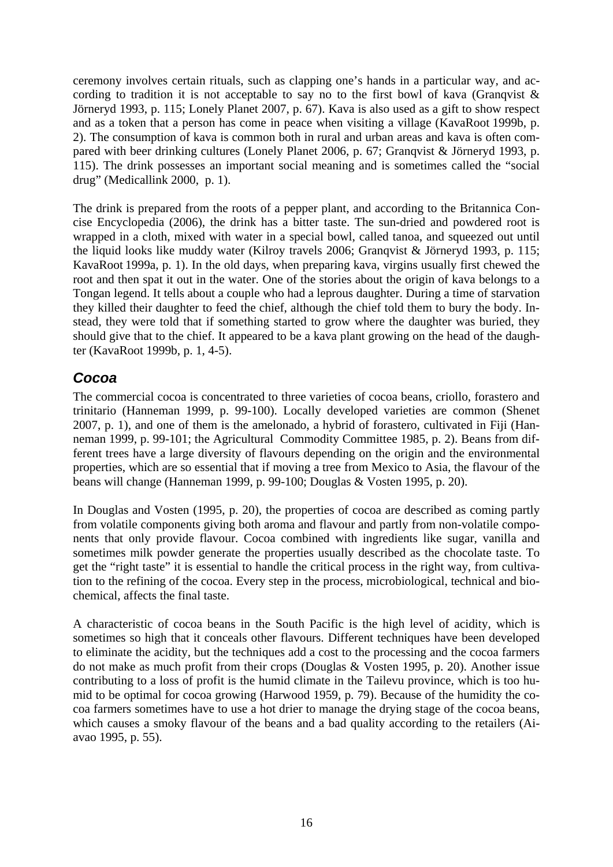<span id="page-17-0"></span>ceremony involves certain rituals, such as clapping one's hands in a particular way, and according to tradition it is not acceptable to say no to the first bowl of kava (Granqvist  $\&$ Jörneryd 1993, p. 115; Lonely Planet 2007, p. 67). Kava is also used as a gift to show respect and as a token that a person has come in peace when visiting a village (KavaRoot 1999b, p. 2). The consumption of kava is common both in rural and urban areas and kava is often compared with beer drinking cultures (Lonely Planet 2006, p. 67; Granqvist & Jörneryd 1993, p. 115). The drink possesses an important social meaning and is sometimes called the "social drug" (Medicallink 2000, p. 1).

The drink is prepared from the roots of a pepper plant, and according to the Britannica Concise Encyclopedia (2006), the drink has a bitter taste. The sun-dried and powdered root is wrapped in a cloth, mixed with water in a special bowl, called tanoa, and squeezed out until the liquid looks like muddy water (Kilroy travels 2006; Granqvist & Jörneryd 1993, p. 115; KavaRoot 1999a, p. 1). In the old days, when preparing kava, virgins usually first chewed the root and then spat it out in the water. One of the stories about the origin of kava belongs to a Tongan legend. It tells about a couple who had a leprous daughter. During a time of starvation they killed their daughter to feed the chief, although the chief told them to bury the body. Instead, they were told that if something started to grow where the daughter was buried, they should give that to the chief. It appeared to be a kava plant growing on the head of the daughter (KavaRoot 1999b, p. 1, 4-5).

# *Cocoa*

The commercial cocoa is concentrated to three varieties of cocoa beans, criollo, forastero and trinitario (Hanneman 1999, p. 99-100). Locally developed varieties are common (Shenet 2007, p. 1), and one of them is the amelonado, a hybrid of forastero, cultivated in Fiji (Hanneman 1999, p. 99-101; the Agricultural Commodity Committee 1985, p. 2). Beans from different trees have a large diversity of flavours depending on the origin and the environmental properties, which are so essential that if moving a tree from Mexico to Asia, the flavour of the beans will change (Hanneman 1999, p. 99-100; Douglas & Vosten 1995, p. 20).

In Douglas and Vosten (1995, p. 20), the properties of cocoa are described as coming partly from volatile components giving both aroma and flavour and partly from non-volatile components that only provide flavour. Cocoa combined with ingredients like sugar, vanilla and sometimes milk powder generate the properties usually described as the chocolate taste. To get the "right taste" it is essential to handle the critical process in the right way, from cultivation to the refining of the cocoa. Every step in the process, microbiological, technical and biochemical, affects the final taste.

A characteristic of cocoa beans in the South Pacific is the high level of acidity, which is sometimes so high that it conceals other flavours. Different techniques have been developed to eliminate the acidity, but the techniques add a cost to the processing and the cocoa farmers do not make as much profit from their crops (Douglas & Vosten 1995, p. 20). Another issue contributing to a loss of profit is the humid climate in the Tailevu province, which is too humid to be optimal for cocoa growing (Harwood 1959, p. 79). Because of the humidity the cocoa farmers sometimes have to use a hot drier to manage the drying stage of the cocoa beans, which causes a smoky flavour of the beans and a bad quality according to the retailers (Aiavao 1995, p. 55).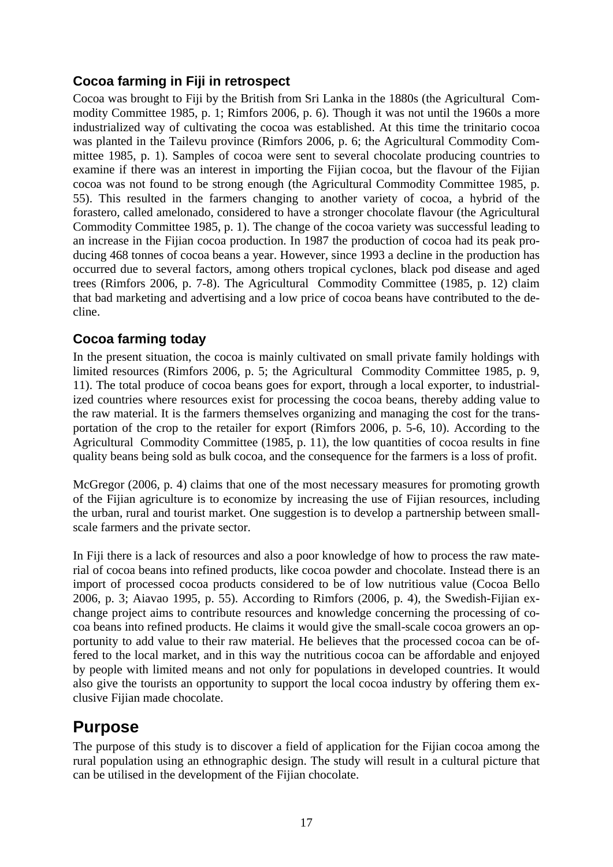#### <span id="page-18-0"></span>**Cocoa farming in Fiji in retrospect**

Cocoa was brought to Fiji by the British from Sri Lanka in the 1880s (the Agricultural Commodity Committee 1985, p. 1; Rimfors 2006, p. 6). Though it was not until the 1960s a more industrialized way of cultivating the cocoa was established. At this time the trinitario cocoa was planted in the Tailevu province (Rimfors 2006, p. 6; the Agricultural Commodity Committee 1985, p. 1). Samples of cocoa were sent to several chocolate producing countries to examine if there was an interest in importing the Fijian cocoa, but the flavour of the Fijian cocoa was not found to be strong enough (the Agricultural Commodity Committee 1985, p. 55). This resulted in the farmers changing to another variety of cocoa, a hybrid of the forastero, called amelonado, considered to have a stronger chocolate flavour (the Agricultural Commodity Committee 1985, p. 1). The change of the cocoa variety was successful leading to an increase in the Fijian cocoa production. In 1987 the production of cocoa had its peak producing 468 tonnes of cocoa beans a year. However, since 1993 a decline in the production has occurred due to several factors, among others tropical cyclones, black pod disease and aged trees (Rimfors 2006, p. 7-8). The Agricultural Commodity Committee (1985, p. 12) claim that bad marketing and advertising and a low price of cocoa beans have contributed to the decline.

#### **Cocoa farming today**

In the present situation, the cocoa is mainly cultivated on small private family holdings with limited resources (Rimfors 2006, p. 5; the Agricultural Commodity Committee 1985, p. 9, 11). The total produce of cocoa beans goes for export, through a local exporter, to industrialized countries where resources exist for processing the cocoa beans, thereby adding value to the raw material. It is the farmers themselves organizing and managing the cost for the transportation of the crop to the retailer for export (Rimfors 2006, p. 5-6, 10). According to the Agricultural Commodity Committee (1985, p. 11), the low quantities of cocoa results in fine quality beans being sold as bulk cocoa, and the consequence for the farmers is a loss of profit.

McGregor (2006, p. 4) claims that one of the most necessary measures for promoting growth of the Fijian agriculture is to economize by increasing the use of Fijian resources, including the urban, rural and tourist market. One suggestion is to develop a partnership between smallscale farmers and the private sector.

In Fiji there is a lack of resources and also a poor knowledge of how to process the raw material of cocoa beans into refined products, like cocoa powder and chocolate. Instead there is an import of processed cocoa products considered to be of low nutritious value (Cocoa Bello 2006, p. 3; Aiavao 1995, p. 55). According to Rimfors (2006, p. 4), the Swedish-Fijian exchange project aims to contribute resources and knowledge concerning the processing of cocoa beans into refined products. He claims it would give the small-scale cocoa growers an opportunity to add value to their raw material. He believes that the processed cocoa can be offered to the local market, and in this way the nutritious cocoa can be affordable and enjoyed by people with limited means and not only for populations in developed countries. It would also give the tourists an opportunity to support the local cocoa industry by offering them exclusive Fijian made chocolate.

# **Purpose**

The purpose of this study is to discover a field of application for the Fijian cocoa among the rural population using an ethnographic design. The study will result in a cultural picture that can be utilised in the development of the Fijian chocolate.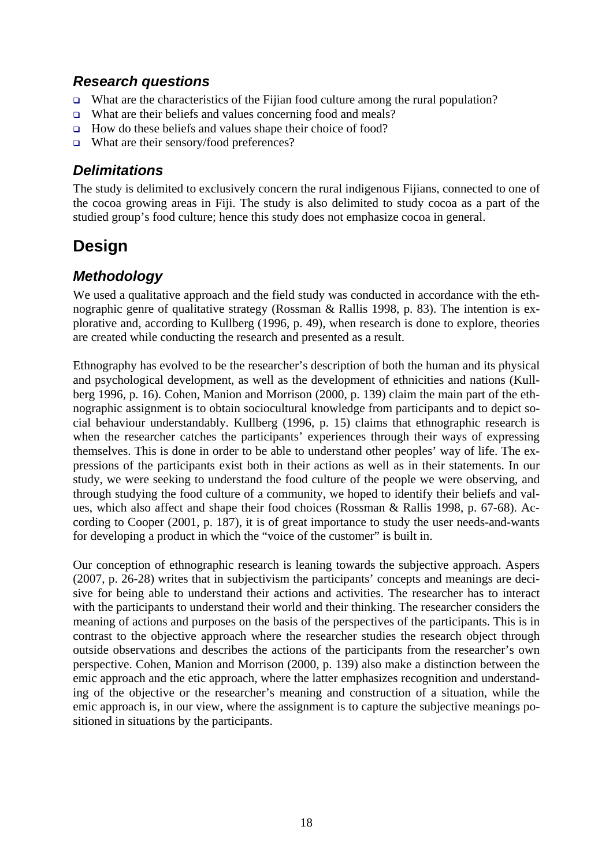# <span id="page-19-0"></span>*Research questions*

- What are the characteristics of the Fijian food culture among the rural population?
- $\Box$  What are their beliefs and values concerning food and meals?
- $\Box$  How do these beliefs and values shape their choice of food?
- What are their sensory/food preferences?

# *Delimitations*

The study is delimited to exclusively concern the rural indigenous Fijians, connected to one of the cocoa growing areas in Fiji. The study is also delimited to study cocoa as a part of the studied group's food culture; hence this study does not emphasize cocoa in general.

# **Design**

# *Methodology*

We used a qualitative approach and the field study was conducted in accordance with the ethnographic genre of qualitative strategy (Rossman & Rallis 1998, p. 83). The intention is explorative and, according to Kullberg (1996, p. 49), when research is done to explore, theories are created while conducting the research and presented as a result.

Ethnography has evolved to be the researcher's description of both the human and its physical and psychological development, as well as the development of ethnicities and nations (Kullberg 1996, p. 16). Cohen, Manion and Morrison (2000, p. 139) claim the main part of the ethnographic assignment is to obtain sociocultural knowledge from participants and to depict social behaviour understandably. Kullberg (1996, p. 15) claims that ethnographic research is when the researcher catches the participants' experiences through their ways of expressing themselves. This is done in order to be able to understand other peoples' way of life. The expressions of the participants exist both in their actions as well as in their statements. In our study, we were seeking to understand the food culture of the people we were observing, and through studying the food culture of a community, we hoped to identify their beliefs and values, which also affect and shape their food choices (Rossman & Rallis 1998, p. 67-68). According to Cooper (2001, p. 187), it is of great importance to study the user needs-and-wants for developing a product in which the "voice of the customer" is built in.

Our conception of ethnographic research is leaning towards the subjective approach. Aspers (2007, p. 26-28) writes that in subjectivism the participants' concepts and meanings are decisive for being able to understand their actions and activities. The researcher has to interact with the participants to understand their world and their thinking. The researcher considers the meaning of actions and purposes on the basis of the perspectives of the participants. This is in contrast to the objective approach where the researcher studies the research object through outside observations and describes the actions of the participants from the researcher's own perspective. Cohen, Manion and Morrison (2000, p. 139) also make a distinction between the emic approach and the etic approach, where the latter emphasizes recognition and understanding of the objective or the researcher's meaning and construction of a situation, while the emic approach is, in our view, where the assignment is to capture the subjective meanings positioned in situations by the participants.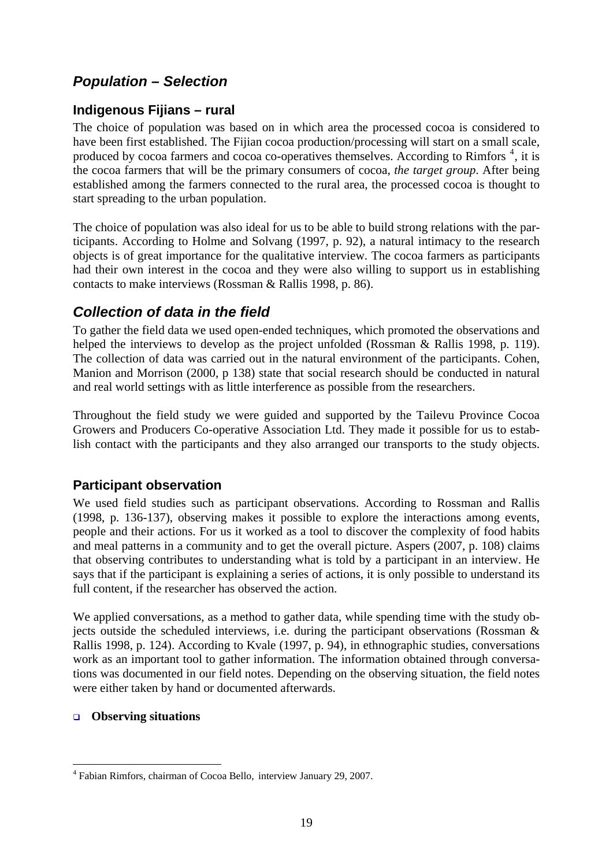# <span id="page-20-0"></span>*Population – Selection*

#### **Indigenous Fijians – rural**

The choice of population was based on in which area the processed cocoa is considered to have been first established. The Fijian cocoa production/processing will start on a small scale, produced by cocoa farmers and cocoa co-operatives themselves. According to Rimfors<sup>[4](#page-20-0)</sup>, it is the cocoa farmers that will be the primary consumers of cocoa, *the target group*. After being established among the farmers connected to the rural area, the processed cocoa is thought to start spreading to the urban population.

The choice of population was also ideal for us to be able to build strong relations with the participants. According to Holme and Solvang (1997, p. 92), a natural intimacy to the research objects is of great importance for the qualitative interview. The cocoa farmers as participants had their own interest in the cocoa and they were also willing to support us in establishing contacts to make interviews (Rossman & Rallis 1998, p. 86).

## *Collection of data in the field*

To gather the field data we used open-ended techniques, which promoted the observations and helped the interviews to develop as the project unfolded (Rossman & Rallis 1998, p. 119). The collection of data was carried out in the natural environment of the participants. Cohen, Manion and Morrison (2000, p 138) state that social research should be conducted in natural and real world settings with as little interference as possible from the researchers.

Throughout the field study we were guided and supported by the Tailevu Province Cocoa Growers and Producers Co-operative Association Ltd. They made it possible for us to establish contact with the participants and they also arranged our transports to the study objects.

#### **Participant observation**

We used field studies such as participant observations. According to Rossman and Rallis (1998, p. 136-137), observing makes it possible to explore the interactions among events, people and their actions. For us it worked as a tool to discover the complexity of food habits and meal patterns in a community and to get the overall picture. Aspers (2007, p. 108) claims that observing contributes to understanding what is told by a participant in an interview. He says that if the participant is explaining a series of actions, it is only possible to understand its full content, if the researcher has observed the action.

We applied conversations, as a method to gather data, while spending time with the study objects outside the scheduled interviews, i.e. during the participant observations (Rossman & Rallis 1998, p. 124). According to Kvale (1997, p. 94), in ethnographic studies, conversations work as an important tool to gather information. The information obtained through conversations was documented in our field notes. Depending on the observing situation, the field notes were either taken by hand or documented afterwards.

#### **Observing situations**

<sup>&</sup>lt;u>.</u> 4 Fabian Rimfors, chairman of Cocoa Bello, interview January 29, 2007.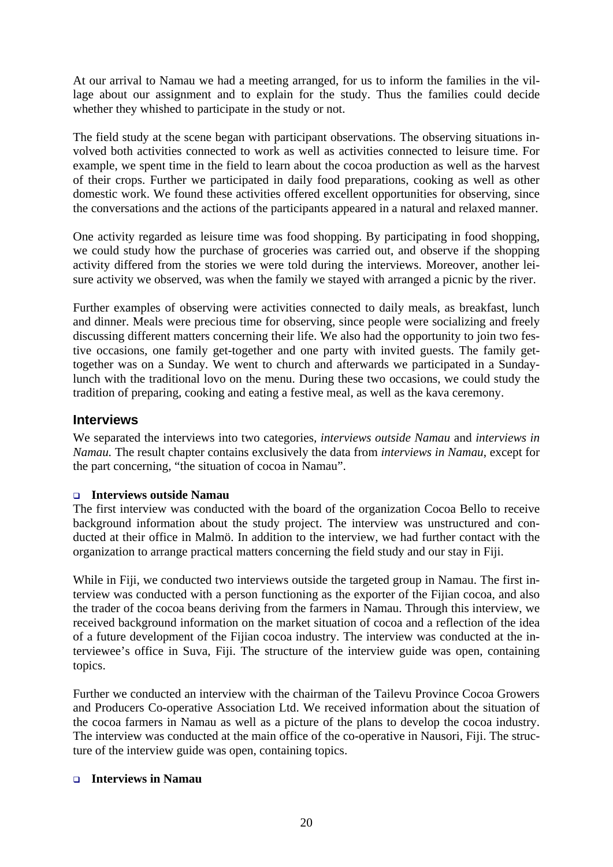<span id="page-21-0"></span>At our arrival to Namau we had a meeting arranged, for us to inform the families in the village about our assignment and to explain for the study. Thus the families could decide whether they whished to participate in the study or not.

The field study at the scene began with participant observations. The observing situations involved both activities connected to work as well as activities connected to leisure time. For example, we spent time in the field to learn about the cocoa production as well as the harvest of their crops. Further we participated in daily food preparations, cooking as well as other domestic work. We found these activities offered excellent opportunities for observing, since the conversations and the actions of the participants appeared in a natural and relaxed manner.

One activity regarded as leisure time was food shopping. By participating in food shopping, we could study how the purchase of groceries was carried out, and observe if the shopping activity differed from the stories we were told during the interviews. Moreover, another leisure activity we observed, was when the family we stayed with arranged a picnic by the river.

Further examples of observing were activities connected to daily meals, as breakfast, lunch and dinner. Meals were precious time for observing, since people were socializing and freely discussing different matters concerning their life. We also had the opportunity to join two festive occasions, one family get-together and one party with invited guests. The family gettogether was on a Sunday. We went to church and afterwards we participated in a Sundaylunch with the traditional lovo on the menu. During these two occasions, we could study the tradition of preparing, cooking and eating a festive meal, as well as the kava ceremony.

#### **Interviews**

We separated the interviews into two categories*, interviews outside Namau* and *interviews in Namau.* The result chapter contains exclusively the data from *interviews in Namau*, except for the part concerning, "the situation of cocoa in Namau".

#### **Interviews outside Namau**

The first interview was conducted with the board of the organization Cocoa Bello to receive background information about the study project. The interview was unstructured and conducted at their office in Malmö. In addition to the interview, we had further contact with the organization to arrange practical matters concerning the field study and our stay in Fiji.

While in Fiji, we conducted two interviews outside the targeted group in Namau. The first interview was conducted with a person functioning as the exporter of the Fijian cocoa, and also the trader of the cocoa beans deriving from the farmers in Namau. Through this interview, we received background information on the market situation of cocoa and a reflection of the idea of a future development of the Fijian cocoa industry. The interview was conducted at the interviewee's office in Suva, Fiji. The structure of the interview guide was open, containing topics.

Further we conducted an interview with the chairman of the Tailevu Province Cocoa Growers and Producers Co-operative Association Ltd. We received information about the situation of the cocoa farmers in Namau as well as a picture of the plans to develop the cocoa industry. The interview was conducted at the main office of the co-operative in Nausori, Fiji. The structure of the interview guide was open, containing topics.

#### **Interviews in Namau**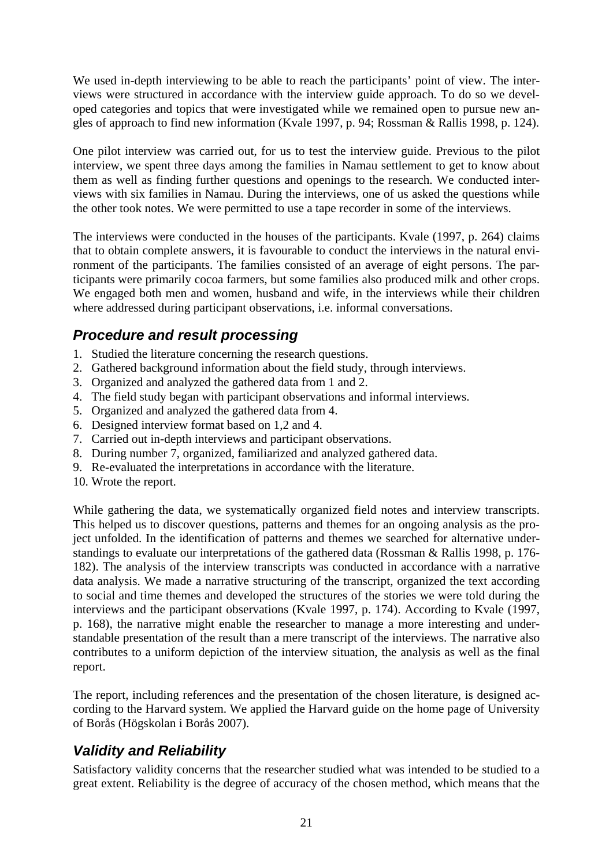<span id="page-22-0"></span>We used in-depth interviewing to be able to reach the participants' point of view. The interviews were structured in accordance with the interview guide approach. To do so we developed categories and topics that were investigated while we remained open to pursue new angles of approach to find new information (Kvale 1997, p. 94; Rossman & Rallis 1998, p. 124).

One pilot interview was carried out, for us to test the interview guide. Previous to the pilot interview, we spent three days among the families in Namau settlement to get to know about them as well as finding further questions and openings to the research. We conducted interviews with six families in Namau. During the interviews, one of us asked the questions while the other took notes. We were permitted to use a tape recorder in some of the interviews.

The interviews were conducted in the houses of the participants. Kvale (1997, p. 264) claims that to obtain complete answers, it is favourable to conduct the interviews in the natural environment of the participants. The families consisted of an average of eight persons. The participants were primarily cocoa farmers, but some families also produced milk and other crops. We engaged both men and women, husband and wife, in the interviews while their children where addressed during participant observations, i.e. informal conversations.

# *Procedure and result processing*

- 1. Studied the literature concerning the research questions.
- 2. Gathered background information about the field study, through interviews.
- 3. Organized and analyzed the gathered data from 1 and 2.
- 4. The field study began with participant observations and informal interviews.
- 5. Organized and analyzed the gathered data from 4.
- 6. Designed interview format based on 1,2 and 4.
- 7. Carried out in-depth interviews and participant observations.
- 8. During number 7, organized, familiarized and analyzed gathered data.
- 9. Re-evaluated the interpretations in accordance with the literature.
- 10. Wrote the report.

While gathering the data, we systematically organized field notes and interview transcripts. This helped us to discover questions, patterns and themes for an ongoing analysis as the project unfolded. In the identification of patterns and themes we searched for alternative understandings to evaluate our interpretations of the gathered data (Rossman & Rallis 1998, p. 176- 182). The analysis of the interview transcripts was conducted in accordance with a narrative data analysis. We made a narrative structuring of the transcript, organized the text according to social and time themes and developed the structures of the stories we were told during the interviews and the participant observations (Kvale 1997, p. 174). According to Kvale (1997, p. 168), the narrative might enable the researcher to manage a more interesting and understandable presentation of the result than a mere transcript of the interviews. The narrative also contributes to a uniform depiction of the interview situation, the analysis as well as the final report.

The report, including references and the presentation of the chosen literature, is designed according to the Harvard system. We applied the Harvard guide on the home page of University of Borås (Högskolan i Borås 2007).

# *Validity and Reliability*

Satisfactory validity concerns that the researcher studied what was intended to be studied to a great extent. Reliability is the degree of accuracy of the chosen method, which means that the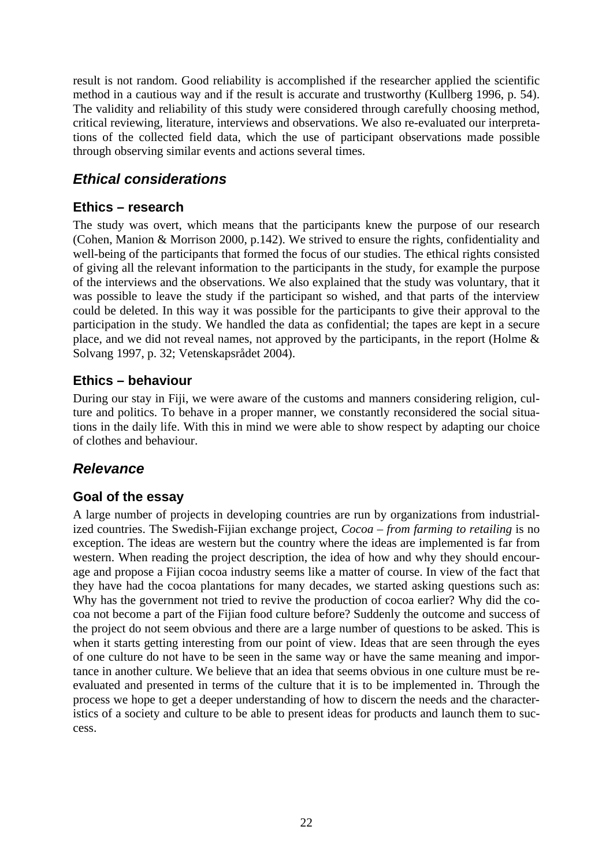<span id="page-23-0"></span>result is not random. Good reliability is accomplished if the researcher applied the scientific method in a cautious way and if the result is accurate and trustworthy (Kullberg 1996, p. 54). The validity and reliability of this study were considered through carefully choosing method, critical reviewing, literature, interviews and observations. We also re-evaluated our interpretations of the collected field data, which the use of participant observations made possible through observing similar events and actions several times.

# *Ethical considerations*

#### **Ethics – research**

The study was overt, which means that the participants knew the purpose of our research (Cohen, Manion & Morrison 2000, p.142). We strived to ensure the rights, confidentiality and well-being of the participants that formed the focus of our studies. The ethical rights consisted of giving all the relevant information to the participants in the study, for example the purpose of the interviews and the observations. We also explained that the study was voluntary, that it was possible to leave the study if the participant so wished, and that parts of the interview could be deleted. In this way it was possible for the participants to give their approval to the participation in the study. We handled the data as confidential; the tapes are kept in a secure place, and we did not reveal names, not approved by the participants, in the report (Holme & Solvang 1997, p. 32; Vetenskapsrådet 2004).

#### **Ethics – behaviour**

During our stay in Fiji, we were aware of the customs and manners considering religion, culture and politics. To behave in a proper manner, we constantly reconsidered the social situations in the daily life. With this in mind we were able to show respect by adapting our choice of clothes and behaviour.

# *Relevance*

#### **Goal of the essay**

A large number of projects in developing countries are run by organizations from industrialized countries. The Swedish-Fijian exchange project, *Cocoa – from farming to retailing* is no exception. The ideas are western but the country where the ideas are implemented is far from western. When reading the project description, the idea of how and why they should encourage and propose a Fijian cocoa industry seems like a matter of course. In view of the fact that they have had the cocoa plantations for many decades, we started asking questions such as: Why has the government not tried to revive the production of cocoa earlier? Why did the cocoa not become a part of the Fijian food culture before? Suddenly the outcome and success of the project do not seem obvious and there are a large number of questions to be asked. This is when it starts getting interesting from our point of view. Ideas that are seen through the eyes of one culture do not have to be seen in the same way or have the same meaning and importance in another culture. We believe that an idea that seems obvious in one culture must be reevaluated and presented in terms of the culture that it is to be implemented in. Through the process we hope to get a deeper understanding of how to discern the needs and the characteristics of a society and culture to be able to present ideas for products and launch them to success.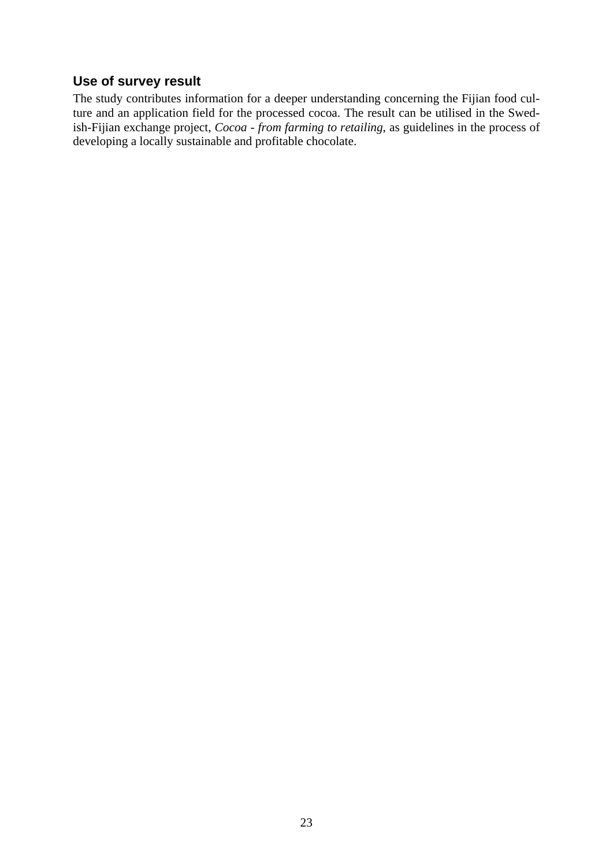# <span id="page-24-0"></span>**Use of survey result**

The study contributes information for a deeper understanding concerning the Fijian food culture and an application field for the processed cocoa. The result can be utilised in the Swedish-Fijian exchange project, *Cocoa - from farming to retailing*, as guidelines in the process of developing a locally sustainable and profitable chocolate.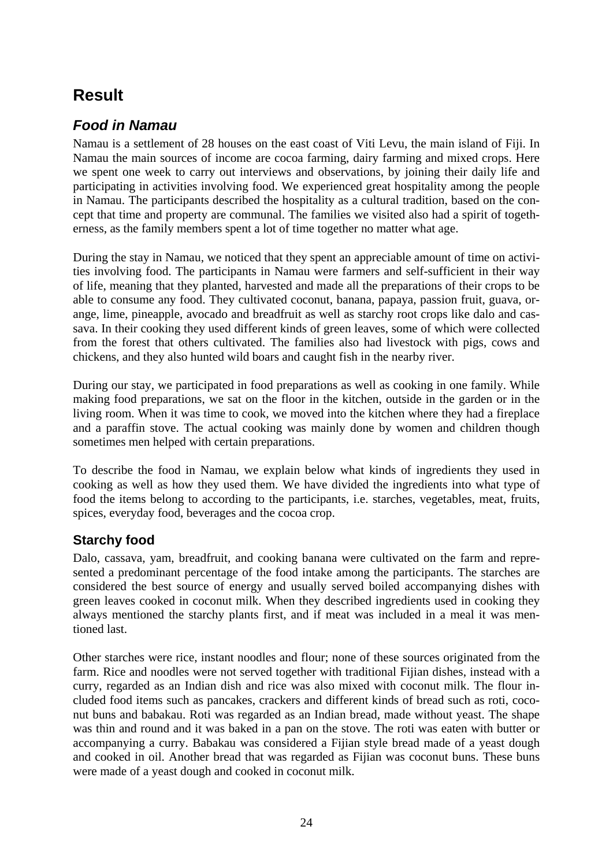# <span id="page-25-0"></span>**Result**

# *Food in Namau*

Namau is a settlement of 28 houses on the east coast of Viti Levu, the main island of Fiji. In Namau the main sources of income are cocoa farming, dairy farming and mixed crops. Here we spent one week to carry out interviews and observations, by joining their daily life and participating in activities involving food. We experienced great hospitality among the people in Namau. The participants described the hospitality as a cultural tradition, based on the concept that time and property are communal. The families we visited also had a spirit of togetherness, as the family members spent a lot of time together no matter what age.

During the stay in Namau, we noticed that they spent an appreciable amount of time on activities involving food. The participants in Namau were farmers and self-sufficient in their way of life, meaning that they planted, harvested and made all the preparations of their crops to be able to consume any food. They cultivated coconut, banana, papaya, passion fruit, guava, orange, lime, pineapple, avocado and breadfruit as well as starchy root crops like dalo and cassava. In their cooking they used different kinds of green leaves, some of which were collected from the forest that others cultivated. The families also had livestock with pigs, cows and chickens, and they also hunted wild boars and caught fish in the nearby river.

During our stay, we participated in food preparations as well as cooking in one family. While making food preparations, we sat on the floor in the kitchen, outside in the garden or in the living room. When it was time to cook, we moved into the kitchen where they had a fireplace and a paraffin stove. The actual cooking was mainly done by women and children though sometimes men helped with certain preparations.

To describe the food in Namau, we explain below what kinds of ingredients they used in cooking as well as how they used them. We have divided the ingredients into what type of food the items belong to according to the participants, i.e. starches, vegetables, meat, fruits, spices, everyday food, beverages and the cocoa crop.

#### **Starchy food**

Dalo, cassava, yam, breadfruit, and cooking banana were cultivated on the farm and represented a predominant percentage of the food intake among the participants. The starches are considered the best source of energy and usually served boiled accompanying dishes with green leaves cooked in coconut milk. When they described ingredients used in cooking they always mentioned the starchy plants first, and if meat was included in a meal it was mentioned last.

Other starches were rice, instant noodles and flour; none of these sources originated from the farm. Rice and noodles were not served together with traditional Fijian dishes, instead with a curry, regarded as an Indian dish and rice was also mixed with coconut milk. The flour included food items such as pancakes, crackers and different kinds of bread such as roti, coconut buns and babakau. Roti was regarded as an Indian bread, made without yeast. The shape was thin and round and it was baked in a pan on the stove. The roti was eaten with butter or accompanying a curry. Babakau was considered a Fijian style bread made of a yeast dough and cooked in oil. Another bread that was regarded as Fijian was coconut buns. These buns were made of a yeast dough and cooked in coconut milk.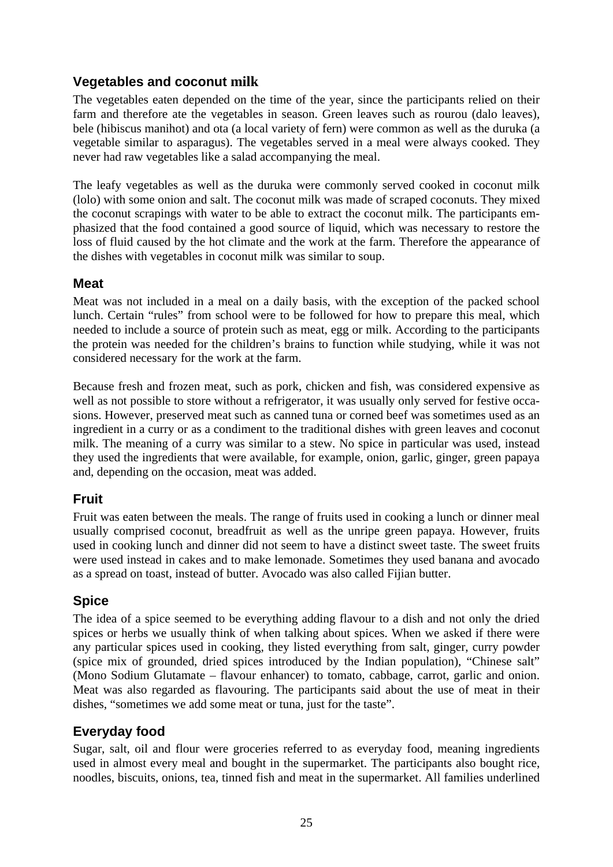#### <span id="page-26-0"></span>**Vegetables and coconut milk**

The vegetables eaten depended on the time of the year, since the participants relied on their farm and therefore ate the vegetables in season. Green leaves such as rourou (dalo leaves), bele (hibiscus manihot) and ota (a local variety of fern) were common as well as the duruka (a vegetable similar to asparagus). The vegetables served in a meal were always cooked. They never had raw vegetables like a salad accompanying the meal.

The leafy vegetables as well as the duruka were commonly served cooked in coconut milk (lolo) with some onion and salt. The coconut milk was made of scraped coconuts. They mixed the coconut scrapings with water to be able to extract the coconut milk. The participants emphasized that the food contained a good source of liquid, which was necessary to restore the loss of fluid caused by the hot climate and the work at the farm. Therefore the appearance of the dishes with vegetables in coconut milk was similar to soup.

#### **Meat**

Meat was not included in a meal on a daily basis, with the exception of the packed school lunch. Certain "rules" from school were to be followed for how to prepare this meal, which needed to include a source of protein such as meat, egg or milk. According to the participants the protein was needed for the children's brains to function while studying, while it was not considered necessary for the work at the farm.

Because fresh and frozen meat, such as pork, chicken and fish, was considered expensive as well as not possible to store without a refrigerator, it was usually only served for festive occasions. However, preserved meat such as canned tuna or corned beef was sometimes used as an ingredient in a curry or as a condiment to the traditional dishes with green leaves and coconut milk. The meaning of a curry was similar to a stew. No spice in particular was used, instead they used the ingredients that were available, for example, onion, garlic, ginger, green papaya and, depending on the occasion, meat was added.

#### **Fruit**

Fruit was eaten between the meals. The range of fruits used in cooking a lunch or dinner meal usually comprised coconut, breadfruit as well as the unripe green papaya. However, fruits used in cooking lunch and dinner did not seem to have a distinct sweet taste. The sweet fruits were used instead in cakes and to make lemonade. Sometimes they used banana and avocado as a spread on toast, instead of butter. Avocado was also called Fijian butter.

#### **Spice**

The idea of a spice seemed to be everything adding flavour to a dish and not only the dried spices or herbs we usually think of when talking about spices. When we asked if there were any particular spices used in cooking, they listed everything from salt, ginger, curry powder (spice mix of grounded, dried spices introduced by the Indian population), "Chinese salt" (Mono Sodium Glutamate – flavour enhancer) to tomato, cabbage, carrot, garlic and onion. Meat was also regarded as flavouring. The participants said about the use of meat in their dishes, "sometimes we add some meat or tuna, just for the taste".

#### **Everyday food**

Sugar, salt, oil and flour were groceries referred to as everyday food, meaning ingredients used in almost every meal and bought in the supermarket. The participants also bought rice, noodles, biscuits, onions, tea, tinned fish and meat in the supermarket. All families underlined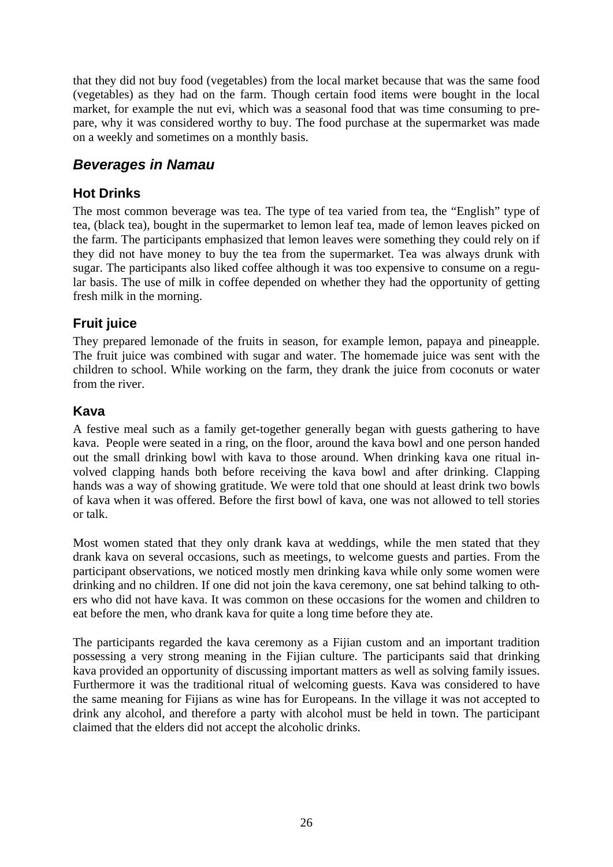<span id="page-27-0"></span>that they did not buy food (vegetables) from the local market because that was the same food (vegetables) as they had on the farm. Though certain food items were bought in the local market, for example the nut evi, which was a seasonal food that was time consuming to prepare, why it was considered worthy to buy. The food purchase at the supermarket was made on a weekly and sometimes on a monthly basis.

## *Beverages in Namau*

#### **Hot Drinks**

The most common beverage was tea. The type of tea varied from tea, the "English" type of tea, (black tea), bought in the supermarket to lemon leaf tea, made of lemon leaves picked on the farm. The participants emphasized that lemon leaves were something they could rely on if they did not have money to buy the tea from the supermarket. Tea was always drunk with sugar. The participants also liked coffee although it was too expensive to consume on a regular basis. The use of milk in coffee depended on whether they had the opportunity of getting fresh milk in the morning.

#### **Fruit juice**

They prepared lemonade of the fruits in season, for example lemon, papaya and pineapple. The fruit juice was combined with sugar and water. The homemade juice was sent with the children to school. While working on the farm, they drank the juice from coconuts or water from the river.

#### **Kava**

A festive meal such as a family get-together generally began with guests gathering to have kava. People were seated in a ring, on the floor, around the kava bowl and one person handed out the small drinking bowl with kava to those around. When drinking kava one ritual involved clapping hands both before receiving the kava bowl and after drinking. Clapping hands was a way of showing gratitude. We were told that one should at least drink two bowls of kava when it was offered. Before the first bowl of kava, one was not allowed to tell stories or talk.

Most women stated that they only drank kava at weddings, while the men stated that they drank kava on several occasions, such as meetings, to welcome guests and parties. From the participant observations, we noticed mostly men drinking kava while only some women were drinking and no children. If one did not join the kava ceremony, one sat behind talking to others who did not have kava. It was common on these occasions for the women and children to eat before the men, who drank kava for quite a long time before they ate.

The participants regarded the kava ceremony as a Fijian custom and an important tradition possessing a very strong meaning in the Fijian culture. The participants said that drinking kava provided an opportunity of discussing important matters as well as solving family issues. Furthermore it was the traditional ritual of welcoming guests. Kava was considered to have the same meaning for Fijians as wine has for Europeans. In the village it was not accepted to drink any alcohol, and therefore a party with alcohol must be held in town. The participant claimed that the elders did not accept the alcoholic drinks.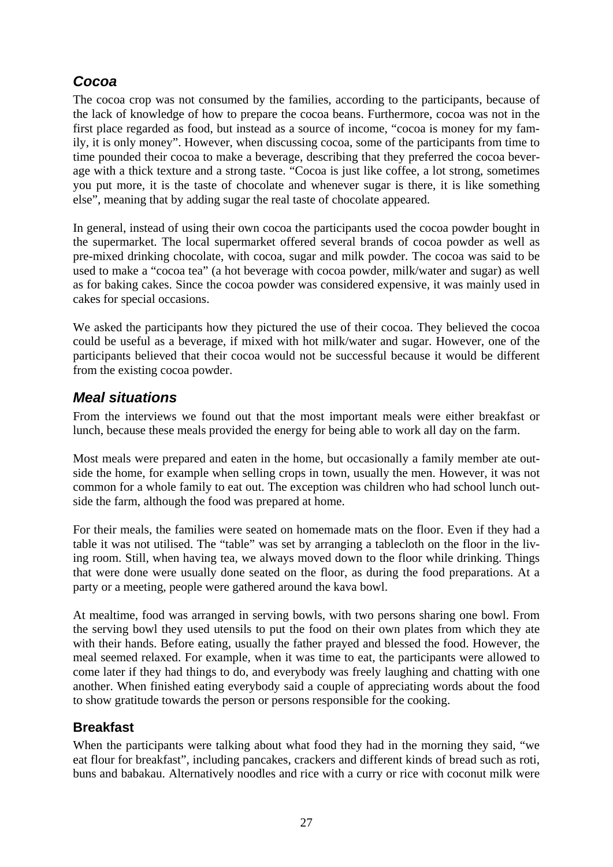# <span id="page-28-0"></span>*Cocoa*

The cocoa crop was not consumed by the families, according to the participants, because of the lack of knowledge of how to prepare the cocoa beans. Furthermore, cocoa was not in the first place regarded as food, but instead as a source of income, "cocoa is money for my family, it is only money". However, when discussing cocoa, some of the participants from time to time pounded their cocoa to make a beverage, describing that they preferred the cocoa beverage with a thick texture and a strong taste. "Cocoa is just like coffee, a lot strong, sometimes you put more, it is the taste of chocolate and whenever sugar is there, it is like something else", meaning that by adding sugar the real taste of chocolate appeared.

In general, instead of using their own cocoa the participants used the cocoa powder bought in the supermarket. The local supermarket offered several brands of cocoa powder as well as pre-mixed drinking chocolate, with cocoa, sugar and milk powder. The cocoa was said to be used to make a "cocoa tea" (a hot beverage with cocoa powder, milk/water and sugar) as well as for baking cakes. Since the cocoa powder was considered expensive, it was mainly used in cakes for special occasions.

We asked the participants how they pictured the use of their cocoa. They believed the cocoa could be useful as a beverage, if mixed with hot milk/water and sugar. However, one of the participants believed that their cocoa would not be successful because it would be different from the existing cocoa powder.

# *Meal situations*

From the interviews we found out that the most important meals were either breakfast or lunch, because these meals provided the energy for being able to work all day on the farm.

Most meals were prepared and eaten in the home, but occasionally a family member ate outside the home, for example when selling crops in town, usually the men. However, it was not common for a whole family to eat out. The exception was children who had school lunch outside the farm, although the food was prepared at home.

For their meals, the families were seated on homemade mats on the floor. Even if they had a table it was not utilised. The "table" was set by arranging a tablecloth on the floor in the living room. Still, when having tea, we always moved down to the floor while drinking. Things that were done were usually done seated on the floor, as during the food preparations. At a party or a meeting, people were gathered around the kava bowl.

At mealtime, food was arranged in serving bowls, with two persons sharing one bowl. From the serving bowl they used utensils to put the food on their own plates from which they ate with their hands. Before eating, usually the father prayed and blessed the food. However, the meal seemed relaxed. For example, when it was time to eat, the participants were allowed to come later if they had things to do, and everybody was freely laughing and chatting with one another. When finished eating everybody said a couple of appreciating words about the food to show gratitude towards the person or persons responsible for the cooking.

# **Breakfast**

When the participants were talking about what food they had in the morning they said, "we eat flour for breakfast", including pancakes, crackers and different kinds of bread such as roti, buns and babakau. Alternatively noodles and rice with a curry or rice with coconut milk were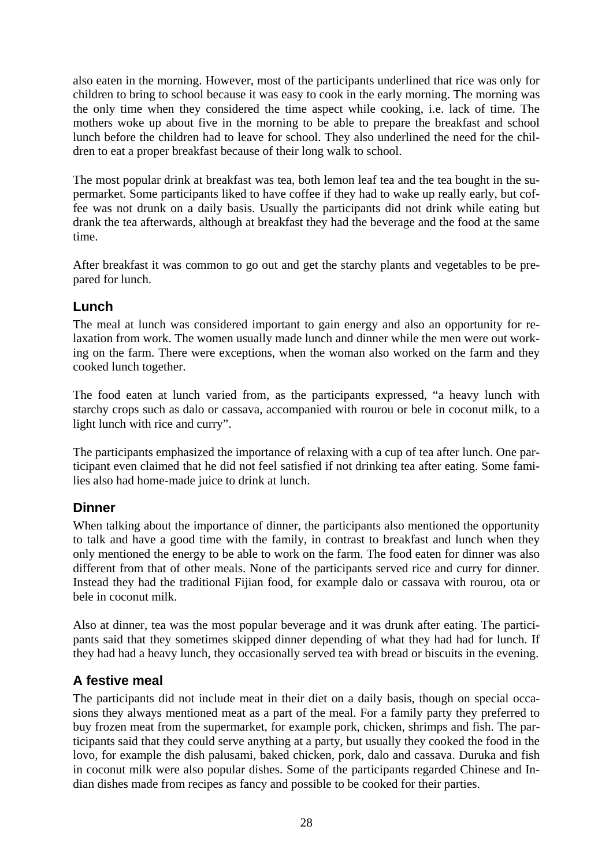<span id="page-29-0"></span>also eaten in the morning. However, most of the participants underlined that rice was only for children to bring to school because it was easy to cook in the early morning. The morning was the only time when they considered the time aspect while cooking, i.e. lack of time. The mothers woke up about five in the morning to be able to prepare the breakfast and school lunch before the children had to leave for school. They also underlined the need for the children to eat a proper breakfast because of their long walk to school.

The most popular drink at breakfast was tea, both lemon leaf tea and the tea bought in the supermarket. Some participants liked to have coffee if they had to wake up really early, but coffee was not drunk on a daily basis. Usually the participants did not drink while eating but drank the tea afterwards, although at breakfast they had the beverage and the food at the same time.

After breakfast it was common to go out and get the starchy plants and vegetables to be prepared for lunch.

#### **Lunch**

The meal at lunch was considered important to gain energy and also an opportunity for relaxation from work. The women usually made lunch and dinner while the men were out working on the farm. There were exceptions, when the woman also worked on the farm and they cooked lunch together.

The food eaten at lunch varied from, as the participants expressed, "a heavy lunch with starchy crops such as dalo or cassava, accompanied with rourou or bele in coconut milk, to a light lunch with rice and curry".

The participants emphasized the importance of relaxing with a cup of tea after lunch. One participant even claimed that he did not feel satisfied if not drinking tea after eating. Some families also had home-made juice to drink at lunch.

#### **Dinner**

When talking about the importance of dinner, the participants also mentioned the opportunity to talk and have a good time with the family, in contrast to breakfast and lunch when they only mentioned the energy to be able to work on the farm. The food eaten for dinner was also different from that of other meals. None of the participants served rice and curry for dinner. Instead they had the traditional Fijian food, for example dalo or cassava with rourou, ota or bele in coconut milk.

Also at dinner, tea was the most popular beverage and it was drunk after eating. The participants said that they sometimes skipped dinner depending of what they had had for lunch. If they had had a heavy lunch, they occasionally served tea with bread or biscuits in the evening.

#### **A festive meal**

The participants did not include meat in their diet on a daily basis, though on special occasions they always mentioned meat as a part of the meal. For a family party they preferred to buy frozen meat from the supermarket, for example pork, chicken, shrimps and fish. The participants said that they could serve anything at a party, but usually they cooked the food in the lovo, for example the dish palusami, baked chicken, pork, dalo and cassava. Duruka and fish in coconut milk were also popular dishes. Some of the participants regarded Chinese and Indian dishes made from recipes as fancy and possible to be cooked for their parties.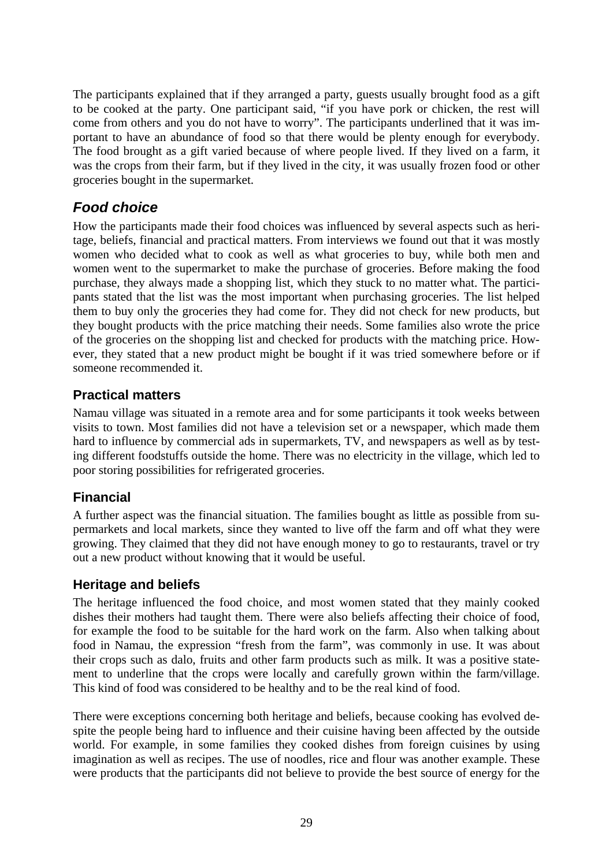<span id="page-30-0"></span>The participants explained that if they arranged a party, guests usually brought food as a gift to be cooked at the party. One participant said, "if you have pork or chicken, the rest will come from others and you do not have to worry". The participants underlined that it was important to have an abundance of food so that there would be plenty enough for everybody. The food brought as a gift varied because of where people lived. If they lived on a farm, it was the crops from their farm, but if they lived in the city, it was usually frozen food or other groceries bought in the supermarket.

# *Food choice*

How the participants made their food choices was influenced by several aspects such as heritage, beliefs, financial and practical matters. From interviews we found out that it was mostly women who decided what to cook as well as what groceries to buy, while both men and women went to the supermarket to make the purchase of groceries. Before making the food purchase, they always made a shopping list, which they stuck to no matter what. The participants stated that the list was the most important when purchasing groceries. The list helped them to buy only the groceries they had come for. They did not check for new products, but they bought products with the price matching their needs. Some families also wrote the price of the groceries on the shopping list and checked for products with the matching price. However, they stated that a new product might be bought if it was tried somewhere before or if someone recommended it.

#### **Practical matters**

Namau village was situated in a remote area and for some participants it took weeks between visits to town. Most families did not have a television set or a newspaper, which made them hard to influence by commercial ads in supermarkets, TV, and newspapers as well as by testing different foodstuffs outside the home. There was no electricity in the village, which led to poor storing possibilities for refrigerated groceries.

# **Financial**

A further aspect was the financial situation. The families bought as little as possible from supermarkets and local markets, since they wanted to live off the farm and off what they were growing. They claimed that they did not have enough money to go to restaurants, travel or try out a new product without knowing that it would be useful.

#### **Heritage and beliefs**

The heritage influenced the food choice, and most women stated that they mainly cooked dishes their mothers had taught them. There were also beliefs affecting their choice of food, for example the food to be suitable for the hard work on the farm. Also when talking about food in Namau, the expression "fresh from the farm", was commonly in use. It was about their crops such as dalo, fruits and other farm products such as milk. It was a positive statement to underline that the crops were locally and carefully grown within the farm/village. This kind of food was considered to be healthy and to be the real kind of food.

There were exceptions concerning both heritage and beliefs, because cooking has evolved despite the people being hard to influence and their cuisine having been affected by the outside world. For example, in some families they cooked dishes from foreign cuisines by using imagination as well as recipes. The use of noodles, rice and flour was another example. These were products that the participants did not believe to provide the best source of energy for the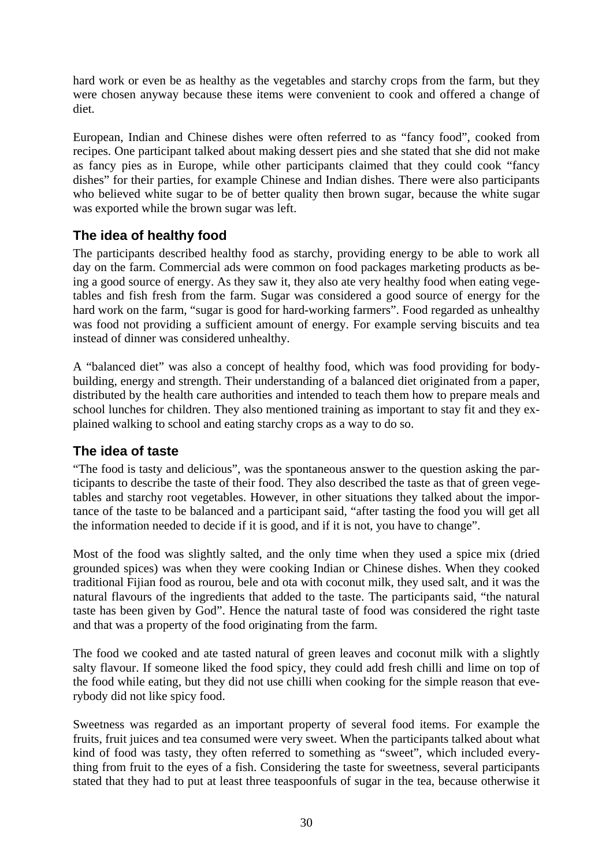<span id="page-31-0"></span>hard work or even be as healthy as the vegetables and starchy crops from the farm, but they were chosen anyway because these items were convenient to cook and offered a change of diet.

European, Indian and Chinese dishes were often referred to as "fancy food", cooked from recipes. One participant talked about making dessert pies and she stated that she did not make as fancy pies as in Europe, while other participants claimed that they could cook "fancy dishes" for their parties, for example Chinese and Indian dishes. There were also participants who believed white sugar to be of better quality then brown sugar, because the white sugar was exported while the brown sugar was left.

#### **The idea of healthy food**

The participants described healthy food as starchy, providing energy to be able to work all day on the farm. Commercial ads were common on food packages marketing products as being a good source of energy. As they saw it, they also ate very healthy food when eating vegetables and fish fresh from the farm. Sugar was considered a good source of energy for the hard work on the farm, "sugar is good for hard-working farmers". Food regarded as unhealthy was food not providing a sufficient amount of energy. For example serving biscuits and tea instead of dinner was considered unhealthy.

A "balanced diet" was also a concept of healthy food, which was food providing for bodybuilding, energy and strength. Their understanding of a balanced diet originated from a paper, distributed by the health care authorities and intended to teach them how to prepare meals and school lunches for children. They also mentioned training as important to stay fit and they explained walking to school and eating starchy crops as a way to do so.

#### **The idea of taste**

"The food is tasty and delicious", was the spontaneous answer to the question asking the participants to describe the taste of their food. They also described the taste as that of green vegetables and starchy root vegetables. However, in other situations they talked about the importance of the taste to be balanced and a participant said, "after tasting the food you will get all the information needed to decide if it is good, and if it is not, you have to change".

Most of the food was slightly salted, and the only time when they used a spice mix (dried grounded spices) was when they were cooking Indian or Chinese dishes. When they cooked traditional Fijian food as rourou, bele and ota with coconut milk, they used salt, and it was the natural flavours of the ingredients that added to the taste. The participants said, "the natural taste has been given by God". Hence the natural taste of food was considered the right taste and that was a property of the food originating from the farm.

The food we cooked and ate tasted natural of green leaves and coconut milk with a slightly salty flavour. If someone liked the food spicy, they could add fresh chilli and lime on top of the food while eating, but they did not use chilli when cooking for the simple reason that everybody did not like spicy food.

Sweetness was regarded as an important property of several food items. For example the fruits, fruit juices and tea consumed were very sweet. When the participants talked about what kind of food was tasty, they often referred to something as "sweet"*,* which included everything from fruit to the eyes of a fish. Considering the taste for sweetness, several participants stated that they had to put at least three teaspoonfuls of sugar in the tea, because otherwise it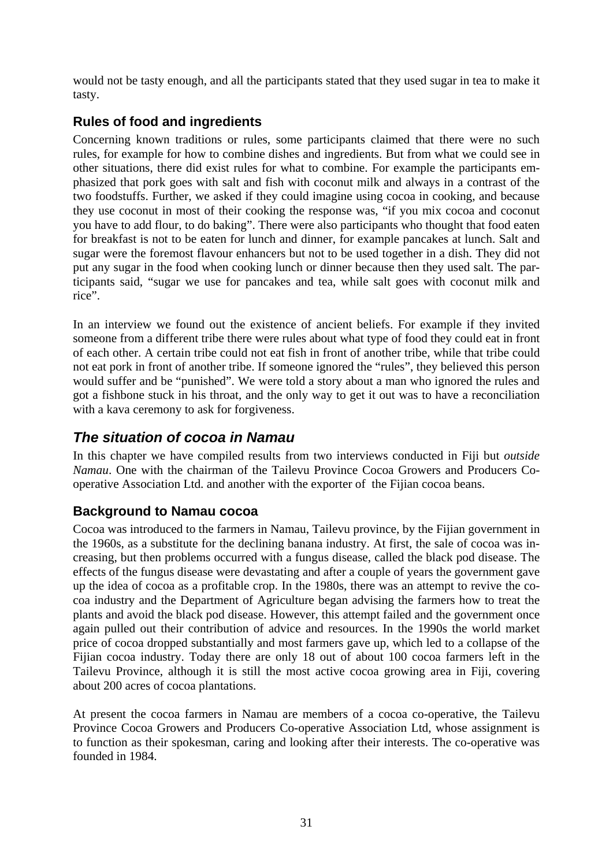<span id="page-32-0"></span>would not be tasty enough, and all the participants stated that they used sugar in tea to make it tasty.

## **Rules of food and ingredients**

Concerning known traditions or rules, some participants claimed that there were no such rules, for example for how to combine dishes and ingredients. But from what we could see in other situations, there did exist rules for what to combine. For example the participants emphasized that pork goes with salt and fish with coconut milk and always in a contrast of the two foodstuffs. Further, we asked if they could imagine using cocoa in cooking, and because they use coconut in most of their cooking the response was, "if you mix cocoa and coconut you have to add flour, to do baking". There were also participants who thought that food eaten for breakfast is not to be eaten for lunch and dinner, for example pancakes at lunch. Salt and sugar were the foremost flavour enhancers but not to be used together in a dish. They did not put any sugar in the food when cooking lunch or dinner because then they used salt. The participants said, "sugar we use for pancakes and tea, while salt goes with coconut milk and rice".

In an interview we found out the existence of ancient beliefs. For example if they invited someone from a different tribe there were rules about what type of food they could eat in front of each other. A certain tribe could not eat fish in front of another tribe, while that tribe could not eat pork in front of another tribe. If someone ignored the "rules", they believed this person would suffer and be "punished". We were told a story about a man who ignored the rules and got a fishbone stuck in his throat, and the only way to get it out was to have a reconciliation with a kava ceremony to ask for forgiveness.

# *The situation of cocoa in Namau*

In this chapter we have compiled results from two interviews conducted in Fiji but *outside Namau*. One with the chairman of the Tailevu Province Cocoa Growers and Producers Cooperative Association Ltd. and another with the exporter of the Fijian cocoa beans.

#### **Background to Namau cocoa**

Cocoa was introduced to the farmers in Namau, Tailevu province, by the Fijian government in the 1960s, as a substitute for the declining banana industry. At first, the sale of cocoa was increasing, but then problems occurred with a fungus disease, called the black pod disease. The effects of the fungus disease were devastating and after a couple of years the government gave up the idea of cocoa as a profitable crop. In the 1980s, there was an attempt to revive the cocoa industry and the Department of Agriculture began advising the farmers how to treat the plants and avoid the black pod disease. However, this attempt failed and the government once again pulled out their contribution of advice and resources. In the 1990s the world market price of cocoa dropped substantially and most farmers gave up, which led to a collapse of the Fijian cocoa industry. Today there are only 18 out of about 100 cocoa farmers left in the Tailevu Province, although it is still the most active cocoa growing area in Fiji, covering about 200 acres of cocoa plantations.

At present the cocoa farmers in Namau are members of a cocoa co-operative, the Tailevu Province Cocoa Growers and Producers Co-operative Association Ltd, whose assignment is to function as their spokesman, caring and looking after their interests. The co-operative was founded in 1984.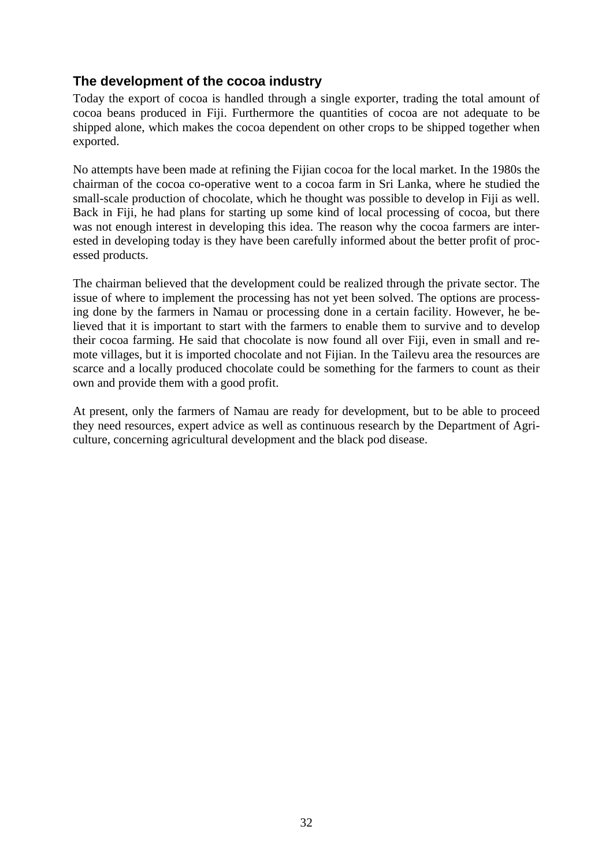#### <span id="page-33-0"></span>**The development of the cocoa industry**

Today the export of cocoa is handled through a single exporter, trading the total amount of cocoa beans produced in Fiji. Furthermore the quantities of cocoa are not adequate to be shipped alone, which makes the cocoa dependent on other crops to be shipped together when exported.

No attempts have been made at refining the Fijian cocoa for the local market. In the 1980s the chairman of the cocoa co-operative went to a cocoa farm in Sri Lanka, where he studied the small-scale production of chocolate, which he thought was possible to develop in Fiji as well. Back in Fiji, he had plans for starting up some kind of local processing of cocoa, but there was not enough interest in developing this idea. The reason why the cocoa farmers are interested in developing today is they have been carefully informed about the better profit of processed products.

The chairman believed that the development could be realized through the private sector. The issue of where to implement the processing has not yet been solved. The options are processing done by the farmers in Namau or processing done in a certain facility. However, he believed that it is important to start with the farmers to enable them to survive and to develop their cocoa farming. He said that chocolate is now found all over Fiji, even in small and remote villages, but it is imported chocolate and not Fijian. In the Tailevu area the resources are scarce and a locally produced chocolate could be something for the farmers to count as their own and provide them with a good profit.

At present, only the farmers of Namau are ready for development, but to be able to proceed they need resources, expert advice as well as continuous research by the Department of Agriculture, concerning agricultural development and the black pod disease.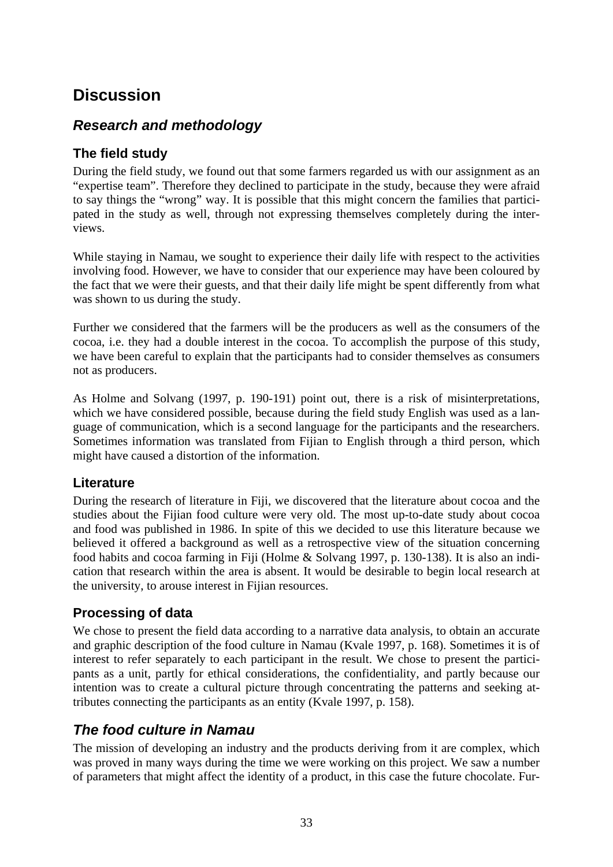# <span id="page-34-0"></span>**Discussion**

# *Research and methodology*

#### **The field study**

During the field study, we found out that some farmers regarded us with our assignment as an "expertise team". Therefore they declined to participate in the study, because they were afraid to say things the "wrong" way. It is possible that this might concern the families that participated in the study as well, through not expressing themselves completely during the interviews.

While staying in Namau, we sought to experience their daily life with respect to the activities involving food. However, we have to consider that our experience may have been coloured by the fact that we were their guests, and that their daily life might be spent differently from what was shown to us during the study.

Further we considered that the farmers will be the producers as well as the consumers of the cocoa, i.e. they had a double interest in the cocoa. To accomplish the purpose of this study, we have been careful to explain that the participants had to consider themselves as consumers not as producers.

As Holme and Solvang (1997, p. 190-191) point out, there is a risk of misinterpretations, which we have considered possible, because during the field study English was used as a language of communication, which is a second language for the participants and the researchers. Sometimes information was translated from Fijian to English through a third person, which might have caused a distortion of the information.

#### **Literature**

During the research of literature in Fiji, we discovered that the literature about cocoa and the studies about the Fijian food culture were very old. The most up-to-date study about cocoa and food was published in 1986. In spite of this we decided to use this literature because we believed it offered a background as well as a retrospective view of the situation concerning food habits and cocoa farming in Fiji (Holme & Solvang 1997, p. 130-138). It is also an indication that research within the area is absent. It would be desirable to begin local research at the university, to arouse interest in Fijian resources.

#### **Processing of data**

We chose to present the field data according to a narrative data analysis, to obtain an accurate and graphic description of the food culture in Namau (Kvale 1997, p. 168). Sometimes it is of interest to refer separately to each participant in the result. We chose to present the participants as a unit, partly for ethical considerations, the confidentiality, and partly because our intention was to create a cultural picture through concentrating the patterns and seeking attributes connecting the participants as an entity (Kvale 1997, p. 158).

# *The food culture in Namau*

The mission of developing an industry and the products deriving from it are complex, which was proved in many ways during the time we were working on this project. We saw a number of parameters that might affect the identity of a product, in this case the future chocolate. Fur-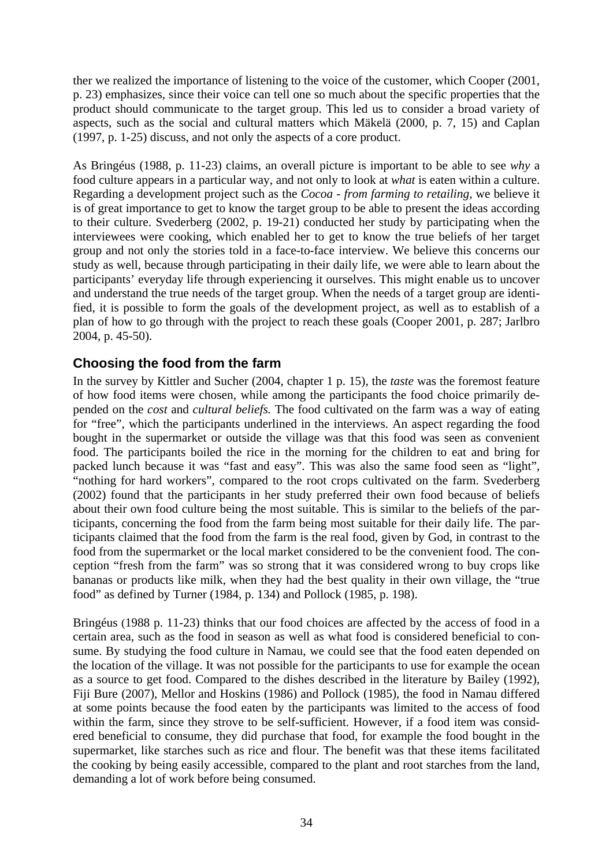<span id="page-35-0"></span>ther we realized the importance of listening to the voice of the customer, which Cooper (2001, p. 23) emphasizes, since their voice can tell one so much about the specific properties that the product should communicate to the target group. This led us to consider a broad variety of aspects, such as the social and cultural matters which Mäkelä (2000, p. 7, 15) and Caplan (1997, p. 1-25) discuss, and not only the aspects of a core product.

As Bringéus (1988, p. 11-23) claims, an overall picture is important to be able to see *why* a food culture appears in a particular way, and not only to look at *what* is eaten within a culture. Regarding a development project such as the *Cocoa - from farming to retailing,* we believe it is of great importance to get to know the target group to be able to present the ideas according to their culture. Svederberg (2002, p. 19-21) conducted her study by participating when the interviewees were cooking, which enabled her to get to know the true beliefs of her target group and not only the stories told in a face-to-face interview. We believe this concerns our study as well, because through participating in their daily life, we were able to learn about the participants' everyday life through experiencing it ourselves. This might enable us to uncover and understand the true needs of the target group. When the needs of a target group are identified, it is possible to form the goals of the development project*,* as well as to establish of a plan of how to go through with the project to reach these goals (Cooper 2001, p. 287; Jarlbro 2004, p. 45-50).

#### **Choosing the food from the farm**

In the survey by Kittler and Sucher (2004, chapter 1 p. 15), the *taste* was the foremost feature of how food items were chosen, while among the participants the food choice primarily depended on the *cost* and *cultural beliefs.* The food cultivated on the farm was a way of eating for "free", which the participants underlined in the interviews. An aspect regarding the food bought in the supermarket or outside the village was that this food was seen as convenient food. The participants boiled the rice in the morning for the children to eat and bring for packed lunch because it was "fast and easy". This was also the same food seen as "light", "nothing for hard workers", compared to the root crops cultivated on the farm. Svederberg (2002) found that the participants in her study preferred their own food because of beliefs about their own food culture being the most suitable. This is similar to the beliefs of the participants, concerning the food from the farm being most suitable for their daily life. The participants claimed that the food from the farm is the real food, given by God, in contrast to the food from the supermarket or the local market considered to be the convenient food. The conception "fresh from the farm" was so strong that it was considered wrong to buy crops like bananas or products like milk, when they had the best quality in their own village, the "true food" as defined by Turner (1984, p. 134) and Pollock (1985, p. 198).

Bringéus (1988 p. 11-23) thinks that our food choices are affected by the access of food in a certain area, such as the food in season as well as what food is considered beneficial to consume. By studying the food culture in Namau, we could see that the food eaten depended on the location of the village. It was not possible for the participants to use for example the ocean as a source to get food. Compared to the dishes described in the literature by Bailey (1992), Fiji Bure (2007), Mellor and Hoskins (1986) and Pollock (1985), the food in Namau differed at some points because the food eaten by the participants was limited to the access of food within the farm, since they strove to be self-sufficient. However, if a food item was considered beneficial to consume, they did purchase that food, for example the food bought in the supermarket, like starches such as rice and flour. The benefit was that these items facilitated the cooking by being easily accessible, compared to the plant and root starches from the land, demanding a lot of work before being consumed.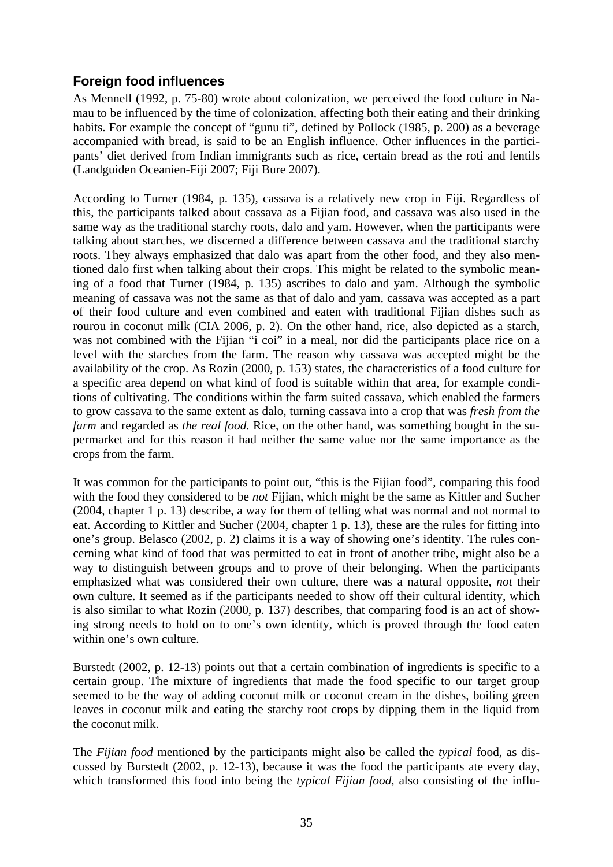#### <span id="page-36-0"></span>**Foreign food influences**

As Mennell (1992, p. 75-80) wrote about colonization, we perceived the food culture in Namau to be influenced by the time of colonization, affecting both their eating and their drinking habits. For example the concept of "gunu ti", defined by Pollock (1985, p. 200) as a beverage accompanied with bread, is said to be an English influence. Other influences in the participants' diet derived from Indian immigrants such as rice, certain bread as the roti and lentils (Landguiden Oceanien-Fiji 2007; Fiji Bure 2007).

According to Turner (1984, p. 135), cassava is a relatively new crop in Fiji. Regardless of this, the participants talked about cassava as a Fijian food, and cassava was also used in the same way as the traditional starchy roots, dalo and yam. However, when the participants were talking about starches, we discerned a difference between cassava and the traditional starchy roots. They always emphasized that dalo was apart from the other food, and they also mentioned dalo first when talking about their crops. This might be related to the symbolic meaning of a food that Turner (1984, p. 135) ascribes to dalo and yam. Although the symbolic meaning of cassava was not the same as that of dalo and yam, cassava was accepted as a part of their food culture and even combined and eaten with traditional Fijian dishes such as rourou in coconut milk (CIA 2006, p. 2). On the other hand, rice, also depicted as a starch, was not combined with the Fijian "i coi" in a meal, nor did the participants place rice on a level with the starches from the farm. The reason why cassava was accepted might be the availability of the crop. As Rozin (2000, p. 153) states, the characteristics of a food culture for a specific area depend on what kind of food is suitable within that area, for example conditions of cultivating. The conditions within the farm suited cassava, which enabled the farmers to grow cassava to the same extent as dalo, turning cassava into a crop that was *fresh from the farm* and regarded as *the real food*. Rice, on the other hand, was something bought in the supermarket and for this reason it had neither the same value nor the same importance as the crops from the farm.

It was common for the participants to point out, "this is the Fijian food", comparing this food with the food they considered to be *not* Fijian, which might be the same as Kittler and Sucher (2004, chapter 1 p. 13) describe, a way for them of telling what was normal and not normal to eat. According to Kittler and Sucher (2004, chapter 1 p. 13), these are the rules for fitting into one's group. Belasco (2002, p. 2) claims it is a way of showing one's identity. The rules concerning what kind of food that was permitted to eat in front of another tribe, might also be a way to distinguish between groups and to prove of their belonging. When the participants emphasized what was considered their own culture, there was a natural opposite, *not* their own culture. It seemed as if the participants needed to show off their cultural identity, which is also similar to what Rozin (2000, p. 137) describes, that comparing food is an act of showing strong needs to hold on to one's own identity, which is proved through the food eaten within one's own culture.

Burstedt (2002, p. 12-13) points out that a certain combination of ingredients is specific to a certain group. The mixture of ingredients that made the food specific to our target group seemed to be the way of adding coconut milk or coconut cream in the dishes, boiling green leaves in coconut milk and eating the starchy root crops by dipping them in the liquid from the coconut milk.

The *Fijian food* mentioned by the participants might also be called the *typical* food, as discussed by Burstedt (2002, p. 12-13), because it was the food the participants ate every day, which transformed this food into being the *typical Fijian food*, also consisting of the influ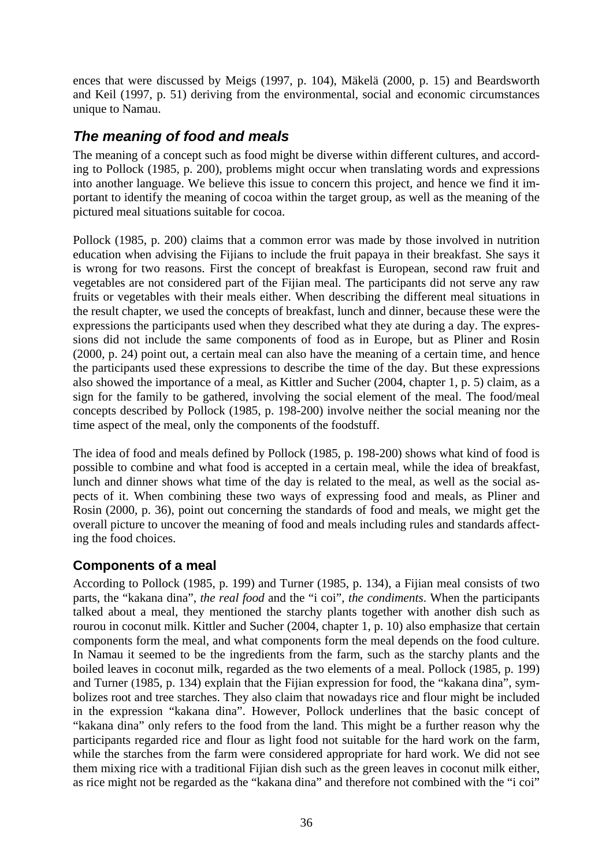<span id="page-37-0"></span>ences that were discussed by Meigs (1997, p. 104), Mäkelä (2000, p. 15) and Beardsworth and Keil (1997, p. 51) deriving from the environmental, social and economic circumstances unique to Namau.

# *The meaning of food and meals*

The meaning of a concept such as food might be diverse within different cultures, and according to Pollock (1985, p. 200), problems might occur when translating words and expressions into another language. We believe this issue to concern this project, and hence we find it important to identify the meaning of cocoa within the target group, as well as the meaning of the pictured meal situations suitable for cocoa.

Pollock (1985, p. 200) claims that a common error was made by those involved in nutrition education when advising the Fijians to include the fruit papaya in their breakfast. She says it is wrong for two reasons. First the concept of breakfast is European, second raw fruit and vegetables are not considered part of the Fijian meal. The participants did not serve any raw fruits or vegetables with their meals either. When describing the different meal situations in the result chapter, we used the concepts of breakfast, lunch and dinner, because these were the expressions the participants used when they described what they ate during a day. The expressions did not include the same components of food as in Europe, but as Pliner and Rosin (2000, p. 24) point out, a certain meal can also have the meaning of a certain time, and hence the participants used these expressions to describe the time of the day. But these expressions also showed the importance of a meal, as Kittler and Sucher (2004, chapter 1, p. 5) claim, as a sign for the family to be gathered, involving the social element of the meal. The food/meal concepts described by Pollock (1985, p. 198-200) involve neither the social meaning nor the time aspect of the meal, only the components of the foodstuff.

The idea of food and meals defined by Pollock (1985, p. 198-200) shows what kind of food is possible to combine and what food is accepted in a certain meal, while the idea of breakfast, lunch and dinner shows what time of the day is related to the meal, as well as the social aspects of it. When combining these two ways of expressing food and meals, as Pliner and Rosin (2000, p. 36), point out concerning the standards of food and meals, we might get the overall picture to uncover the meaning of food and meals including rules and standards affecting the food choices.

#### **Components of a meal**

According to Pollock (1985, p. 199) and Turner (1985, p. 134), a Fijian meal consists of two parts, the "kakana dina", *the real food* and the "i coi", *the condiments*. When the participants talked about a meal, they mentioned the starchy plants together with another dish such as rourou in coconut milk. Kittler and Sucher (2004, chapter 1, p. 10) also emphasize that certain components form the meal, and what components form the meal depends on the food culture. In Namau it seemed to be the ingredients from the farm, such as the starchy plants and the boiled leaves in coconut milk, regarded as the two elements of a meal. Pollock (1985, p. 199) and Turner (1985, p. 134) explain that the Fijian expression for food, the "kakana dina", symbolizes root and tree starches. They also claim that nowadays rice and flour might be included in the expression "kakana dina". However, Pollock underlines that the basic concept of "kakana dina" only refers to the food from the land. This might be a further reason why the participants regarded rice and flour as light food not suitable for the hard work on the farm, while the starches from the farm were considered appropriate for hard work. We did not see them mixing rice with a traditional Fijian dish such as the green leaves in coconut milk either, as rice might not be regarded as the "kakana dina" and therefore not combined with the "i coi"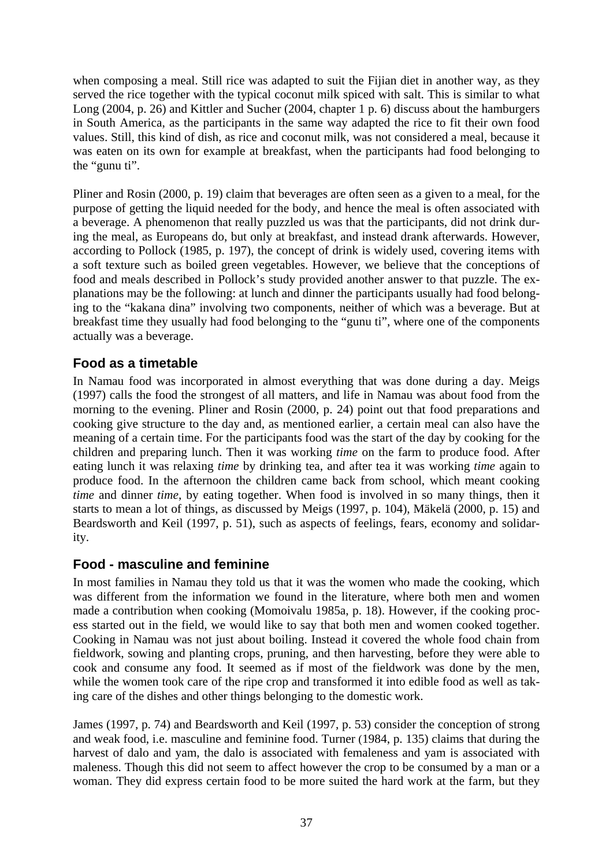<span id="page-38-0"></span>when composing a meal. Still rice was adapted to suit the Fijian diet in another way, as they served the rice together with the typical coconut milk spiced with salt. This is similar to what Long (2004, p. 26) and Kittler and Sucher (2004, chapter 1 p. 6) discuss about the hamburgers in South America, as the participants in the same way adapted the rice to fit their own food values. Still, this kind of dish, as rice and coconut milk, was not considered a meal, because it was eaten on its own for example at breakfast, when the participants had food belonging to the "gunu ti".

Pliner and Rosin (2000, p. 19) claim that beverages are often seen as a given to a meal, for the purpose of getting the liquid needed for the body, and hence the meal is often associated with a beverage. A phenomenon that really puzzled us was that the participants, did not drink during the meal, as Europeans do, but only at breakfast, and instead drank afterwards. However, according to Pollock (1985, p. 197), the concept of drink is widely used, covering items with a soft texture such as boiled green vegetables. However, we believe that the conceptions of food and meals described in Pollock's study provided another answer to that puzzle. The explanations may be the following: at lunch and dinner the participants usually had food belonging to the "kakana dina" involving two components, neither of which was a beverage. But at breakfast time they usually had food belonging to the "gunu ti", where one of the components actually was a beverage.

#### **Food as a timetable**

In Namau food was incorporated in almost everything that was done during a day. Meigs (1997) calls the food the strongest of all matters, and life in Namau was about food from the morning to the evening. Pliner and Rosin (2000, p. 24) point out that food preparations and cooking give structure to the day and, as mentioned earlier, a certain meal can also have the meaning of a certain time. For the participants food was the start of the day by cooking for the children and preparing lunch. Then it was working *time* on the farm to produce food. After eating lunch it was relaxing *time* by drinking tea, and after tea it was working *time* again to produce food. In the afternoon the children came back from school, which meant cooking *time* and dinner *time*, by eating together. When food is involved in so many things, then it starts to mean a lot of things, as discussed by Meigs (1997, p. 104), Mäkelä (2000, p. 15) and Beardsworth and Keil (1997, p. 51), such as aspects of feelings, fears, economy and solidarity.

#### **Food - masculine and feminine**

In most families in Namau they told us that it was the women who made the cooking, which was different from the information we found in the literature, where both men and women made a contribution when cooking (Momoivalu 1985a, p. 18). However, if the cooking process started out in the field, we would like to say that both men and women cooked together. Cooking in Namau was not just about boiling. Instead it covered the whole food chain from fieldwork, sowing and planting crops, pruning, and then harvesting, before they were able to cook and consume any food. It seemed as if most of the fieldwork was done by the men, while the women took care of the ripe crop and transformed it into edible food as well as taking care of the dishes and other things belonging to the domestic work.

James (1997, p. 74) and Beardsworth and Keil (1997, p. 53) consider the conception of strong and weak food, i.e. masculine and feminine food. Turner (1984, p. 135) claims that during the harvest of dalo and yam, the dalo is associated with femaleness and yam is associated with maleness. Though this did not seem to affect however the crop to be consumed by a man or a woman. They did express certain food to be more suited the hard work at the farm, but they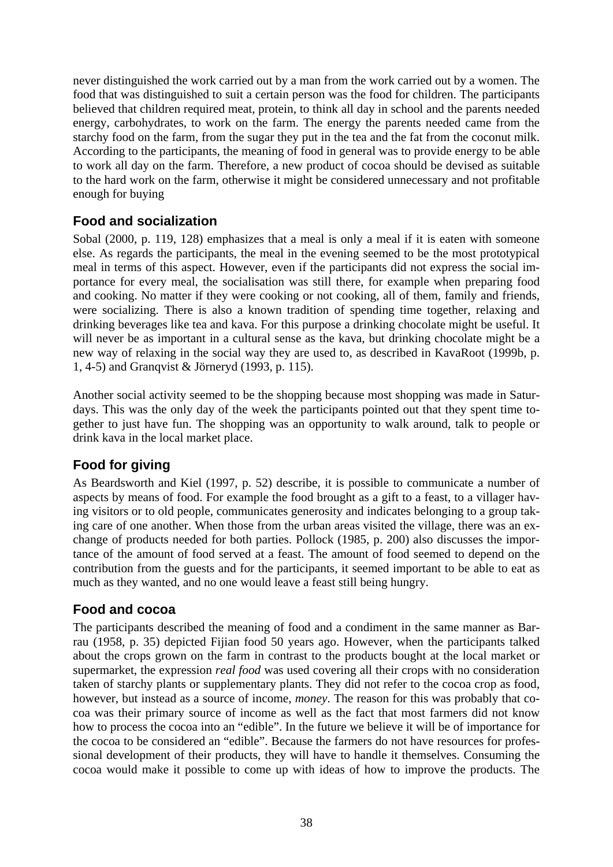<span id="page-39-0"></span>never distinguished the work carried out by a man from the work carried out by a women. The food that was distinguished to suit a certain person was the food for children. The participants believed that children required meat, protein, to think all day in school and the parents needed energy, carbohydrates, to work on the farm. The energy the parents needed came from the starchy food on the farm, from the sugar they put in the tea and the fat from the coconut milk. According to the participants, the meaning of food in general was to provide energy to be able to work all day on the farm. Therefore, a new product of cocoa should be devised as suitable to the hard work on the farm, otherwise it might be considered unnecessary and not profitable enough for buying

#### **Food and socialization**

Sobal (2000, p. 119, 128) emphasizes that a meal is only a meal if it is eaten with someone else. As regards the participants, the meal in the evening seemed to be the most prototypical meal in terms of this aspect. However, even if the participants did not express the social importance for every meal, the socialisation was still there, for example when preparing food and cooking. No matter if they were cooking or not cooking, all of them, family and friends, were socializing. There is also a known tradition of spending time together, relaxing and drinking beverages like tea and kava. For this purpose a drinking chocolate might be useful. It will never be as important in a cultural sense as the kava, but drinking chocolate might be a new way of relaxing in the social way they are used to, as described in KavaRoot (1999b, p. 1, 4-5) and Granqvist & Jörneryd (1993, p. 115).

Another social activity seemed to be the shopping because most shopping was made in Saturdays. This was the only day of the week the participants pointed out that they spent time together to just have fun. The shopping was an opportunity to walk around, talk to people or drink kava in the local market place.

#### **Food for giving**

As Beardsworth and Kiel (1997, p. 52) describe, it is possible to communicate a number of aspects by means of food. For example the food brought as a gift to a feast, to a villager having visitors or to old people, communicates generosity and indicates belonging to a group taking care of one another. When those from the urban areas visited the village, there was an exchange of products needed for both parties. Pollock (1985, p. 200) also discusses the importance of the amount of food served at a feast. The amount of food seemed to depend on the contribution from the guests and for the participants, it seemed important to be able to eat as much as they wanted, and no one would leave a feast still being hungry.

#### **Food and cocoa**

The participants described the meaning of food and a condiment in the same manner as Barrau (1958, p. 35) depicted Fijian food 50 years ago. However, when the participants talked about the crops grown on the farm in contrast to the products bought at the local market or supermarket, the expression *real food* was used covering all their crops with no consideration taken of starchy plants or supplementary plants. They did not refer to the cocoa crop as food, however, but instead as a source of income, *money*. The reason for this was probably that cocoa was their primary source of income as well as the fact that most farmers did not know how to process the cocoa into an "edible". In the future we believe it will be of importance for the cocoa to be considered an "edible". Because the farmers do not have resources for professional development of their products, they will have to handle it themselves. Consuming the cocoa would make it possible to come up with ideas of how to improve the products. The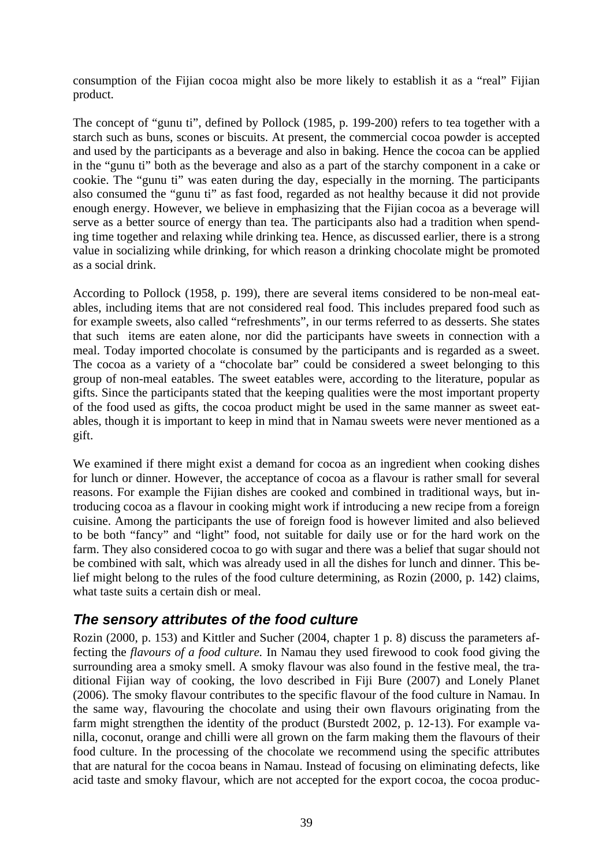<span id="page-40-0"></span>consumption of the Fijian cocoa might also be more likely to establish it as a "real" Fijian product.

The concept of "gunu ti", defined by Pollock (1985, p. 199-200) refers to tea together with a starch such as buns, scones or biscuits. At present, the commercial cocoa powder is accepted and used by the participants as a beverage and also in baking. Hence the cocoa can be applied in the "gunu ti" both as the beverage and also as a part of the starchy component in a cake or cookie. The "gunu ti" was eaten during the day, especially in the morning. The participants also consumed the "gunu ti" as fast food, regarded as not healthy because it did not provide enough energy. However, we believe in emphasizing that the Fijian cocoa as a beverage will serve as a better source of energy than tea. The participants also had a tradition when spending time together and relaxing while drinking tea. Hence, as discussed earlier, there is a strong value in socializing while drinking, for which reason a drinking chocolate might be promoted as a social drink.

According to Pollock (1958, p. 199), there are several items considered to be non-meal eatables, including items that are not considered real food. This includes prepared food such as for example sweets, also called "refreshments", in our terms referred to as desserts. She states that such items are eaten alone, nor did the participants have sweets in connection with a meal. Today imported chocolate is consumed by the participants and is regarded as a sweet. The cocoa as a variety of a "chocolate bar" could be considered a sweet belonging to this group of non-meal eatables. The sweet eatables were, according to the literature, popular as gifts. Since the participants stated that the keeping qualities were the most important property of the food used as gifts, the cocoa product might be used in the same manner as sweet eatables, though it is important to keep in mind that in Namau sweets were never mentioned as a gift.

We examined if there might exist a demand for cocoa as an ingredient when cooking dishes for lunch or dinner. However, the acceptance of cocoa as a flavour is rather small for several reasons. For example the Fijian dishes are cooked and combined in traditional ways, but introducing cocoa as a flavour in cooking might work if introducing a new recipe from a foreign cuisine. Among the participants the use of foreign food is however limited and also believed to be both "fancy" and "light" food, not suitable for daily use or for the hard work on the farm. They also considered cocoa to go with sugar and there was a belief that sugar should not be combined with salt, which was already used in all the dishes for lunch and dinner. This belief might belong to the rules of the food culture determining, as Rozin (2000, p. 142) claims, what taste suits a certain dish or meal.

#### *The sensory attributes of the food culture*

Rozin (2000, p. 153) and Kittler and Sucher (2004, chapter 1 p. 8) discuss the parameters affecting the *flavours of a food culture.* In Namau they used firewood to cook food giving the surrounding area a smoky smell. A smoky flavour was also found in the festive meal, the traditional Fijian way of cooking, the lovo described in Fiji Bure (2007) and Lonely Planet (2006). The smoky flavour contributes to the specific flavour of the food culture in Namau. In the same way, flavouring the chocolate and using their own flavours originating from the farm might strengthen the identity of the product (Burstedt 2002, p. 12-13). For example vanilla, coconut, orange and chilli were all grown on the farm making them the flavours of their food culture. In the processing of the chocolate we recommend using the specific attributes that are natural for the cocoa beans in Namau. Instead of focusing on eliminating defects, like acid taste and smoky flavour, which are not accepted for the export cocoa, the cocoa produc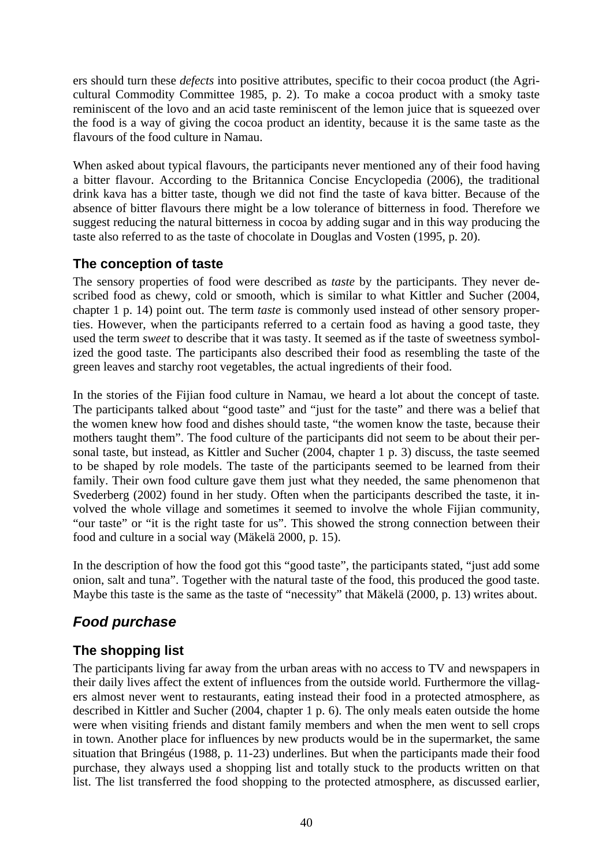<span id="page-41-0"></span>ers should turn these *defects* into positive attributes, specific to their cocoa product (the Agricultural Commodity Committee 1985, p. 2). To make a cocoa product with a smoky taste reminiscent of the lovo and an acid taste reminiscent of the lemon juice that is squeezed over the food is a way of giving the cocoa product an identity, because it is the same taste as the flavours of the food culture in Namau.

When asked about typical flavours, the participants never mentioned any of their food having a bitter flavour. According to the Britannica Concise Encyclopedia (2006), the traditional drink kava has a bitter taste, though we did not find the taste of kava bitter. Because of the absence of bitter flavours there might be a low tolerance of bitterness in food. Therefore we suggest reducing the natural bitterness in cocoa by adding sugar and in this way producing the taste also referred to as the taste of chocolate in Douglas and Vosten (1995, p. 20).

#### **The conception of taste**

The sensory properties of food were described as *taste* by the participants. They never described food as chewy, cold or smooth, which is similar to what Kittler and Sucher (2004, chapter 1 p. 14) point out. The term *taste* is commonly used instead of other sensory properties. However, when the participants referred to a certain food as having a good taste, they used the term *sweet* to describe that it was tasty. It seemed as if the taste of sweetness symbolized the good taste. The participants also described their food as resembling the taste of the green leaves and starchy root vegetables, the actual ingredients of their food.

In the stories of the Fijian food culture in Namau, we heard a lot about the concept of taste*.* The participants talked about "good taste" and "just for the taste" and there was a belief that the women knew how food and dishes should taste, "the women know the taste, because their mothers taught them". The food culture of the participants did not seem to be about their personal taste, but instead, as Kittler and Sucher (2004, chapter 1 p. 3) discuss, the taste seemed to be shaped by role models. The taste of the participants seemed to be learned from their family. Their own food culture gave them just what they needed, the same phenomenon that Svederberg (2002) found in her study. Often when the participants described the taste, it involved the whole village and sometimes it seemed to involve the whole Fijian community, "our taste" or "it is the right taste for us". This showed the strong connection between their food and culture in a social way (Mäkelä 2000, p. 15).

In the description of how the food got this "good taste", the participants stated, "just add some onion, salt and tuna". Together with the natural taste of the food, this produced the good taste. Maybe this taste is the same as the taste of "necessity" that Mäkelä (2000, p. 13) writes about.

# *Food purchase*

# **The shopping list**

The participants living far away from the urban areas with no access to TV and newspapers in their daily lives affect the extent of influences from the outside world. Furthermore the villagers almost never went to restaurants, eating instead their food in a protected atmosphere, as described in Kittler and Sucher (2004, chapter 1 p. 6). The only meals eaten outside the home were when visiting friends and distant family members and when the men went to sell crops in town. Another place for influences by new products would be in the supermarket, the same situation that Bringéus (1988, p. 11-23) underlines. But when the participants made their food purchase, they always used a shopping list and totally stuck to the products written on that list. The list transferred the food shopping to the protected atmosphere, as discussed earlier,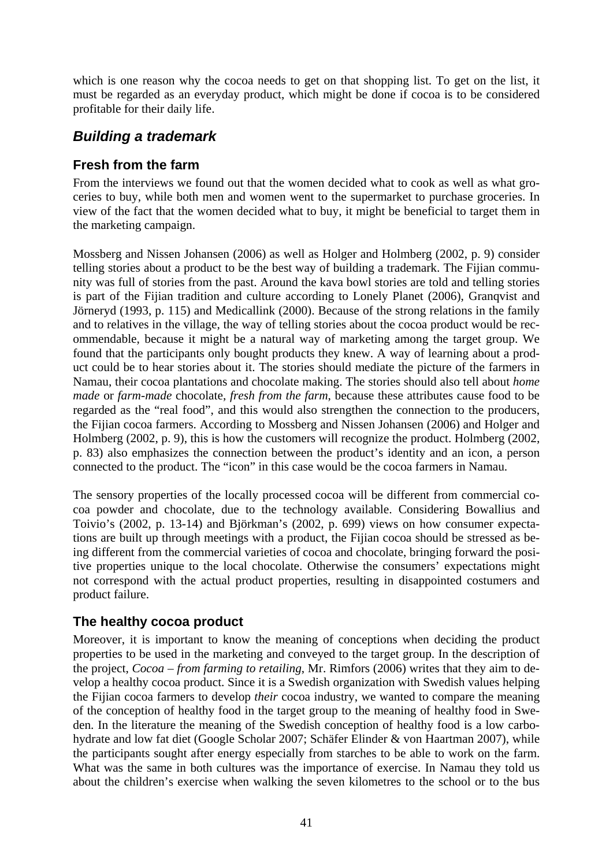<span id="page-42-0"></span>which is one reason why the cocoa needs to get on that shopping list. To get on the list, it must be regarded as an everyday product, which might be done if cocoa is to be considered profitable for their daily life.

## *Building a trademark*

#### **Fresh from the farm**

From the interviews we found out that the women decided what to cook as well as what groceries to buy, while both men and women went to the supermarket to purchase groceries. In view of the fact that the women decided what to buy, it might be beneficial to target them in the marketing campaign.

Mossberg and Nissen Johansen (2006) as well as Holger and Holmberg (2002, p. 9) consider telling stories about a product to be the best way of building a trademark. The Fijian community was full of stories from the past. Around the kava bowl stories are told and telling stories is part of the Fijian tradition and culture according to Lonely Planet (2006), Granqvist and Jörneryd (1993, p. 115) and Medicallink (2000). Because of the strong relations in the family and to relatives in the village, the way of telling stories about the cocoa product would be recommendable, because it might be a natural way of marketing among the target group. We found that the participants only bought products they knew. A way of learning about a product could be to hear stories about it. The stories should mediate the picture of the farmers in Namau, their cocoa plantations and chocolate making. The stories should also tell about *home made* or *farm-made* chocolate, *fresh from the farm*, because these attributes cause food to be regarded as the "real food", and this would also strengthen the connection to the producers, the Fijian cocoa farmers. According to Mossberg and Nissen Johansen (2006) and Holger and Holmberg (2002, p. 9), this is how the customers will recognize the product. Holmberg (2002, p. 83) also emphasizes the connection between the product's identity and an icon, a person connected to the product. The "icon" in this case would be the cocoa farmers in Namau.

The sensory properties of the locally processed cocoa will be different from commercial cocoa powder and chocolate, due to the technology available. Considering Bowallius and Toivio's (2002, p. 13-14) and Björkman's (2002, p. 699) views on how consumer expectations are built up through meetings with a product, the Fijian cocoa should be stressed as being different from the commercial varieties of cocoa and chocolate, bringing forward the positive properties unique to the local chocolate. Otherwise the consumers' expectations might not correspond with the actual product properties, resulting in disappointed costumers and product failure.

#### **The healthy cocoa product**

Moreover, it is important to know the meaning of conceptions when deciding the product properties to be used in the marketing and conveyed to the target group. In the description of the project, *Cocoa – from farming to retailing*, Mr. Rimfors (2006) writes that they aim to develop a healthy cocoa product. Since it is a Swedish organization with Swedish values helping the Fijian cocoa farmers to develop *their* cocoa industry, we wanted to compare the meaning of the conception of healthy food in the target group to the meaning of healthy food in Sweden. In the literature the meaning of the Swedish conception of healthy food is a low carbohydrate and low fat diet (Google Scholar 2007; Schäfer Elinder & von Haartman 2007), while the participants sought after energy especially from starches to be able to work on the farm. What was the same in both cultures was the importance of exercise. In Namau they told us about the children's exercise when walking the seven kilometres to the school or to the bus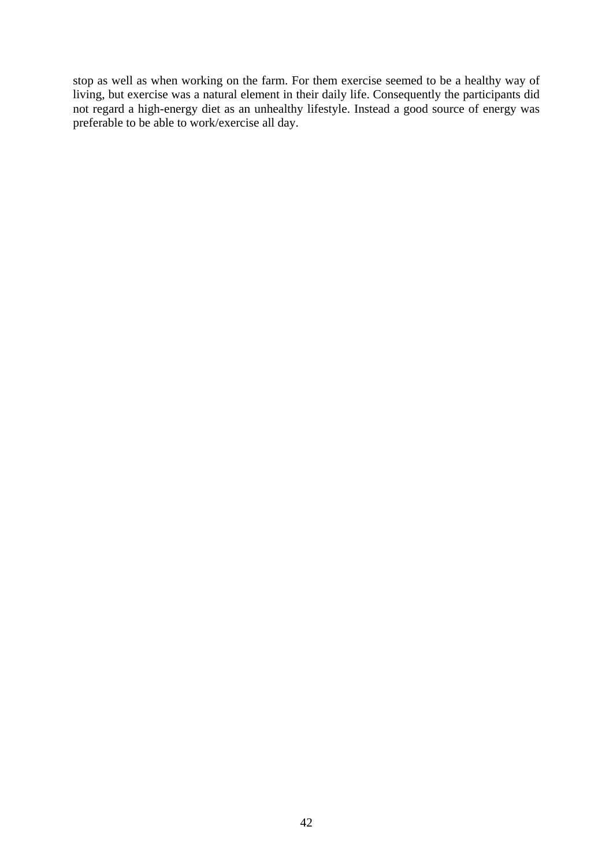stop as well as when working on the farm. For them exercise seemed to be a healthy way of living, but exercise was a natural element in their daily life. Consequently the participants did not regard a high-energy diet as an unhealthy lifestyle. Instead a good source of energy was preferable to be able to work/exercise all day.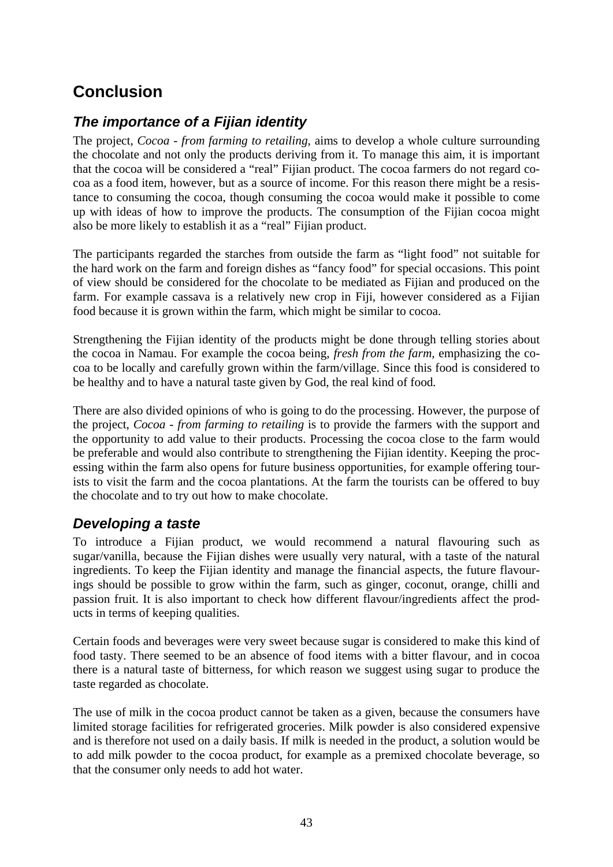# <span id="page-44-0"></span>**Conclusion**

# *The importance of a Fijian identity*

The project, *Cocoa - from farming to retailing*, aims to develop a whole culture surrounding the chocolate and not only the products deriving from it. To manage this aim, it is important that the cocoa will be considered a "real" Fijian product. The cocoa farmers do not regard cocoa as a food item, however, but as a source of income. For this reason there might be a resistance to consuming the cocoa, though consuming the cocoa would make it possible to come up with ideas of how to improve the products. The consumption of the Fijian cocoa might also be more likely to establish it as a "real" Fijian product.

The participants regarded the starches from outside the farm as "light food" not suitable for the hard work on the farm and foreign dishes as "fancy food" for special occasions. This point of view should be considered for the chocolate to be mediated as Fijian and produced on the farm. For example cassava is a relatively new crop in Fiji, however considered as a Fijian food because it is grown within the farm, which might be similar to cocoa.

Strengthening the Fijian identity of the products might be done through telling stories about the cocoa in Namau. For example the cocoa being, *fresh from the farm*, emphasizing the cocoa to be locally and carefully grown within the farm/village. Since this food is considered to be healthy and to have a natural taste given by God, the real kind of food*.* 

There are also divided opinions of who is going to do the processing. However, the purpose of the project, *Cocoa - from farming to retailing* is to provide the farmers with the support and the opportunity to add value to their products. Processing the cocoa close to the farm would be preferable and would also contribute to strengthening the Fijian identity. Keeping the processing within the farm also opens for future business opportunities, for example offering tourists to visit the farm and the cocoa plantations. At the farm the tourists can be offered to buy the chocolate and to try out how to make chocolate.

#### *Developing a taste*

To introduce a Fijian product, we would recommend a natural flavouring such as sugar/vanilla, because the Fijian dishes were usually very natural, with a taste of the natural ingredients. To keep the Fijian identity and manage the financial aspects, the future flavourings should be possible to grow within the farm, such as ginger, coconut, orange, chilli and passion fruit. It is also important to check how different flavour/ingredients affect the products in terms of keeping qualities.

Certain foods and beverages were very sweet because sugar is considered to make this kind of food tasty. There seemed to be an absence of food items with a bitter flavour, and in cocoa there is a natural taste of bitterness, for which reason we suggest using sugar to produce the taste regarded as chocolate.

The use of milk in the cocoa product cannot be taken as a given, because the consumers have limited storage facilities for refrigerated groceries. Milk powder is also considered expensive and is therefore not used on a daily basis. If milk is needed in the product, a solution would be to add milk powder to the cocoa product, for example as a premixed chocolate beverage, so that the consumer only needs to add hot water.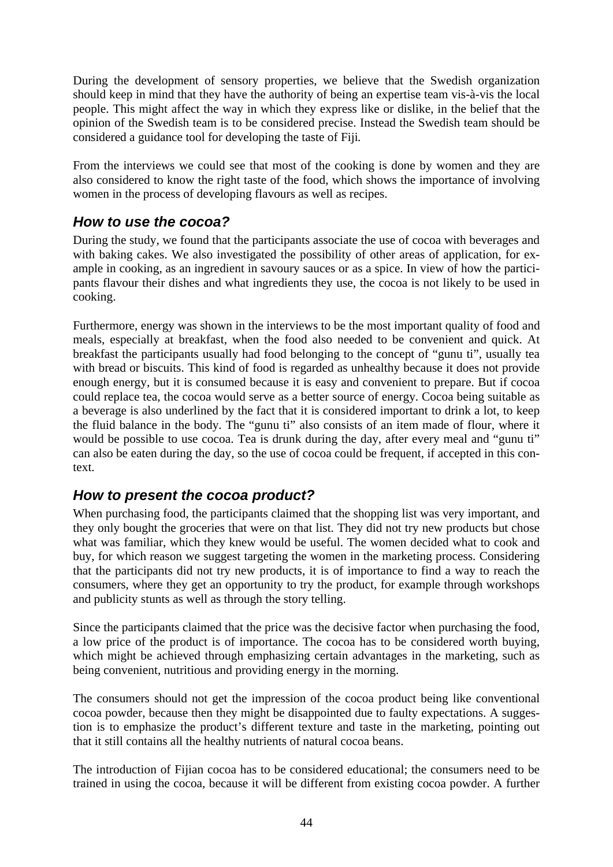<span id="page-45-0"></span>During the development of sensory properties, we believe that the Swedish organization should keep in mind that they have the authority of being an expertise team vis-à-vis the local people. This might affect the way in which they express like or dislike, in the belief that the opinion of the Swedish team is to be considered precise. Instead the Swedish team should be considered a guidance tool for developing the taste of Fiji*.*

From the interviews we could see that most of the cooking is done by women and they are also considered to know the right taste of the food, which shows the importance of involving women in the process of developing flavours as well as recipes.

## *How to use the cocoa?*

During the study, we found that the participants associate the use of cocoa with beverages and with baking cakes. We also investigated the possibility of other areas of application, for example in cooking, as an ingredient in savoury sauces or as a spice. In view of how the participants flavour their dishes and what ingredients they use, the cocoa is not likely to be used in cooking.

Furthermore, energy was shown in the interviews to be the most important quality of food and meals, especially at breakfast, when the food also needed to be convenient and quick. At breakfast the participants usually had food belonging to the concept of "gunu ti", usually tea with bread or biscuits. This kind of food is regarded as unhealthy because it does not provide enough energy, but it is consumed because it is easy and convenient to prepare. But if cocoa could replace tea, the cocoa would serve as a better source of energy. Cocoa being suitable as a beverage is also underlined by the fact that it is considered important to drink a lot, to keep the fluid balance in the body. The "gunu ti" also consists of an item made of flour, where it would be possible to use cocoa. Tea is drunk during the day, after every meal and "gunu ti" can also be eaten during the day, so the use of cocoa could be frequent, if accepted in this context.

#### *How to present the cocoa product?*

When purchasing food, the participants claimed that the shopping list was very important, and they only bought the groceries that were on that list. They did not try new products but chose what was familiar, which they knew would be useful. The women decided what to cook and buy, for which reason we suggest targeting the women in the marketing process. Considering that the participants did not try new products, it is of importance to find a way to reach the consumers, where they get an opportunity to try the product, for example through workshops and publicity stunts as well as through the story telling.

Since the participants claimed that the price was the decisive factor when purchasing the food, a low price of the product is of importance. The cocoa has to be considered worth buying, which might be achieved through emphasizing certain advantages in the marketing, such as being convenient, nutritious and providing energy in the morning.

The consumers should not get the impression of the cocoa product being like conventional cocoa powder, because then they might be disappointed due to faulty expectations. A suggestion is to emphasize the product's different texture and taste in the marketing, pointing out that it still contains all the healthy nutrients of natural cocoa beans.

The introduction of Fijian cocoa has to be considered educational; the consumers need to be trained in using the cocoa, because it will be different from existing cocoa powder. A further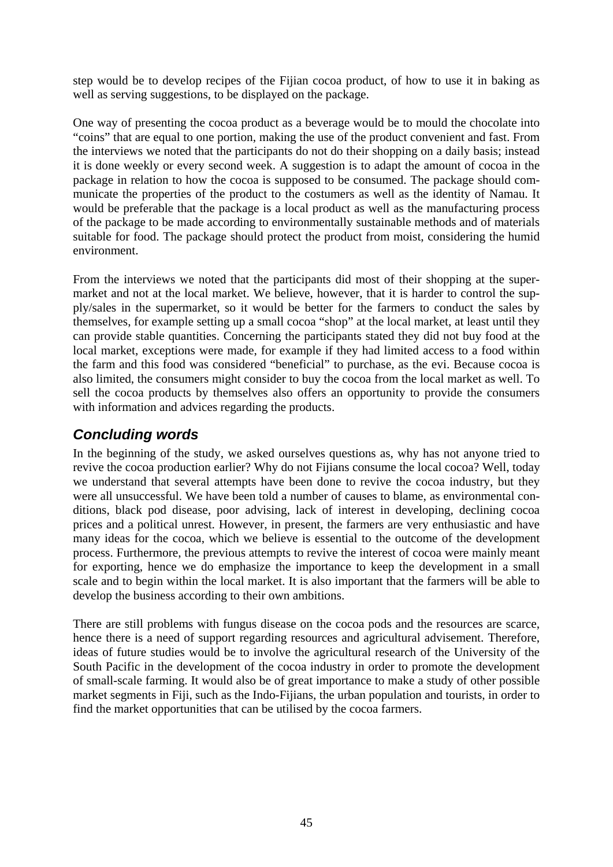<span id="page-46-0"></span>step would be to develop recipes of the Fijian cocoa product, of how to use it in baking as well as serving suggestions, to be displayed on the package.

One way of presenting the cocoa product as a beverage would be to mould the chocolate into "coins" that are equal to one portion, making the use of the product convenient and fast. From the interviews we noted that the participants do not do their shopping on a daily basis; instead it is done weekly or every second week. A suggestion is to adapt the amount of cocoa in the package in relation to how the cocoa is supposed to be consumed. The package should communicate the properties of the product to the costumers as well as the identity of Namau. It would be preferable that the package is a local product as well as the manufacturing process of the package to be made according to environmentally sustainable methods and of materials suitable for food. The package should protect the product from moist, considering the humid environment.

From the interviews we noted that the participants did most of their shopping at the supermarket and not at the local market. We believe, however, that it is harder to control the supply/sales in the supermarket, so it would be better for the farmers to conduct the sales by themselves, for example setting up a small cocoa "shop" at the local market, at least until they can provide stable quantities. Concerning the participants stated they did not buy food at the local market, exceptions were made, for example if they had limited access to a food within the farm and this food was considered "beneficial" to purchase, as the evi. Because cocoa is also limited, the consumers might consider to buy the cocoa from the local market as well. To sell the cocoa products by themselves also offers an opportunity to provide the consumers with information and advices regarding the products.

## *Concluding words*

In the beginning of the study, we asked ourselves questions as, why has not anyone tried to revive the cocoa production earlier? Why do not Fijians consume the local cocoa? Well, today we understand that several attempts have been done to revive the cocoa industry, but they were all unsuccessful. We have been told a number of causes to blame, as environmental conditions, black pod disease, poor advising, lack of interest in developing, declining cocoa prices and a political unrest. However, in present, the farmers are very enthusiastic and have many ideas for the cocoa, which we believe is essential to the outcome of the development process. Furthermore, the previous attempts to revive the interest of cocoa were mainly meant for exporting, hence we do emphasize the importance to keep the development in a small scale and to begin within the local market. It is also important that the farmers will be able to develop the business according to their own ambitions.

There are still problems with fungus disease on the cocoa pods and the resources are scarce, hence there is a need of support regarding resources and agricultural advisement. Therefore, ideas of future studies would be to involve the agricultural research of the University of the South Pacific in the development of the cocoa industry in order to promote the development of small-scale farming. It would also be of great importance to make a study of other possible market segments in Fiji, such as the Indo-Fijians, the urban population and tourists, in order to find the market opportunities that can be utilised by the cocoa farmers.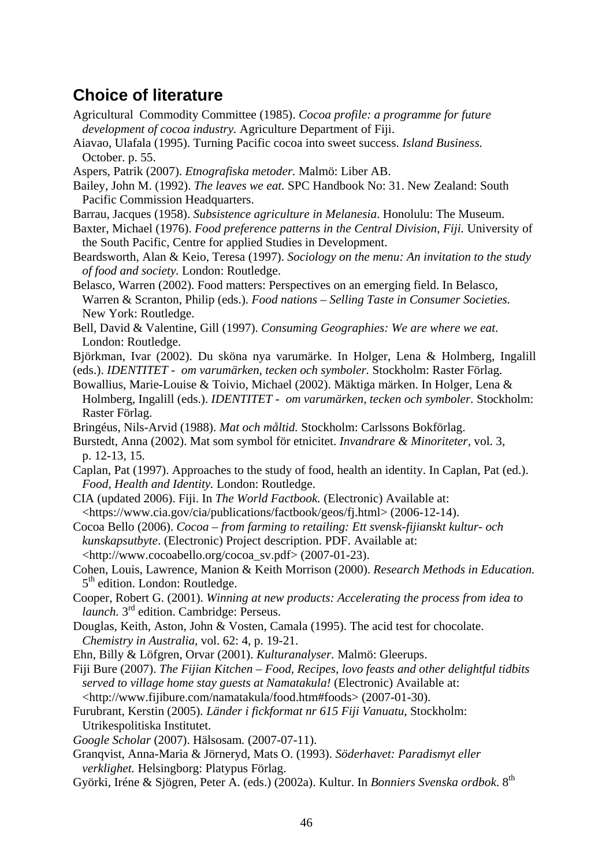# <span id="page-47-0"></span>**Choice of literature**

- Agricultural Commodity Committee (1985). *Cocoa profile: a programme for future development of cocoa industry.* Agriculture Department of Fiji.
- Aiavao, Ulafala (1995). Turning Pacific cocoa into sweet success. *Island Business.* October. p. 55.
- Aspers, Patrik (2007). *Etnografiska metoder.* Malmö: Liber AB.
- Bailey, John M. (1992). *The leaves we eat.* SPC Handbook No: 31. New Zealand: South Pacific Commission Headquarters.
- Barrau, Jacques (1958). *Subsistence agriculture in Melanesia*. Honolulu: The Museum.
- Baxter, Michael (1976). *Food preference patterns in the Central Division, Fiji.* University of the South Pacific, Centre for applied Studies in Development.
- Beardsworth, Alan & Keio, Teresa (1997). *Sociology on the menu: An invitation to the study of food and society.* London: Routledge.
- Belasco, Warren (2002). Food matters: Perspectives on an emerging field. In Belasco, Warren & Scranton, Philip (eds.). *Food nations – Selling Taste in Consumer Societies.*  New York: Routledge.
- Bell, David & Valentine, Gill (1997). *Consuming Geographies: We are where we eat*. London: Routledge.
- Björkman, Ivar (2002). Du sköna nya varumärke. In Holger, Lena & Holmberg, Ingalill (eds.). *IDENTITET - om varumärken, tecken och symboler.* Stockholm: Raster Förlag*.*
- Bowallius, Marie-Louise & Toivio, Michael (2002). Mäktiga märken. In Holger, Lena & Holmberg, Ingalill (eds.). *IDENTITET - om varumärken, tecken och symboler.* Stockholm: Raster Förlag.
- Bringéus, Nils-Arvid (1988). *Mat och måltid.* Stockholm: Carlssons Bokförlag.
- Burstedt, Anna (2002). Mat som symbol för etnicitet. *Invandrare & Minoriteter,* vol. 3, p. 12-13, 15.
- Caplan, Pat (1997). Approaches to the study of food, health an identity. In Caplan, Pat (ed.). *Food, Health and Identity.* London: Routledge.
- CIA (updated 2006). Fiji. In *The World Factbook.* (Electronic) Available at: <https://www.cia.gov/cia/publications/factbook/geos/fj.html> (2006-12-14).
- Cocoa Bello (2006). *Cocoa from farming to retailing: Ett svensk-fijianskt kultur- och kunskapsutbyte*. (Electronic) Project description. PDF. Available at: <http://www.cocoabello.org/cocoa\_sv.pdf> (2007-01-23).
- Cohen, Louis, Lawrence, Manion & Keith Morrison (2000). *Research Methods in Education.* 5<sup>th</sup> edition. London: Routledge.
- Cooper, Robert G. (2001). *Winning at new products: Accelerating the process from idea to launch*. 3<sup>rd</sup> edition. Cambridge: Perseus.
- Douglas, Keith, Aston, John & Vosten, Camala (1995). The acid test for chocolate. *Chemistry in Australia,* vol. 62: 4, p. 19-21.
- Ehn, Billy & Löfgren, Orvar (2001). *Kulturanalyser.* Malmö: Gleerups.
- Fiji Bure (2007). *The Fijian Kitchen Food, Recipes, lovo feasts and other delightful tidbits served to village home stay guests at Namatakula!* (Electronic) Available at: <http://www.fijibure.com/namatakula/food.htm#foods> (2007-01-30).
- Furubrant, Kerstin (2005). *Länder i fickformat nr 615 Fiji Vanuatu*, Stockholm: Utrikespolitiska Institutet.
- *Google Scholar* (2007). Hälsosam*.* (2007-07-11).
- Granqvist, Anna-Maria & Jörneryd, Mats O. (1993). *Söderhavet: Paradismyt eller verklighet.* Helsingborg: Platypus Förlag.
- Györki, Iréne & Sjögren, Peter A. (eds.) (2002a). Kultur. In *Bonniers Svenska ordbok*. 8th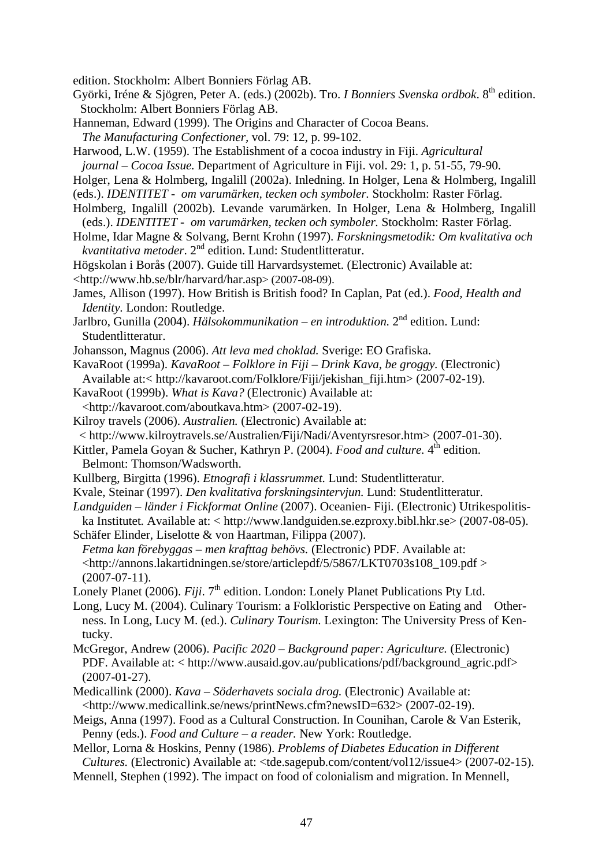edition. Stockholm: Albert Bonniers Förlag AB.

- Györki, Iréne & Sjögren, Peter A. (eds.) (2002b). Tro. *I Bonniers Svenska ordbok*. 8th edition. Stockholm: Albert Bonniers Förlag AB.
- Hanneman, Edward (1999). The Origins and Character of Cocoa Beans.
- *The Manufacturing Confectioner,* vol. 79: 12, p. 99-102.
- Harwood, L.W. (1959). The Establishment of a cocoa industry in Fiji. *Agricultural journal – Cocoa Issue.* Department of Agriculture in Fiji. vol. 29: 1, p. 51-55, 79-90.
- Holger, Lena & Holmberg, Ingalill (2002a). Inledning. In Holger, Lena & Holmberg, Ingalill
- (eds.). *IDENTITET om varumärken, tecken och symboler.* Stockholm: Raster Förlag.
- Holmberg, Ingalill (2002b). Levande varumärken. In Holger, Lena & Holmberg, Ingalill (eds.). *IDENTITET - om varumärken, tecken och symboler.* Stockholm: Raster Förlag.
- Holme, Idar Magne & Solvang, Bernt Krohn (1997). *Forskningsmetodik: Om kvalitativa och kvantitativa metoder.* 2<sup>nd</sup> edition. Lund: Studentlitteratur.
- Högskolan i Borås (2007). Guide till Harvardsystemet. (Electronic) Available at: <http://www.hb.se/blr/harvard/har.asp> (2007-08-09).
- James, Allison (1997). How British is British food? In Caplan, Pat (ed.). *Food, Health and Identity.* London: Routledge.
- Jarlbro, Gunilla (2004). *Hälsokommunikation en introduktion.* 2nd edition. Lund: Studentlitteratur.
- Johansson, Magnus (2006). *Att leva med choklad.* Sverige: EO Grafiska.
- KavaRoot (1999a). *KavaRoot Folklore in Fiji Drink Kava, be groggy.* (Electronic) Available at:< http://kavaroot.com/Folklore/Fiji/jekishan\_fiji.htm> (2007-02-19).
- KavaRoot (1999b). *What is Kava?* (Electronic) Available at:
- <http://kavaroot.com/aboutkava.htm> (2007-02-19).
- Kilroy travels (2006). *Australien.* (Electronic) Available at:
- < http://www.kilroytravels.se/Australien/Fiji/Nadi/Aventyrsresor.htm> (2007-01-30).
- Kittler, Pamela Goyan & Sucher, Kathryn P. (2004). *Food and culture*. 4<sup>th</sup> edition. Belmont: Thomson/Wadsworth.
- Kullberg, Birgitta (1996). *Etnografi i klassrummet.* Lund: Studentlitteratur.
- Kvale, Steinar (1997). *Den kvalitativa forskningsintervjun.* Lund: Studentlitteratur.
- *Landguiden länder i Fickformat Online* (2007). Oceanien- Fiji*.* (Electronic) Utrikespolitiska Institutet*.* Available at: < http://www.landguiden.se.ezproxy.bibl.hkr.se> (2007-08-05).
- Schäfer Elinder, Liselotte & von Haartman, Filippa (2007). *Fetma kan förebyggas – men krafttag behövs.* (Electronic) PDF. Available at:  $\lt$ http://annons.lakartidningen.se/store/articlepdf/5/5867/LKT0703s108 109.pdf  $>$ (2007-07-11).
- Lonely Planet (2006). *Fiji*. 7<sup>th</sup> edition. London: Lonely Planet Publications Pty Ltd.
- Long, Lucy M. (2004). Culinary Tourism: a Folkloristic Perspective on Eating and Otherness. In Long, Lucy M. (ed.). *Culinary Tourism.* Lexington: The University Press of Kentucky.
- McGregor, Andrew (2006). *Pacific 2020 Background paper: Agriculture.* (Electronic) PDF. Available at: < http://www.ausaid.gov.au/publications/pdf/background\_agric.pdf>  $(2007-01-27)$ .
- Medicallink (2000). *Kava Söderhavets sociala drog.* (Electronic) Available at: <http://www.medicallink.se/news/printNews.cfm?newsID=632> (2007-02-19).
- Meigs, Anna (1997). Food as a Cultural Construction. In Counihan, Carole & Van Esterik, Penny (eds.). *Food and Culture – a reader.* New York: Routledge.
- Mellor, Lorna & Hoskins, Penny (1986). *Problems of Diabetes Education in Different Cultures.* (Electronic) Available at: <tde.sagepub.com/content/vol12/issue4> (2007-02-15).
- Mennell, Stephen (1992). The impact on food of colonialism and migration. In Mennell,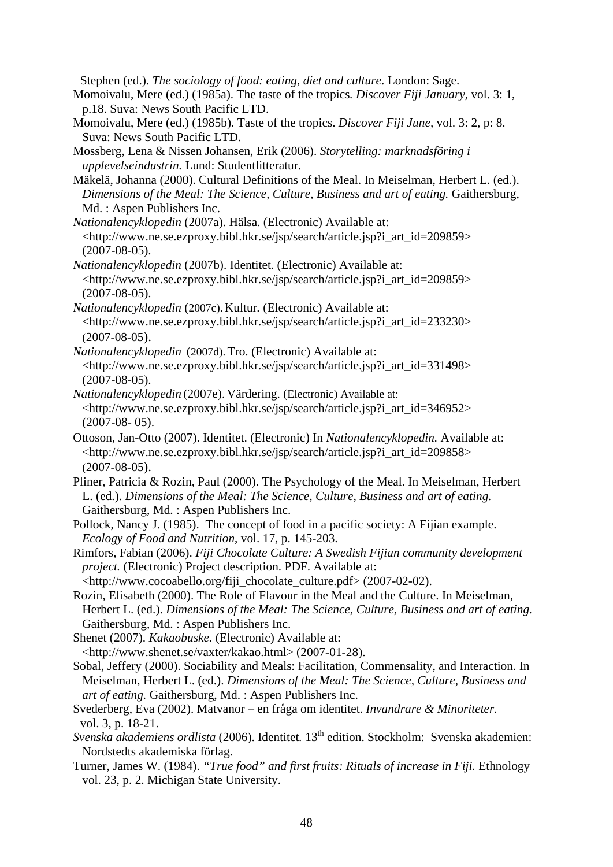Stephen (ed.). *The sociology of food: eating, diet and culture*. London: Sage.

- Momoivalu, Mere (ed.) (1985a). The taste of the tropics*. Discover Fiji January,* vol. 3: 1, p.18. Suva: News South Pacific LTD.
- Momoivalu, Mere (ed.) (1985b). Taste of the tropics. *Discover Fiji June,* vol. 3: 2, p: 8. Suva: News South Pacific LTD.
- Mossberg, Lena & Nissen Johansen, Erik (2006). *Storytelling: marknadsföring i upplevelseindustrin.* Lund: Studentlitteratur.
- Mäkelä, Johanna (2000). Cultural Definitions of the Meal. In Meiselman, Herbert L. (ed.). *Dimensions of the Meal: The Science, Culture, Business and art of eating.* Gaithersburg, Md. : Aspen Publishers Inc.
- *Nationalencyklopedin* (2007a). Hälsa*.* (Electronic) Available at: <http://www.ne.se.ezproxy.bibl.hkr.se/jsp/search/article.jsp?i\_art\_id=209859> (2007-08-05).
- *Nationalencyklopedin* (2007b). Identitet*.* (Electronic) Available at: <http://www.ne.se.ezproxy.bibl.hkr.se/jsp/search/article.jsp?i\_art\_id=209859> (2007-08-05).
- *Nationalencyklopedin* (2007c). Kultur*.* (Electronic) Available at: <http://www.ne.se.ezproxy.bibl.hkr.se/jsp/search/article.jsp?i\_art\_id=233230> (2007-08-05).
- *Nationalencyklopedin* (2007d).Tro. (Electronic) Available at: <http://www.ne.se.ezproxy.bibl.hkr.se/jsp/search/article.jsp?i\_art\_id=331498> (2007-08-05).
- *Nationalencyklopedin* (2007e). Värdering. (Electronic) Available at: <http://www.ne.se.ezproxy.bibl.hkr.se/jsp/search/article.jsp?i\_art\_id=346952> (2007-08- 05).
- Ottoson, Jan-Otto (2007). Identitet. (Electronic) In *Nationalencyklopedin.* Available at: <http://www.ne.se.ezproxy.bibl.hkr.se/jsp/search/article.jsp?i\_art\_id=209858> (2007-08-05).
- Pliner, Patricia & Rozin, Paul (2000). The Psychology of the Meal. In Meiselman, Herbert L. (ed.). *Dimensions of the Meal: The Science, Culture, Business and art of eating.* Gaithersburg, Md. : Aspen Publishers Inc.
- Pollock, Nancy J. (1985).The concept of food in a pacific society: A Fijian example. *Ecology of Food and Nutrition*, vol. 17, p. 145-203.
- Rimfors, Fabian (2006). *Fiji Chocolate Culture: A Swedish Fijian community development project.* (Electronic) Project description. PDF. Available at:

<http://www.cocoabello.org/fiji\_chocolate\_culture.pdf> (2007-02-02).

Rozin, Elisabeth (2000). The Role of Flavour in the Meal and the Culture. In Meiselman, Herbert L. (ed.). *Dimensions of the Meal: The Science, Culture, Business and art of eating.* Gaithersburg, Md. : Aspen Publishers Inc.

Shenet (2007). *Kakaobuske*. (Electronic) Available at: <http://www.shenet.se/vaxter/kakao.html> (2007-01-28).

- Sobal, Jeffery (2000). Sociability and Meals: Facilitation, Commensality, and Interaction. In Meiselman, Herbert L. (ed.). *Dimensions of the Meal: The Science, Culture, Business and art of eating.* Gaithersburg, Md. : Aspen Publishers Inc.
- Svederberg, Eva (2002). Matvanor en fråga om identitet. *Invandrare & Minoriteter.*  vol. 3, p. 18-21.
- *Svenska akademiens ordlista* (2006). Identitet*.* 13th edition. Stockholm: Svenska akademien: Nordstedts akademiska förlag.
- Turner, James W. (1984). *"True food" and first fruits: Rituals of increase in Fiji.* Ethnology vol. 23, p. 2. Michigan State University.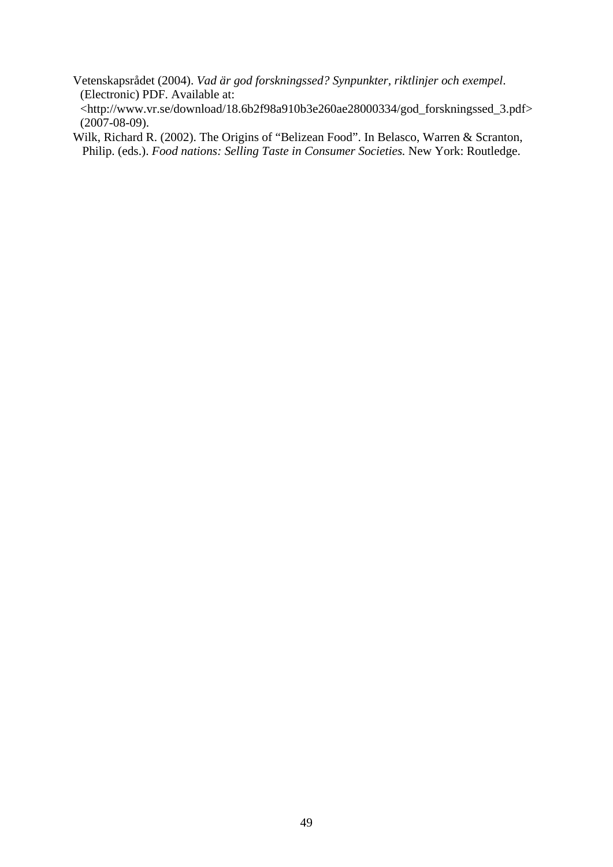- Vetenskapsrådet (2004). *Vad är god forskningssed? Synpunkter, riktlinjer och exempel*. (Electronic) PDF. Available at: <http://www.vr.se/download/18.6b2f98a910b3e260ae28000334/god\_forskningssed\_3.pdf> (2007-08-09).
- Wilk, Richard R. (2002). The Origins of "Belizean Food". In Belasco, Warren & Scranton, Philip. (eds.). *Food nations: Selling Taste in Consumer Societies.* New York: Routledge.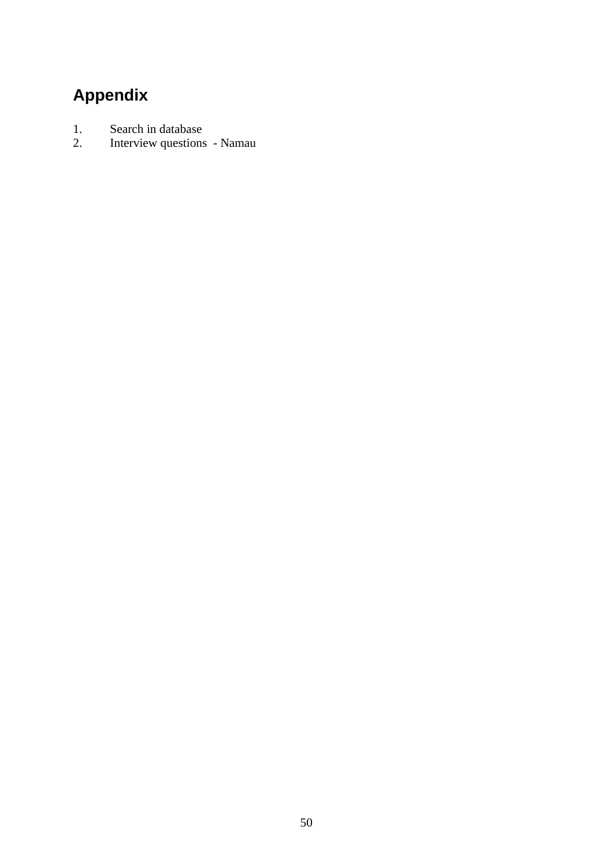# <span id="page-51-0"></span>**Appendix**

- 1. Search in database<br>2. Interview questions
- 2. Interview questions Namau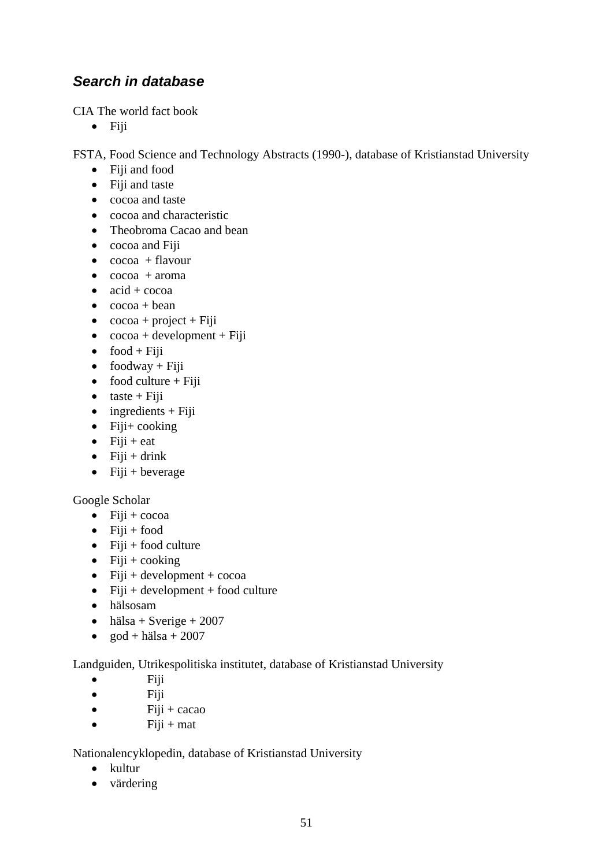# *Search in database*

CIA The world fact book

• Fiji

FSTA, Food Science and Technology Abstracts (1990-), database of Kristianstad University

- Fiji and food
- Fiji and taste
- cocoa and taste
- cocoa and characteristic
- Theobroma Cacao and bean
- cocoa and Fiii
- $\bullet$  cocoa + flavour
- $\bullet$  cocoa + aroma
- $\bullet$  acid + cocoa
- $\bullet$  cocoa + bean
- $\cscoa + \text{project} + \text{Fiji}$
- $\bullet$  cocoa + development + Fiji
- $\bullet$  food + Fiji
- foodway + Fiji
- food culture  $+$  Fiji
- $\bullet$  taste + Fiji
- $\bullet$  ingredients + Fiji
- Fiji+ cooking
- $\bullet$  Fiji + eat
- $\bullet$  Fiji + drink
- Fiji + beverage

#### Google Scholar

- $\bullet$  Fiji + cocoa
- $\bullet$  Fiji + food
- Fiji + food culture
- Fiji + cooking
- Fiji + development +  $\rm{coca}$
- Fiji + development + food culture
- hälsosam
- hälsa + Sverige + 2007
- god + hälsa + 2007

Landguiden, Utrikespolitiska institutet, database of Kristianstad University

- Fiji
- Fiji
- $\bullet$  Fiji + cacao
- $\bullet$  Fiji + mat

Nationalencyklopedin, database of Kristianstad University

- kultur
- värdering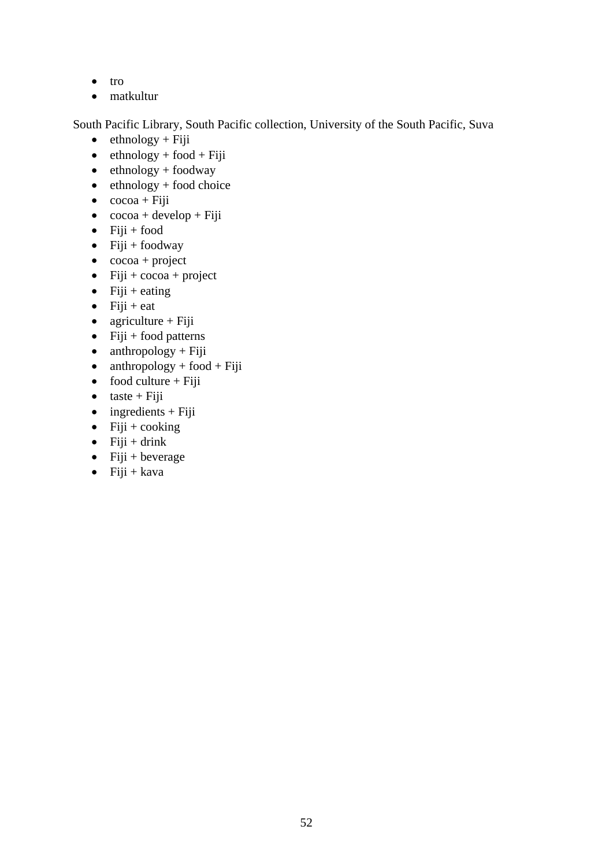- tro
- matkultur

South Pacific Library, South Pacific collection, University of the South Pacific, Suva

- $\bullet$  ethnology + Fiji
- $\bullet$  ethnology + food + Fiji
- $\bullet$  ethnology + foodway
- $\bullet$  ethnology + food choice
- $\bullet$  cocoa + Fiji
- $\bullet$  cocoa + develop + Fiji
- Fiji + food
- Fiji + foodway
- $\bullet$  cocoa + project
- Fiji +  $\csc a$  + project
- Fiji + eating
- $\bullet$  Fiji + eat
- agriculture + Fiji
- Fiji + food patterns
- $\bullet$  anthropology + Fiji
- anthropology + food + Fiji
- food culture + Fiji
- taste + Fiji
- $\bullet$  ingredients + Fiji
- Fiji + cooking
- Fiji + drink
- Fiji + beverage
- $\bullet$  Fiji + kava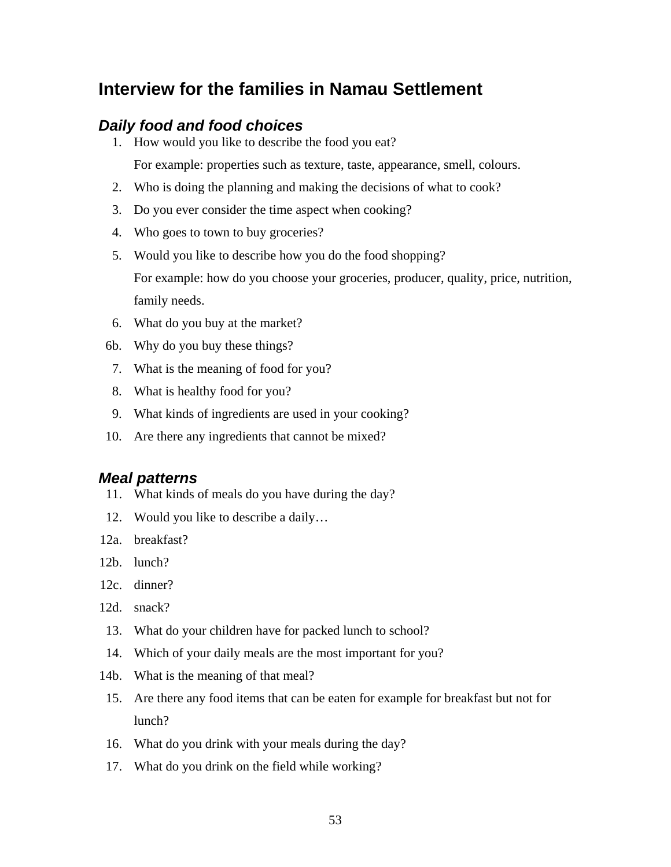# **Interview for the families in Namau Settlement**

#### *Daily food and food choices*

1. How would you like to describe the food you eat?

For example: properties such as texture, taste, appearance, smell, colours.

- 2. Who is doing the planning and making the decisions of what to cook?
- 3. Do you ever consider the time aspect when cooking?
- 4. Who goes to town to buy groceries?
- 5. Would you like to describe how you do the food shopping? For example: how do you choose your groceries, producer, quality, price, nutrition, family needs.
- 6. What do you buy at the market?
- 6b. Why do you buy these things?
- 7. What is the meaning of food for you?
- 8. What is healthy food for you?
- 9. What kinds of ingredients are used in your cooking?
- 10. Are there any ingredients that cannot be mixed?

#### *Meal patterns*

- 11. What kinds of meals do you have during the day?
- 12. Would you like to describe a daily…
- 12a. breakfast?
- 12b. lunch?
- 12c. dinner?
- 12d. snack?
- 13. What do your children have for packed lunch to school?
- 14. Which of your daily meals are the most important for you?
- 14b. What is the meaning of that meal?
- 15. Are there any food items that can be eaten for example for breakfast but not for lunch?
- 16. What do you drink with your meals during the day?
- 17. What do you drink on the field while working?